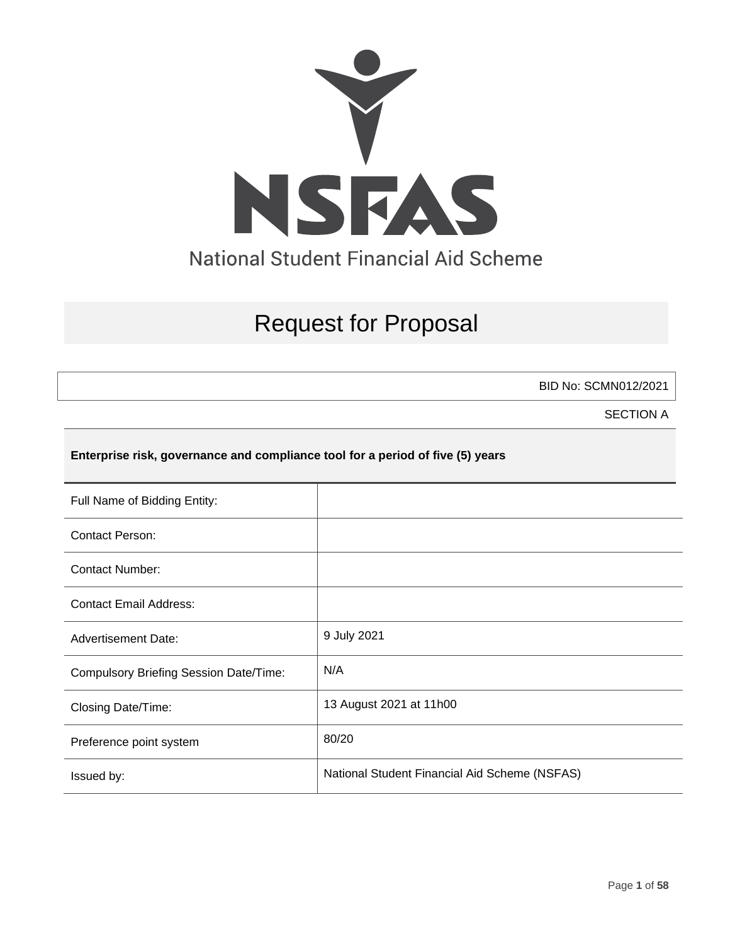

# Request for Proposal

BID No: SCMN012/2021

SECTION A

### **Enterprise risk, governance and compliance tool for a period of five (5) years**

| Full Name of Bidding Entity:                  |                                               |
|-----------------------------------------------|-----------------------------------------------|
| <b>Contact Person:</b>                        |                                               |
| <b>Contact Number:</b>                        |                                               |
| <b>Contact Email Address:</b>                 |                                               |
| <b>Advertisement Date:</b>                    | 9 July 2021                                   |
| <b>Compulsory Briefing Session Date/Time:</b> | N/A                                           |
| Closing Date/Time:                            | 13 August 2021 at 11h00                       |
| Preference point system                       | 80/20                                         |
| Issued by:                                    | National Student Financial Aid Scheme (NSFAS) |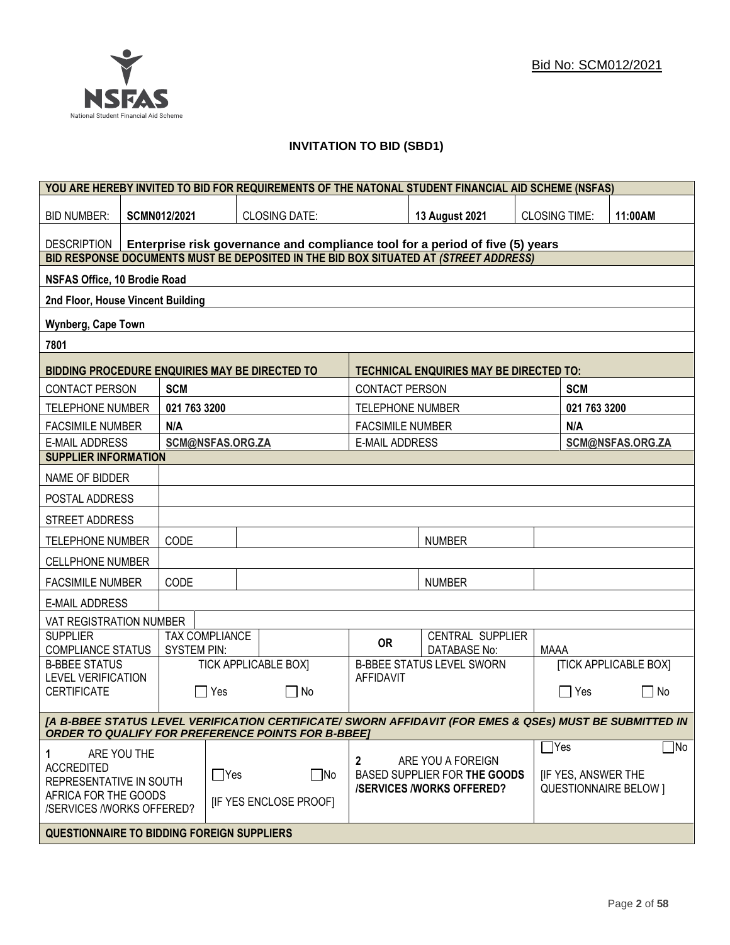

## **INVITATION TO BID (SBD1)**

|                                                                                                                                                      | YOU ARE HEREBY INVITED TO BID FOR REQUIREMENTS OF THE NATONAL STUDENT FINANCIAL AID SCHEME (NSFAS) |                    |                       |                                                                                      |                         |                                                   |                      |                                      |                              |
|------------------------------------------------------------------------------------------------------------------------------------------------------|----------------------------------------------------------------------------------------------------|--------------------|-----------------------|--------------------------------------------------------------------------------------|-------------------------|---------------------------------------------------|----------------------|--------------------------------------|------------------------------|
| <b>BID NUMBER:</b>                                                                                                                                   |                                                                                                    | SCMN012/2021       |                       | <b>CLOSING DATE:</b>                                                                 |                         | <b>13 August 2021</b>                             | <b>CLOSING TIME:</b> |                                      | 11:00AM                      |
| <b>DESCRIPTION</b>                                                                                                                                   |                                                                                                    |                    |                       | Enterprise risk governance and compliance tool for a period of five (5) years        |                         |                                                   |                      |                                      |                              |
|                                                                                                                                                      |                                                                                                    |                    |                       | BID RESPONSE DOCUMENTS MUST BE DEPOSITED IN THE BID BOX SITUATED AT (STREET ADDRESS) |                         |                                                   |                      |                                      |                              |
| <b>NSFAS Office, 10 Brodie Road</b>                                                                                                                  |                                                                                                    |                    |                       |                                                                                      |                         |                                                   |                      |                                      |                              |
| 2nd Floor, House Vincent Building                                                                                                                    |                                                                                                    |                    |                       |                                                                                      |                         |                                                   |                      |                                      |                              |
| Wynberg, Cape Town                                                                                                                                   |                                                                                                    |                    |                       |                                                                                      |                         |                                                   |                      |                                      |                              |
| 7801                                                                                                                                                 |                                                                                                    |                    |                       |                                                                                      |                         |                                                   |                      |                                      |                              |
| BIDDING PROCEDURE ENQUIRIES MAY BE DIRECTED TO                                                                                                       |                                                                                                    |                    |                       |                                                                                      |                         | <b>TECHNICAL ENQUIRIES MAY BE DIRECTED TO:</b>    |                      |                                      |                              |
| <b>CONTACT PERSON</b>                                                                                                                                |                                                                                                    | <b>SCM</b>         |                       |                                                                                      | <b>CONTACT PERSON</b>   |                                                   |                      | <b>SCM</b>                           |                              |
| <b>TELEPHONE NUMBER</b>                                                                                                                              |                                                                                                    | 021 763 3200       |                       |                                                                                      | <b>TELEPHONE NUMBER</b> |                                                   |                      | 021 763 3200                         |                              |
| <b>FACSIMILE NUMBER</b>                                                                                                                              |                                                                                                    | N/A                |                       |                                                                                      | <b>FACSIMILE NUMBER</b> |                                                   |                      | N/A                                  |                              |
| <b>E-MAIL ADDRESS</b>                                                                                                                                |                                                                                                    |                    | SCM@NSFAS.ORG.ZA      |                                                                                      | <b>E-MAIL ADDRESS</b>   |                                                   |                      |                                      | SCM@NSFAS.ORG.ZA             |
| <b>SUPPLIER INFORMATION</b>                                                                                                                          |                                                                                                    |                    |                       |                                                                                      |                         |                                                   |                      |                                      |                              |
| NAME OF BIDDER                                                                                                                                       |                                                                                                    |                    |                       |                                                                                      |                         |                                                   |                      |                                      |                              |
| POSTAL ADDRESS                                                                                                                                       |                                                                                                    |                    |                       |                                                                                      |                         |                                                   |                      |                                      |                              |
| STREET ADDRESS                                                                                                                                       |                                                                                                    |                    |                       |                                                                                      |                         |                                                   |                      |                                      |                              |
|                                                                                                                                                      | CODE<br><b>NUMBER</b><br><b>TELEPHONE NUMBER</b>                                                   |                    |                       |                                                                                      |                         |                                                   |                      |                                      |                              |
| <b>CELLPHONE NUMBER</b>                                                                                                                              |                                                                                                    |                    |                       |                                                                                      |                         |                                                   |                      |                                      |                              |
| <b>FACSIMILE NUMBER</b>                                                                                                                              |                                                                                                    | CODE               |                       |                                                                                      |                         | <b>NUMBER</b>                                     |                      |                                      |                              |
| <b>E-MAIL ADDRESS</b>                                                                                                                                |                                                                                                    |                    |                       |                                                                                      |                         |                                                   |                      |                                      |                              |
| VAT REGISTRATION NUMBER                                                                                                                              |                                                                                                    |                    |                       |                                                                                      |                         |                                                   |                      |                                      |                              |
| <b>SUPPLIER</b><br><b>COMPLIANCE STATUS</b>                                                                                                          |                                                                                                    | <b>SYSTEM PIN:</b> | <b>TAX COMPLIANCE</b> |                                                                                      | <b>OR</b>               | CENTRAL SUPPLIER<br><b>DATABASE No:</b>           | <b>MAAA</b>          |                                      |                              |
| <b>B-BBEE STATUS</b>                                                                                                                                 |                                                                                                    |                    |                       | <b>TICK APPLICABLE BOX]</b>                                                          |                         | <b>B-BBEE STATUS LEVEL SWORN</b>                  |                      |                                      | <b>[TICK APPLICABLE BOX]</b> |
| <b>LEVEL VERIFICATION</b><br><b>CERTIFICATE</b>                                                                                                      |                                                                                                    |                    | Yes                   | $\Box$ No                                                                            | <b>AFFIDAVIT</b>        |                                                   |                      | <b>TYes</b>                          | $\vert \ \ \vert$<br>No      |
| [A B-BBEE STATUS LEVEL VERIFICATION CERTIFICATE/ SWORN AFFIDAVIT (FOR EMES & QSEs) MUST BE SUBMITTED IN                                              |                                                                                                    |                    |                       |                                                                                      |                         |                                                   |                      |                                      |                              |
| <b>ORDER TO QUALIFY FOR PREFERENCE POINTS FOR B-BBEET</b>                                                                                            |                                                                                                    |                    |                       |                                                                                      |                         |                                                   |                      |                                      |                              |
| 1<br><b>ACCREDITED</b><br>REPRESENTATIVE IN SOUTH                                                                                                    | ARE YOU THE                                                                                        |                    | $\Box$ Yes            | ∣ No                                                                                 | $\mathbf{2}$            | ARE YOU A FOREIGN<br>BASED SUPPLIER FOR THE GOODS |                      | $\exists$ Yes<br>[IF YES, ANSWER THE | $\Box$ No                    |
| <b>/SERVICES/WORKS OFFERED?</b><br><b>QUESTIONNAIRE BELOW 1</b><br>AFRICA FOR THE GOODS<br><b>IF YES ENCLOSE PROOFI</b><br>/SERVICES /WORKS OFFERED? |                                                                                                    |                    |                       |                                                                                      |                         |                                                   |                      |                                      |                              |
| <b>QUESTIONNAIRE TO BIDDING FOREIGN SUPPLIERS</b>                                                                                                    |                                                                                                    |                    |                       |                                                                                      |                         |                                                   |                      |                                      |                              |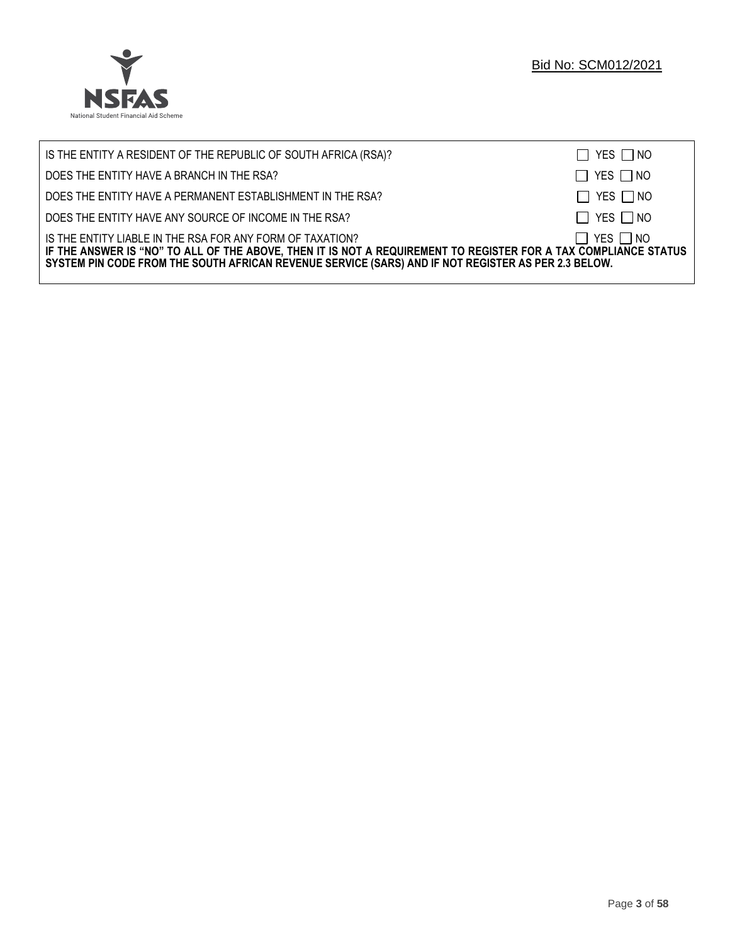

| IS THE ENTITY A RESIDENT OF THE REPUBLIC OF SOUTH AFRICA (RSA)?                                                                                                                                                                                                                     | $\Box$ YES $\Box$ NO |
|-------------------------------------------------------------------------------------------------------------------------------------------------------------------------------------------------------------------------------------------------------------------------------------|----------------------|
| DOES THE ENTITY HAVE A BRANCH IN THE RSA?                                                                                                                                                                                                                                           | $\Box$ YES $\Box$ NO |
| DOES THE ENTITY HAVE A PERMANENT ESTABLISHMENT IN THE RSA?                                                                                                                                                                                                                          | $\Box$ YES $\Box$ NO |
| DOES THE ENTITY HAVE ANY SOURCE OF INCOME IN THE RSA?                                                                                                                                                                                                                               | $\Box$ YES $\Box$ NO |
| IS THE ENTITY LIABLE IN THE RSA FOR ANY FORM OF TAXATION?<br>IF THE ANSWER IS "NO" TO ALL OF THE ABOVE, THEN IT IS NOT A REQUIREMENT TO REGISTER FOR A TAX COMPLIANCE STATUS<br>SYSTEM PIN CODE FROM THE SOUTH AFRICAN REVENUE SERVICE (SARS) AND IF NOT REGISTER AS PER 2.3 BELOW. | $\Box$ YES $\Box$ NO |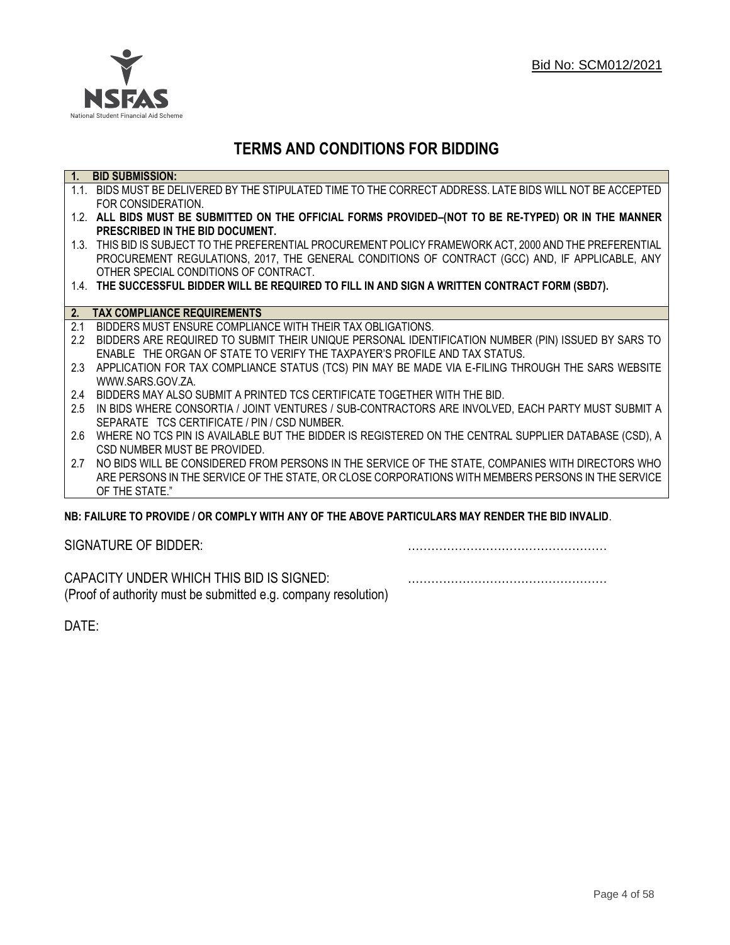

## **TERMS AND CONDITIONS FOR BIDDING**

| 1.            | <b>BID SUBMISSION:</b>                                                                                    |
|---------------|-----------------------------------------------------------------------------------------------------------|
|               | 1.1. BIDS MUST BE DELIVERED BY THE STIPULATED TIME TO THE CORRECT ADDRESS. LATE BIDS WILL NOT BE ACCEPTED |
|               | FOR CONSIDERATION.                                                                                        |
|               | 1.2. ALL BIDS MUST BE SUBMITTED ON THE OFFICIAL FORMS PROVIDED-(NOT TO BE RE-TYPED) OR IN THE MANNER      |
|               | PRESCRIBED IN THE BID DOCUMENT.                                                                           |
|               | 1.3. THIS BID IS SUBJECT TO THE PREFERENTIAL PROCUREMENT POLICY FRAMEWORK ACT, 2000 AND THE PREFERENTIAL  |
|               | PROCUREMENT REGULATIONS, 2017, THE GENERAL CONDITIONS OF CONTRACT (GCC) AND, IF APPLICABLE, ANY           |
|               | OTHER SPECIAL CONDITIONS OF CONTRACT.                                                                     |
|               | 1.4. THE SUCCESSFUL BIDDER WILL BE REQUIRED TO FILL IN AND SIGN A WRITTEN CONTRACT FORM (SBD7).           |
|               |                                                                                                           |
| 2.            | <b>TAX COMPLIANCE REQUIREMENTS</b>                                                                        |
| 2.1           | BIDDERS MUST ENSURE COMPLIANCE WITH THEIR TAX OBLIGATIONS.                                                |
| $2.2\degree$  | BIDDERS ARE REQUIRED TO SUBMIT THEIR UNIQUE PERSONAL IDENTIFICATION NUMBER (PIN) ISSUED BY SARS TO        |
|               | ENABLE THE ORGAN OF STATE TO VERIFY THE TAXPAYER'S PROFILE AND TAX STATUS.                                |
| $2.3^{\circ}$ | APPLICATION FOR TAX COMPLIANCE STATUS (TCS) PIN MAY BE MADE VIA E-FILING THROUGH THE SARS WEBSITE         |
|               | WWW.SARS.GOV.ZA.                                                                                          |
| 2.4           | BIDDERS MAY ALSO SUBMIT A PRINTED TCS CERTIFICATE TOGETHER WITH THE BID.                                  |
| 2.5           | IN BIDS WHERE CONSORTIA / JOINT VENTURES / SUB-CONTRACTORS ARE INVOLVED, EACH PARTY MUST SUBMIT A         |
|               | SEPARATE TCS CERTIFICATE / PIN / CSD NUMBER.                                                              |
| 2.6           | WHERE NO TCS PIN IS AVAILABLE BUT THE BIDDER IS REGISTERED ON THE CENTRAL SUPPLIER DATABASE (CSD), A      |
|               | CSD NUMBER MUST BE PROVIDED.                                                                              |
| 2.7           | NO BIDS WILL BE CONSIDERED FROM PERSONS IN THE SERVICE OF THE STATE, COMPANIES WITH DIRECTORS WHO         |
|               | ARE PERSONS IN THE SERVICE OF THE STATE, OR CLOSE CORPORATIONS WITH MEMBERS PERSONS IN THE SERVICE        |
|               | OF THE STATE."                                                                                            |

## **NB: FAILURE TO PROVIDE / OR COMPLY WITH ANY OF THE ABOVE PARTICULARS MAY RENDER THE BID INVALID**.

| SIGNATURE OF BIDDER: |  |
|----------------------|--|
|                      |  |

CAPACITY UNDER WHICH THIS BID IS SIGNED: …………………………………………… (Proof of authority must be submitted e.g. company resolution)

DATE: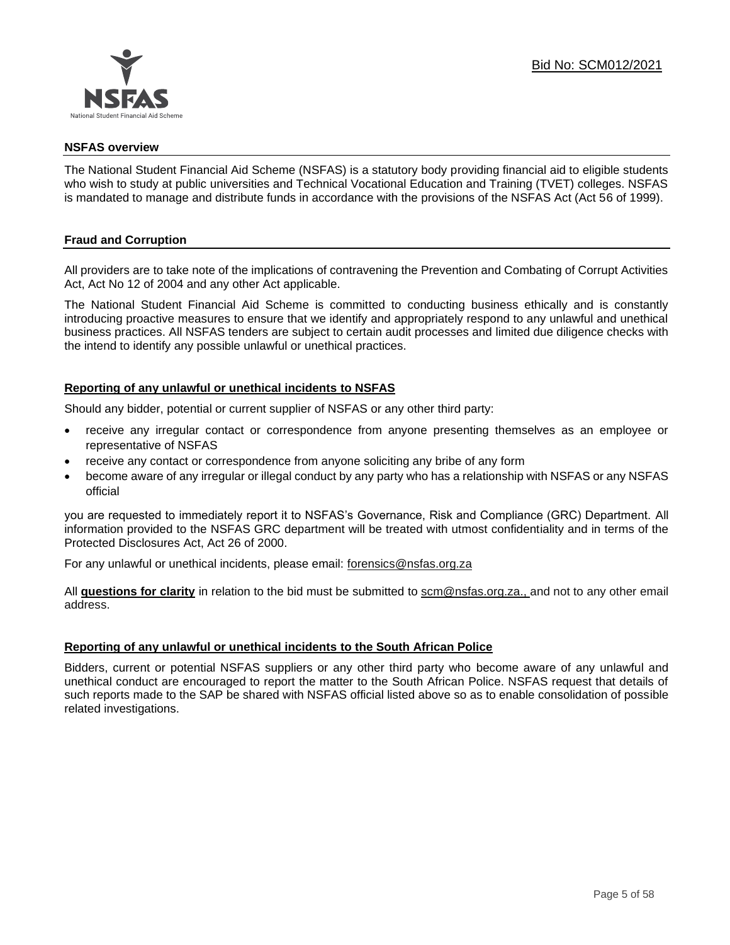

#### **NSFAS overview**

The National Student Financial Aid Scheme (NSFAS) is a statutory body providing financial aid to eligible students who wish to study at public universities and Technical Vocational Education and Training (TVET) colleges. NSFAS is mandated to manage and distribute funds in accordance with the provisions of the NSFAS Act (Act 56 of 1999).

## **Fraud and Corruption**

All providers are to take note of the implications of contravening the Prevention and Combating of Corrupt Activities Act, Act No 12 of 2004 and any other Act applicable.

The National Student Financial Aid Scheme is committed to conducting business ethically and is constantly introducing proactive measures to ensure that we identify and appropriately respond to any unlawful and unethical business practices. All NSFAS tenders are subject to certain audit processes and limited due diligence checks with the intend to identify any possible unlawful or unethical practices.

#### **Reporting of any unlawful or unethical incidents to NSFAS**

Should any bidder, potential or current supplier of NSFAS or any other third party:

- receive any irregular contact or correspondence from anyone presenting themselves as an employee or representative of NSFAS
- receive any contact or correspondence from anyone soliciting any bribe of any form
- become aware of any irregular or illegal conduct by any party who has a relationship with NSFAS or any NSFAS official

you are requested to immediately report it to NSFAS's Governance, Risk and Compliance (GRC) Department. All information provided to the NSFAS GRC department will be treated with utmost confidentiality and in terms of the Protected Disclosures Act, Act 26 of 2000.

For any unlawful or unethical incidents, please email: [forensics@nsfas.org.za](mailto:forensics@nsfas.org.za)

All **questions for clarity** in relation to the bid must be submitted to [scm@nsfas.org.za.](mailto:scm@nsfas.org.za), and not to any other email address.

#### **Reporting of any unlawful or unethical incidents to the South African Police**

Bidders, current or potential NSFAS suppliers or any other third party who become aware of any unlawful and unethical conduct are encouraged to report the matter to the South African Police. NSFAS request that details of such reports made to the SAP be shared with NSFAS official listed above so as to enable consolidation of possible related investigations.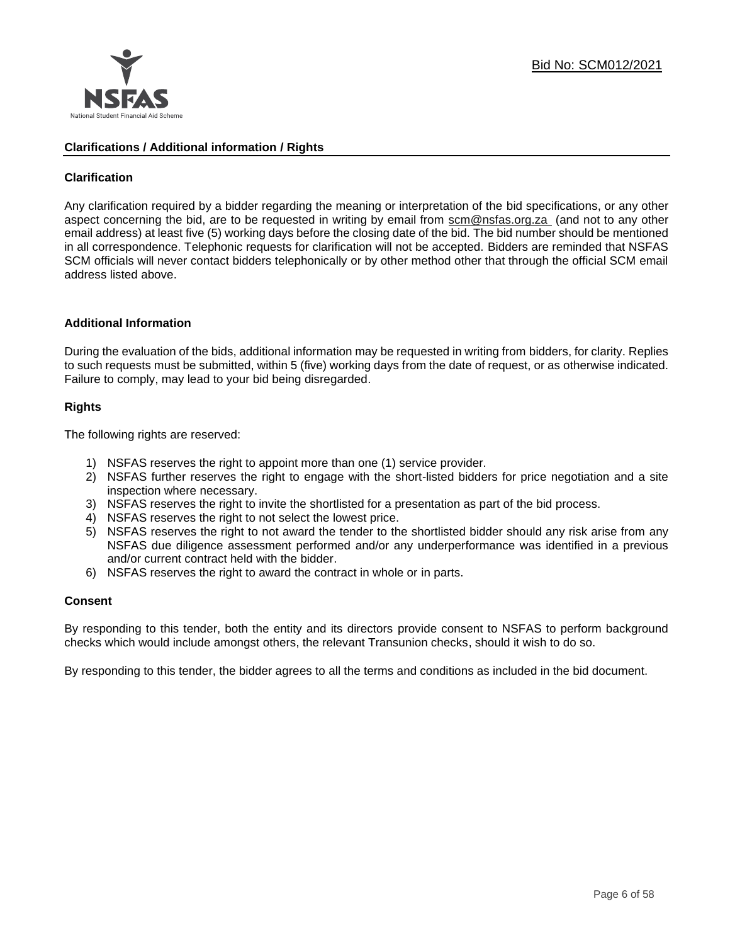

### **Clarifications / Additional information / Rights**

## **Clarification**

Any clarification required by a bidder regarding the meaning or interpretation of the bid specifications, or any other aspect concerning the bid, are to be requested in writing by email from [scm@nsfas.org.za](mailto:scm@nsfas.org.za) (and not to any other email address) at least five (5) working days before the closing date of the bid. The bid number should be mentioned in all correspondence. Telephonic requests for clarification will not be accepted. Bidders are reminded that NSFAS SCM officials will never contact bidders telephonically or by other method other that through the official SCM email address listed above.

#### **Additional Information**

During the evaluation of the bids, additional information may be requested in writing from bidders, for clarity. Replies to such requests must be submitted, within 5 (five) working days from the date of request, or as otherwise indicated. Failure to comply, may lead to your bid being disregarded.

#### **Rights**

The following rights are reserved:

- 1) NSFAS reserves the right to appoint more than one (1) service provider.
- 2) NSFAS further reserves the right to engage with the short-listed bidders for price negotiation and a site inspection where necessary.
- 3) NSFAS reserves the right to invite the shortlisted for a presentation as part of the bid process.
- 4) NSFAS reserves the right to not select the lowest price.
- 5) NSFAS reserves the right to not award the tender to the shortlisted bidder should any risk arise from any NSFAS due diligence assessment performed and/or any underperformance was identified in a previous and/or current contract held with the bidder.
- 6) NSFAS reserves the right to award the contract in whole or in parts.

#### **Consent**

By responding to this tender, both the entity and its directors provide consent to NSFAS to perform background checks which would include amongst others, the relevant Transunion checks, should it wish to do so.

By responding to this tender, the bidder agrees to all the terms and conditions as included in the bid document.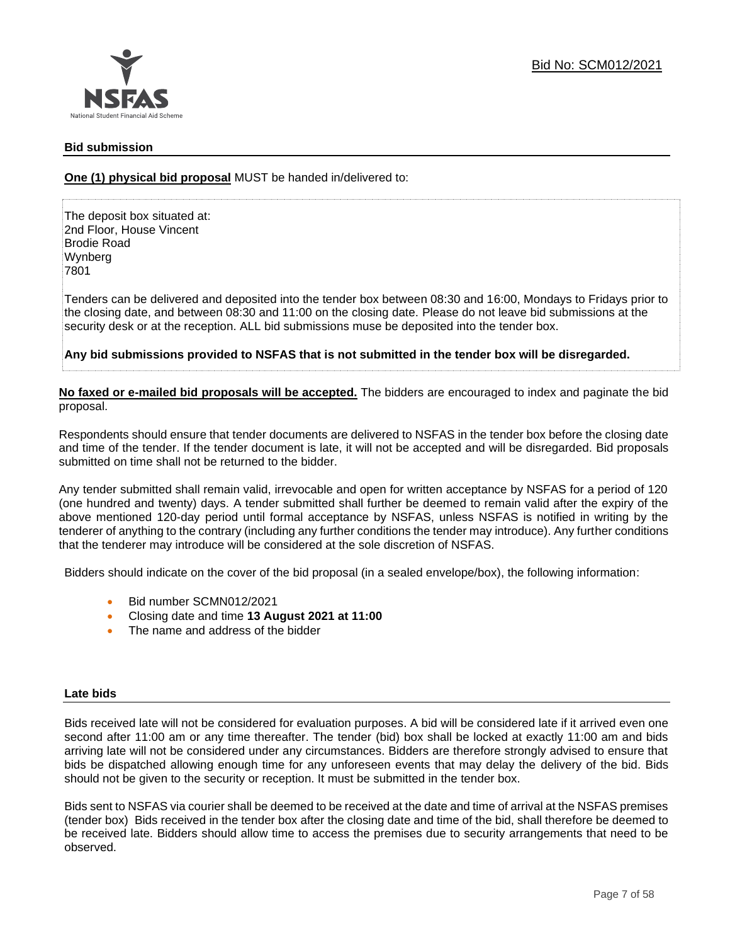

### **Bid submission**

## **One (1) physical bid proposal** MUST be handed in/delivered to:

The deposit box situated at: 2nd Floor, House Vincent Brodie Road Wynberg 7801

Tenders can be delivered and deposited into the tender box between 08:30 and 16:00, Mondays to Fridays prior to the closing date, and between 08:30 and 11:00 on the closing date. Please do not leave bid submissions at the security desk or at the reception. ALL bid submissions muse be deposited into the tender box.

**Any bid submissions provided to NSFAS that is not submitted in the tender box will be disregarded.**

**No faxed or e-mailed bid proposals will be accepted.** The bidders are encouraged to index and paginate the bid proposal.

Respondents should ensure that tender documents are delivered to NSFAS in the tender box before the closing date and time of the tender. If the tender document is late, it will not be accepted and will be disregarded. Bid proposals submitted on time shall not be returned to the bidder.

Any tender submitted shall remain valid, irrevocable and open for written acceptance by NSFAS for a period of 120 (one hundred and twenty) days. A tender submitted shall further be deemed to remain valid after the expiry of the above mentioned 120-day period until formal acceptance by NSFAS, unless NSFAS is notified in writing by the tenderer of anything to the contrary (including any further conditions the tender may introduce). Any further conditions that the tenderer may introduce will be considered at the sole discretion of NSFAS.

Bidders should indicate on the cover of the bid proposal (in a sealed envelope/box), the following information:

- Bid number SCMN012/2021
- Closing date and time **13 August 2021 at 11:00**
- The name and address of the bidder

#### **Late bids**

Bids received late will not be considered for evaluation purposes. A bid will be considered late if it arrived even one second after 11:00 am or any time thereafter. The tender (bid) box shall be locked at exactly 11:00 am and bids arriving late will not be considered under any circumstances. Bidders are therefore strongly advised to ensure that bids be dispatched allowing enough time for any unforeseen events that may delay the delivery of the bid. Bids should not be given to the security or reception. It must be submitted in the tender box.

Bids sent to NSFAS via courier shall be deemed to be received at the date and time of arrival at the NSFAS premises (tender box) Bids received in the tender box after the closing date and time of the bid, shall therefore be deemed to be received late. Bidders should allow time to access the premises due to security arrangements that need to be observed.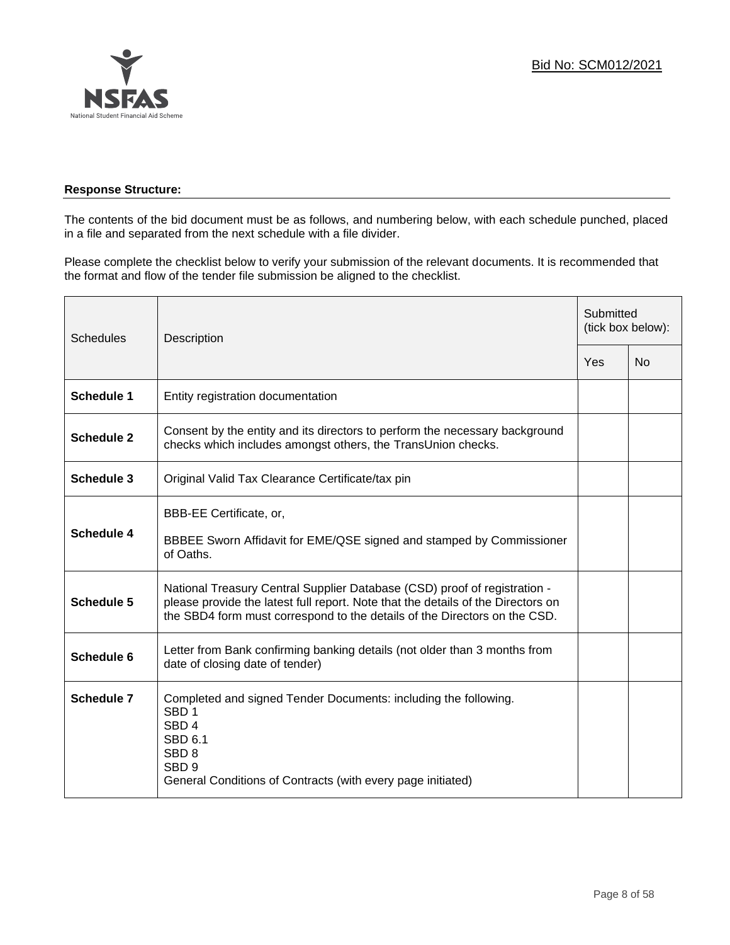

## **Response Structure:**

The contents of the bid document must be as follows, and numbering below, with each schedule punched, placed in a file and separated from the next schedule with a file divider.

Please complete the checklist below to verify your submission of the relevant documents. It is recommended that the format and flow of the tender file submission be aligned to the checklist.

| <b>Schedules</b>  | Description                                                                                                                                                                                                                                |     | Submitted<br>(tick box below): |  |
|-------------------|--------------------------------------------------------------------------------------------------------------------------------------------------------------------------------------------------------------------------------------------|-----|--------------------------------|--|
|                   |                                                                                                                                                                                                                                            | Yes | N <sub>0</sub>                 |  |
| <b>Schedule 1</b> | Entity registration documentation                                                                                                                                                                                                          |     |                                |  |
| <b>Schedule 2</b> | Consent by the entity and its directors to perform the necessary background<br>checks which includes amongst others, the TransUnion checks.                                                                                                |     |                                |  |
| <b>Schedule 3</b> | Original Valid Tax Clearance Certificate/tax pin                                                                                                                                                                                           |     |                                |  |
| Schedule 4        | BBB-EE Certificate, or,<br>BBBEE Sworn Affidavit for EME/QSE signed and stamped by Commissioner<br>of Oaths.                                                                                                                               |     |                                |  |
| <b>Schedule 5</b> | National Treasury Central Supplier Database (CSD) proof of registration -<br>please provide the latest full report. Note that the details of the Directors on<br>the SBD4 form must correspond to the details of the Directors on the CSD. |     |                                |  |
| Schedule 6        | Letter from Bank confirming banking details (not older than 3 months from<br>date of closing date of tender)                                                                                                                               |     |                                |  |
| <b>Schedule 7</b> | Completed and signed Tender Documents: including the following.<br>SBD <sub>1</sub><br>SBD <sub>4</sub><br><b>SBD 6.1</b><br>SBD <sub>8</sub><br>SBD <sub>9</sub><br>General Conditions of Contracts (with every page initiated)           |     |                                |  |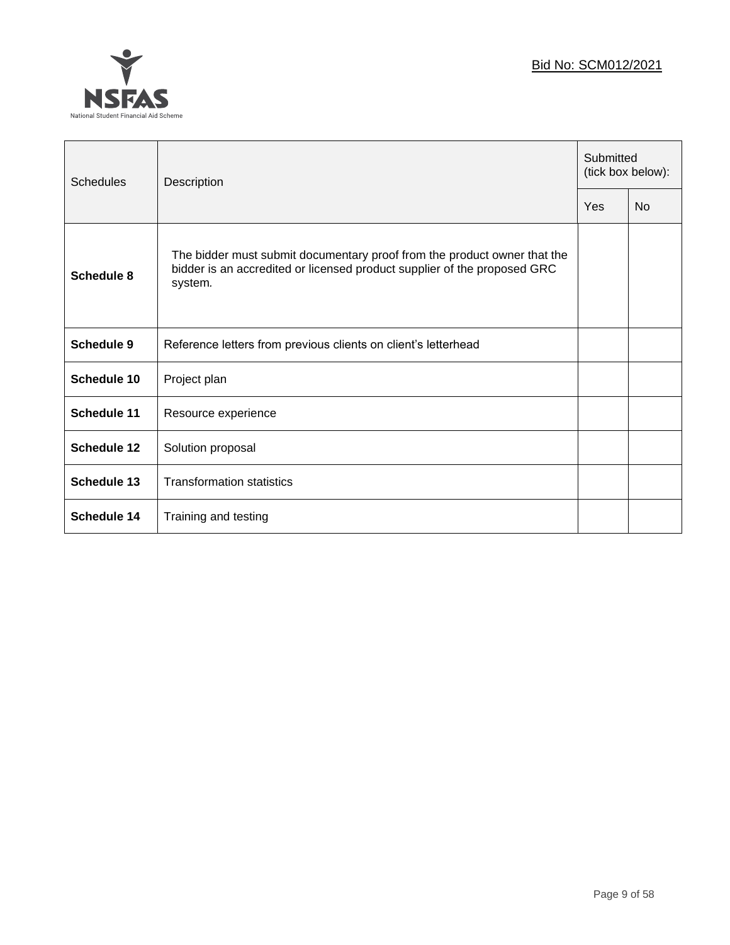

| Schedules          | Description                                                                                                                                                     |     | Submitted<br>(tick box below): |  |
|--------------------|-----------------------------------------------------------------------------------------------------------------------------------------------------------------|-----|--------------------------------|--|
|                    |                                                                                                                                                                 | Yes | <b>No</b>                      |  |
| Schedule 8         | The bidder must submit documentary proof from the product owner that the<br>bidder is an accredited or licensed product supplier of the proposed GRC<br>system. |     |                                |  |
| <b>Schedule 9</b>  | Reference letters from previous clients on client's letterhead                                                                                                  |     |                                |  |
| Schedule 10        | Project plan                                                                                                                                                    |     |                                |  |
| <b>Schedule 11</b> | Resource experience                                                                                                                                             |     |                                |  |
| <b>Schedule 12</b> | Solution proposal                                                                                                                                               |     |                                |  |
| <b>Schedule 13</b> | <b>Transformation statistics</b>                                                                                                                                |     |                                |  |
| Schedule 14        | Training and testing                                                                                                                                            |     |                                |  |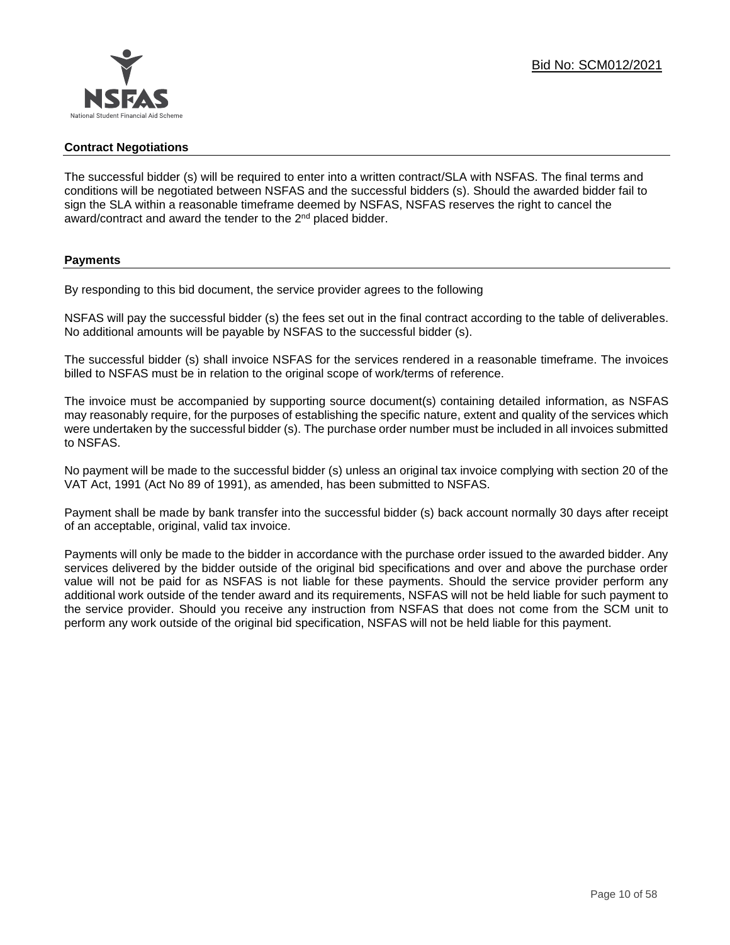

#### **Contract Negotiations**

The successful bidder (s) will be required to enter into a written contract/SLA with NSFAS. The final terms and conditions will be negotiated between NSFAS and the successful bidders (s). Should the awarded bidder fail to sign the SLA within a reasonable timeframe deemed by NSFAS, NSFAS reserves the right to cancel the award/contract and award the tender to the 2<sup>nd</sup> placed bidder.

#### **Payments**

By responding to this bid document, the service provider agrees to the following

NSFAS will pay the successful bidder (s) the fees set out in the final contract according to the table of deliverables. No additional amounts will be payable by NSFAS to the successful bidder (s).

The successful bidder (s) shall invoice NSFAS for the services rendered in a reasonable timeframe. The invoices billed to NSFAS must be in relation to the original scope of work/terms of reference.

The invoice must be accompanied by supporting source document(s) containing detailed information, as NSFAS may reasonably require, for the purposes of establishing the specific nature, extent and quality of the services which were undertaken by the successful bidder (s). The purchase order number must be included in all invoices submitted to NSFAS.

No payment will be made to the successful bidder (s) unless an original tax invoice complying with section 20 of the VAT Act, 1991 (Act No 89 of 1991), as amended, has been submitted to NSFAS.

Payment shall be made by bank transfer into the successful bidder (s) back account normally 30 days after receipt of an acceptable, original, valid tax invoice.

Payments will only be made to the bidder in accordance with the purchase order issued to the awarded bidder. Any services delivered by the bidder outside of the original bid specifications and over and above the purchase order value will not be paid for as NSFAS is not liable for these payments. Should the service provider perform any additional work outside of the tender award and its requirements, NSFAS will not be held liable for such payment to the service provider. Should you receive any instruction from NSFAS that does not come from the SCM unit to perform any work outside of the original bid specification, NSFAS will not be held liable for this payment.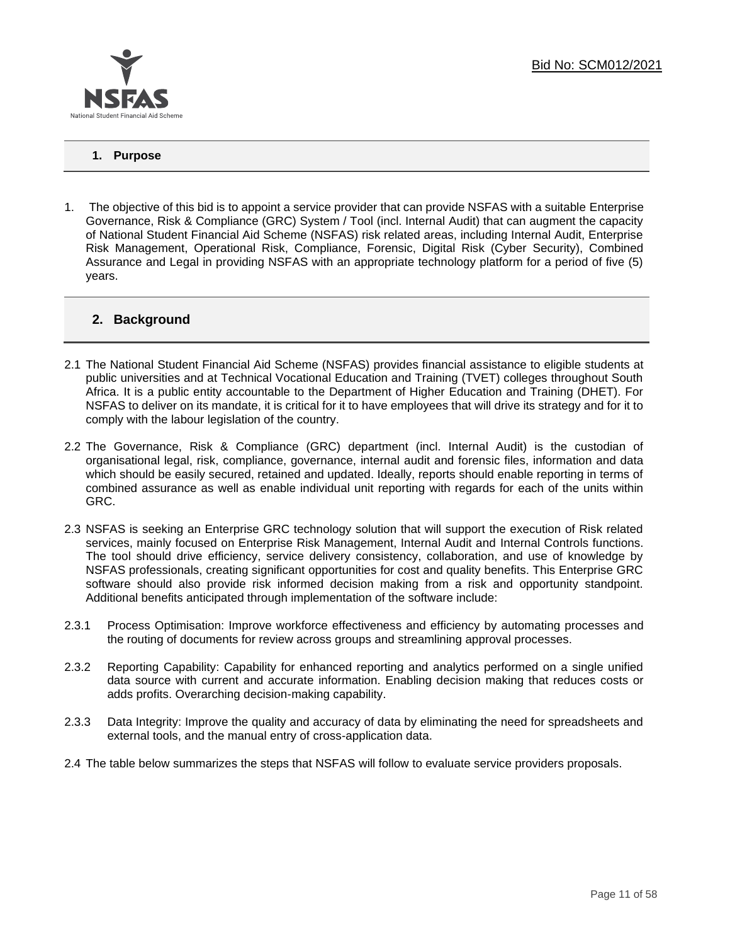

## **1. Purpose**

1. The objective of this bid is to appoint a service provider that can provide NSFAS with a suitable Enterprise Governance, Risk & Compliance (GRC) System / Tool (incl. Internal Audit) that can augment the capacity of National Student Financial Aid Scheme (NSFAS) risk related areas, including Internal Audit, Enterprise Risk Management, Operational Risk, Compliance, Forensic, Digital Risk (Cyber Security), Combined Assurance and Legal in providing NSFAS with an appropriate technology platform for a period of five (5) years.

## **2. Background**

- 2.1 The National Student Financial Aid Scheme (NSFAS) provides financial assistance to eligible students at public universities and at Technical Vocational Education and Training (TVET) colleges throughout South Africa. It is a public entity accountable to the Department of Higher Education and Training (DHET). For NSFAS to deliver on its mandate, it is critical for it to have employees that will drive its strategy and for it to comply with the labour legislation of the country.
- 2.2 The Governance, Risk & Compliance (GRC) department (incl. Internal Audit) is the custodian of organisational legal, risk, compliance, governance, internal audit and forensic files, information and data which should be easily secured, retained and updated. Ideally, reports should enable reporting in terms of combined assurance as well as enable individual unit reporting with regards for each of the units within GRC.
- 2.3 NSFAS is seeking an Enterprise GRC technology solution that will support the execution of Risk related services, mainly focused on Enterprise Risk Management, Internal Audit and Internal Controls functions. The tool should drive efficiency, service delivery consistency, collaboration, and use of knowledge by NSFAS professionals, creating significant opportunities for cost and quality benefits. This Enterprise GRC software should also provide risk informed decision making from a risk and opportunity standpoint. Additional benefits anticipated through implementation of the software include:
- 2.3.1 Process Optimisation: Improve workforce effectiveness and efficiency by automating processes and the routing of documents for review across groups and streamlining approval processes.
- 2.3.2 Reporting Capability: Capability for enhanced reporting and analytics performed on a single unified data source with current and accurate information. Enabling decision making that reduces costs or adds profits. Overarching decision-making capability.
- 2.3.3 Data Integrity: Improve the quality and accuracy of data by eliminating the need for spreadsheets and external tools, and the manual entry of cross-application data.
- 2.4 The table below summarizes the steps that NSFAS will follow to evaluate service providers proposals.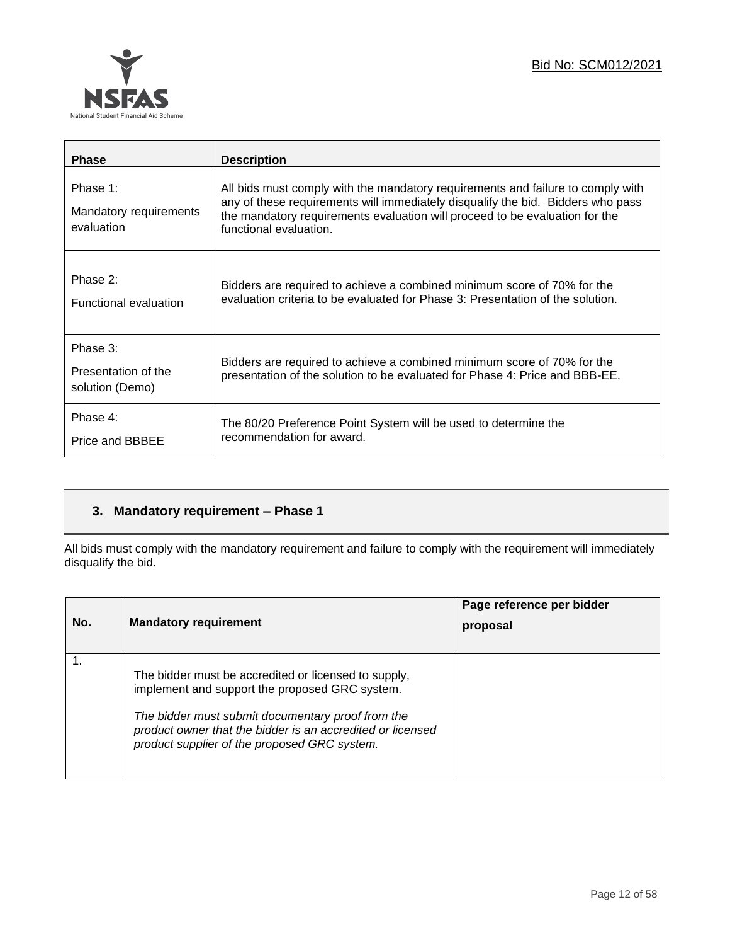

| <b>Phase</b>                                       | <b>Description</b>                                                                                                                                                                                                                                                          |
|----------------------------------------------------|-----------------------------------------------------------------------------------------------------------------------------------------------------------------------------------------------------------------------------------------------------------------------------|
| Phase 1:<br>Mandatory requirements<br>evaluation   | All bids must comply with the mandatory requirements and failure to comply with<br>any of these requirements will immediately disqualify the bid. Bidders who pass<br>the mandatory requirements evaluation will proceed to be evaluation for the<br>functional evaluation. |
| Phase 2:<br><b>Functional evaluation</b>           | Bidders are required to achieve a combined minimum score of 70% for the<br>evaluation criteria to be evaluated for Phase 3: Presentation of the solution.                                                                                                                   |
| Phase 3:<br>Presentation of the<br>solution (Demo) | Bidders are required to achieve a combined minimum score of 70% for the<br>presentation of the solution to be evaluated for Phase 4: Price and BBB-EE.                                                                                                                      |
| Phase 4:<br>Price and BBBEE                        | The 80/20 Preference Point System will be used to determine the<br>recommendation for award.                                                                                                                                                                                |

## **3. Mandatory requirement – Phase 1**

All bids must comply with the mandatory requirement and failure to comply with the requirement will immediately disqualify the bid.

| No. | <b>Mandatory requirement</b>                                                                                                                                                                                                                                              | Page reference per bidder<br>proposal |
|-----|---------------------------------------------------------------------------------------------------------------------------------------------------------------------------------------------------------------------------------------------------------------------------|---------------------------------------|
|     | The bidder must be accredited or licensed to supply,<br>implement and support the proposed GRC system.<br>The bidder must submit documentary proof from the<br>product owner that the bidder is an accredited or licensed<br>product supplier of the proposed GRC system. |                                       |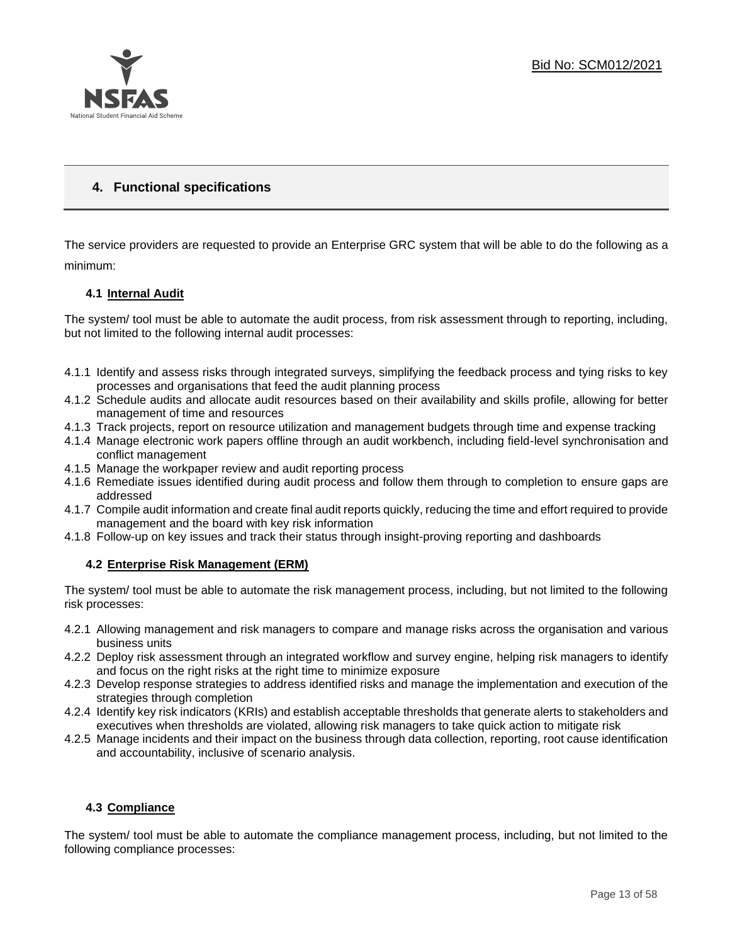

## **4. Functional specifications**

The service providers are requested to provide an Enterprise GRC system that will be able to do the following as a minimum:

## **4.1 Internal Audit**

The system/ tool must be able to automate the audit process, from risk assessment through to reporting, including, but not limited to the following internal audit processes:

- 4.1.1 Identify and assess risks through integrated surveys, simplifying the feedback process and tying risks to key processes and organisations that feed the audit planning process
- 4.1.2 Schedule audits and allocate audit resources based on their availability and skills profile, allowing for better management of time and resources
- 4.1.3 Track projects, report on resource utilization and management budgets through time and expense tracking
- 4.1.4 Manage electronic work papers offline through an audit workbench, including field-level synchronisation and conflict management
- 4.1.5 Manage the workpaper review and audit reporting process
- 4.1.6 Remediate issues identified during audit process and follow them through to completion to ensure gaps are addressed
- 4.1.7 Compile audit information and create final audit reports quickly, reducing the time and effort required to provide management and the board with key risk information
- 4.1.8 Follow-up on key issues and track their status through insight-proving reporting and dashboards

## **4.2 Enterprise Risk Management (ERM)**

The system/ tool must be able to automate the risk management process, including, but not limited to the following risk processes:

- 4.2.1 Allowing management and risk managers to compare and manage risks across the organisation and various business units
- 4.2.2 Deploy risk assessment through an integrated workflow and survey engine, helping risk managers to identify and focus on the right risks at the right time to minimize exposure
- 4.2.3 Develop response strategies to address identified risks and manage the implementation and execution of the strategies through completion
- 4.2.4 Identify key risk indicators (KRIs) and establish acceptable thresholds that generate alerts to stakeholders and executives when thresholds are violated, allowing risk managers to take quick action to mitigate risk
- 4.2.5 Manage incidents and their impact on the business through data collection, reporting, root cause identification and accountability, inclusive of scenario analysis.

## **4.3 Compliance**

The system/ tool must be able to automate the compliance management process, including, but not limited to the following compliance processes: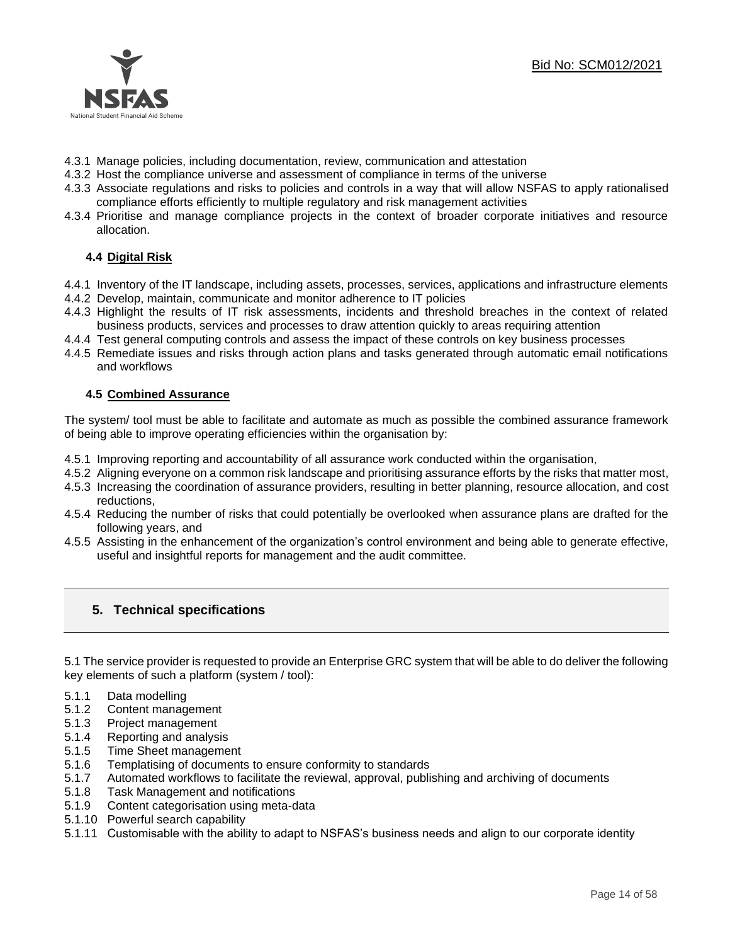

- 4.3.1 Manage policies, including documentation, review, communication and attestation
- 4.3.2 Host the compliance universe and assessment of compliance in terms of the universe
- 4.3.3 Associate regulations and risks to policies and controls in a way that will allow NSFAS to apply rationalised compliance efforts efficiently to multiple regulatory and risk management activities
- 4.3.4 Prioritise and manage compliance projects in the context of broader corporate initiatives and resource allocation.

## **4.4 Digital Risk**

- 4.4.1 Inventory of the IT landscape, including assets, processes, services, applications and infrastructure elements
- 4.4.2 Develop, maintain, communicate and monitor adherence to IT policies
- 4.4.3 Highlight the results of IT risk assessments, incidents and threshold breaches in the context of related business products, services and processes to draw attention quickly to areas requiring attention
- 4.4.4 Test general computing controls and assess the impact of these controls on key business processes
- 4.4.5 Remediate issues and risks through action plans and tasks generated through automatic email notifications and workflows

#### **4.5 Combined Assurance**

The system/ tool must be able to facilitate and automate as much as possible the combined assurance framework of being able to improve operating efficiencies within the organisation by:

- 4.5.1 Improving reporting and accountability of all assurance work conducted within the organisation,
- 4.5.2 Aligning everyone on a common risk landscape and prioritising assurance efforts by the risks that matter most,
- 4.5.3 Increasing the coordination of assurance providers, resulting in better planning, resource allocation, and cost reductions,
- 4.5.4 Reducing the number of risks that could potentially be overlooked when assurance plans are drafted for the following years, and
- 4.5.5 Assisting in the enhancement of the organization's control environment and being able to generate effective, useful and insightful reports for management and the audit committee.

## **5. Technical specifications**

5.1 The service provider is requested to provide an Enterprise GRC system that will be able to do deliver the following key elements of such a platform (system / tool):

- 5.1.1 Data modelling
- 5.1.2 Content management
- 5.1.3 Project management
- 5.1.4 Reporting and analysis
- 5.1.5 Time Sheet management
- 5.1.6 Templatising of documents to ensure conformity to standards
- 5.1.7 Automated workflows to facilitate the reviewal, approval, publishing and archiving of documents
- 5.1.8 Task Management and notifications
- 5.1.9 Content categorisation using meta-data
- 5.1.10 Powerful search capability
- 5.1.11 Customisable with the ability to adapt to NSFAS's business needs and align to our corporate identity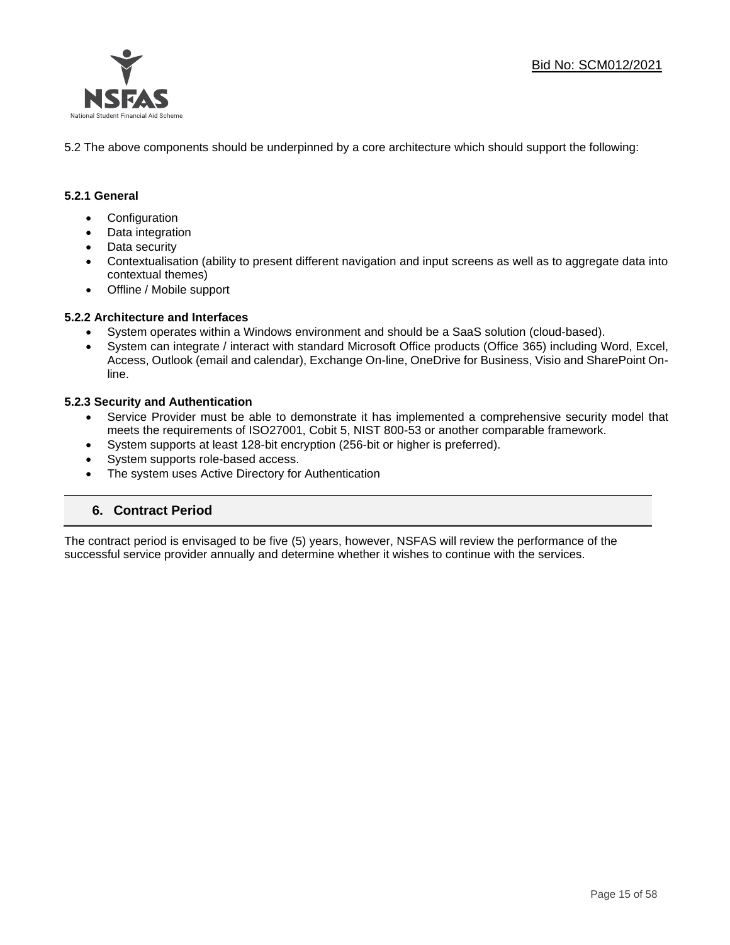

5.2 The above components should be underpinned by a core architecture which should support the following:

## **5.2.1 General**

- Configuration
- Data integration
- Data security
- Contextualisation (ability to present different navigation and input screens as well as to aggregate data into contextual themes)
- Offline / Mobile support

#### **5.2.2 Architecture and Interfaces**

- System operates within a Windows environment and should be a SaaS solution (cloud-based).
- System can integrate / interact with standard Microsoft Office products (Office 365) including Word, Excel, Access, Outlook (email and calendar), Exchange On-line, OneDrive for Business, Visio and SharePoint Online.

#### **5.2.3 Security and Authentication**

- Service Provider must be able to demonstrate it has implemented a comprehensive security model that meets the requirements of ISO27001, Cobit 5, NIST 800-53 or another comparable framework.
- System supports at least 128-bit encryption (256-bit or higher is preferred).
- System supports role-based access.
- The system uses Active Directory for Authentication

## **6. Contract Period**

The contract period is envisaged to be five (5) years, however, NSFAS will review the performance of the successful service provider annually and determine whether it wishes to continue with the services.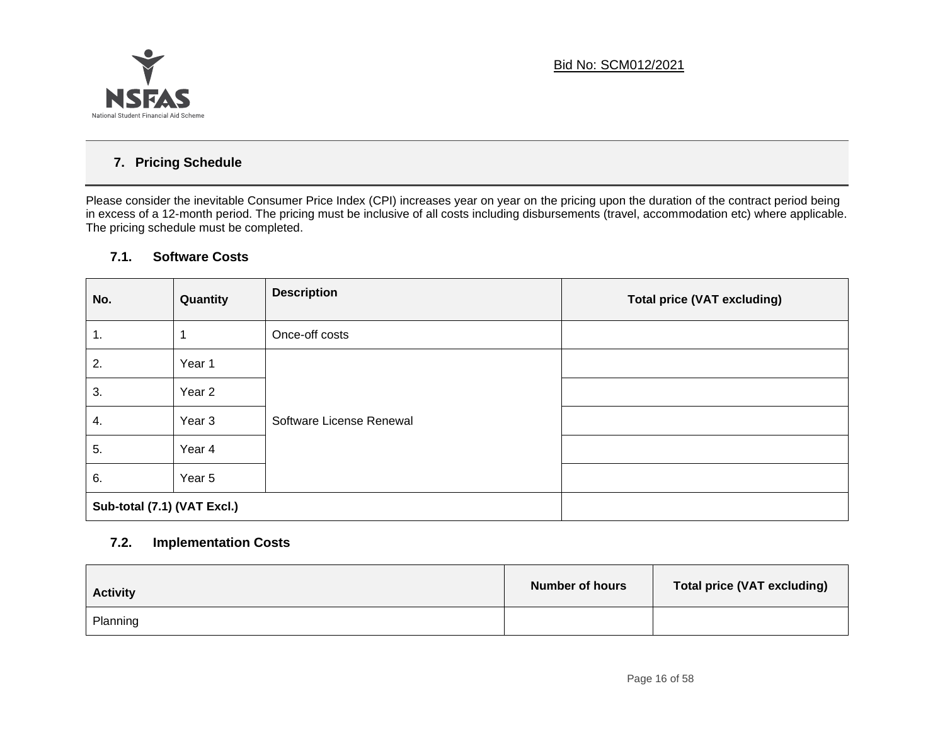

## **7. Pricing Schedule**

Please consider the inevitable Consumer Price Index (CPI) increases year on year on the pricing upon the duration of the contract period being in excess of a 12-month period. The pricing must be inclusive of all costs including disbursements (travel, accommodation etc) where applicable. The pricing schedule must be completed.

## **7.1. Software Costs**

| No.                         | Quantity          | <b>Description</b>       | <b>Total price (VAT excluding)</b> |
|-----------------------------|-------------------|--------------------------|------------------------------------|
| $\overline{1}$ .            |                   | Once-off costs           |                                    |
| 2.                          | Year 1            |                          |                                    |
| 3.                          | Year 2            | Software License Renewal |                                    |
| 4.                          | Year <sub>3</sub> |                          |                                    |
| 5.                          | Year 4            |                          |                                    |
| 6.                          | Year 5            |                          |                                    |
| Sub-total (7.1) (VAT Excl.) |                   |                          |                                    |

## **7.2. Implementation Costs**

| <b>Activity</b> | <b>Number of hours</b> | <b>Total price (VAT excluding)</b> |
|-----------------|------------------------|------------------------------------|
| Planning        |                        |                                    |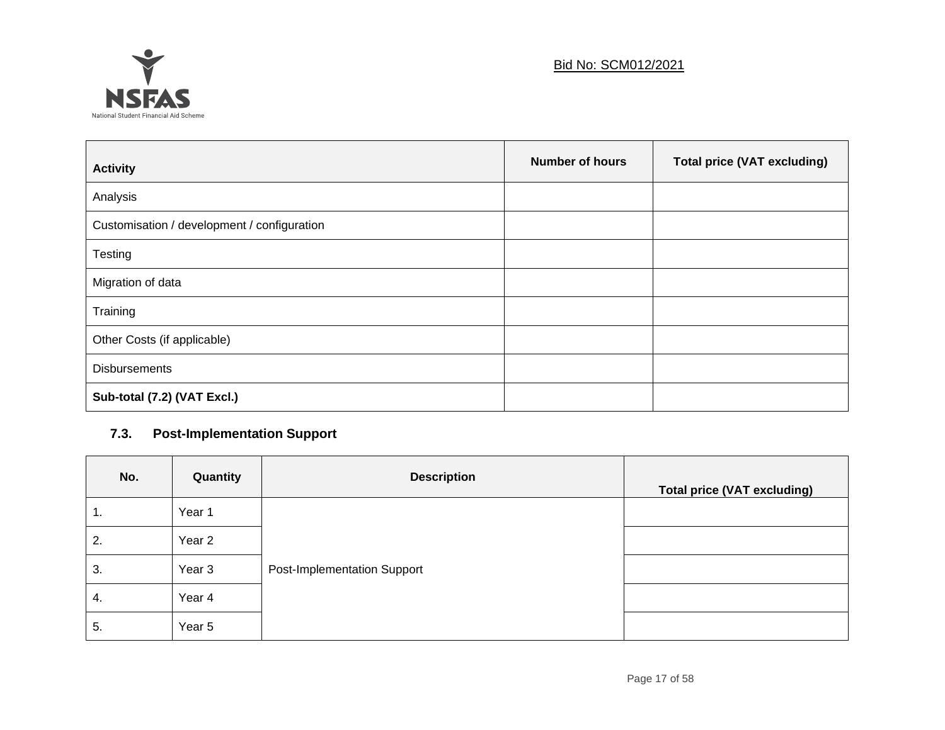

| <b>Activity</b>                             | <b>Number of hours</b> | <b>Total price (VAT excluding)</b> |
|---------------------------------------------|------------------------|------------------------------------|
| Analysis                                    |                        |                                    |
| Customisation / development / configuration |                        |                                    |
| Testing                                     |                        |                                    |
| Migration of data                           |                        |                                    |
| Training                                    |                        |                                    |
| Other Costs (if applicable)                 |                        |                                    |
| <b>Disbursements</b>                        |                        |                                    |
| Sub-total (7.2) (VAT Excl.)                 |                        |                                    |

## **7.3. Post-Implementation Support**

| No. | Quantity | <b>Description</b>                 | <b>Total price (VAT excluding)</b> |
|-----|----------|------------------------------------|------------------------------------|
| 1.  | Year 1   |                                    |                                    |
| 2.  | Year 2   |                                    |                                    |
| 3.  | Year 3   | <b>Post-Implementation Support</b> |                                    |
| 4.  | Year 4   |                                    |                                    |
| 5.  | Year 5   |                                    |                                    |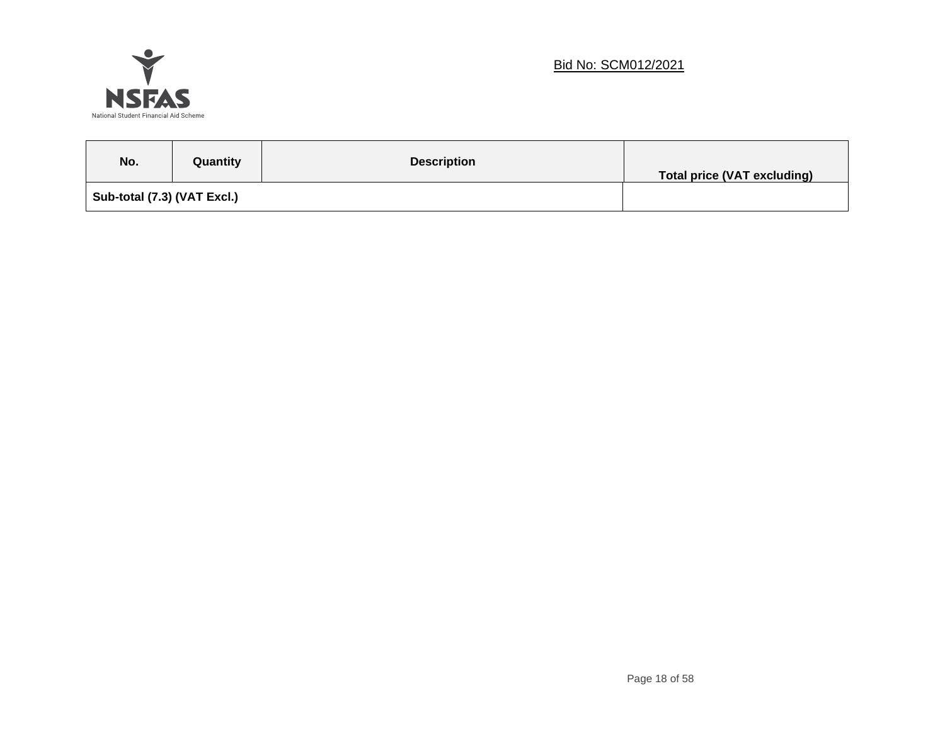

## Bid No: SCM012/2021

| No.                         | Quantity | <b>Description</b> | Total price (VAT excluding) |
|-----------------------------|----------|--------------------|-----------------------------|
| Sub-total (7.3) (VAT Excl.) |          |                    |                             |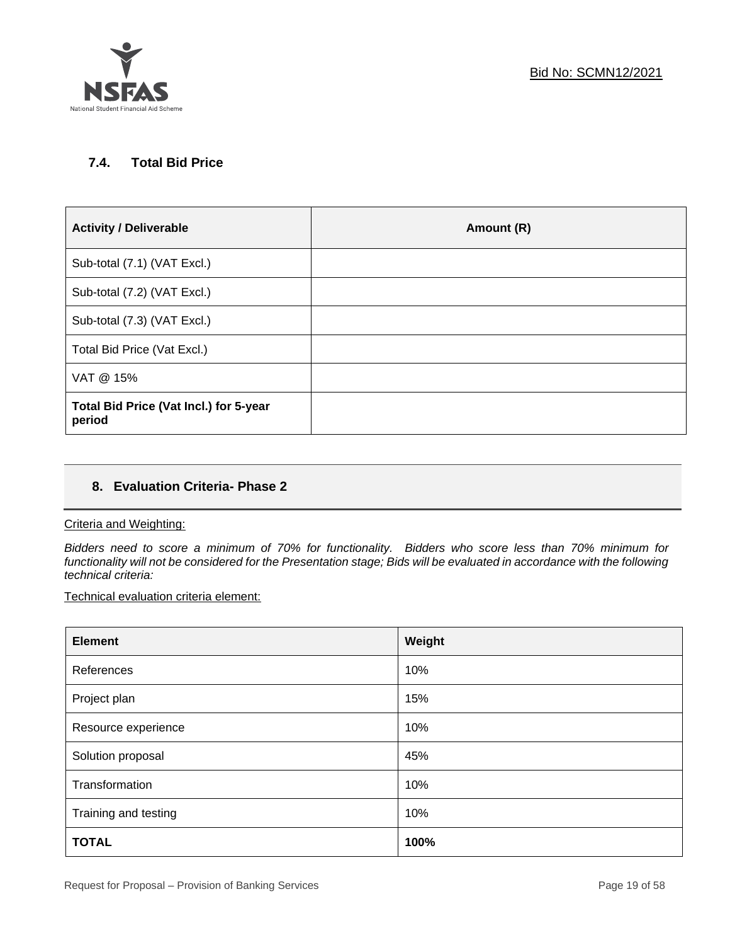

## **7.4. Total Bid Price**

| <b>Activity / Deliverable</b>                    | Amount (R) |
|--------------------------------------------------|------------|
| Sub-total (7.1) (VAT Excl.)                      |            |
| Sub-total (7.2) (VAT Excl.)                      |            |
| Sub-total (7.3) (VAT Excl.)                      |            |
| Total Bid Price (Vat Excl.)                      |            |
| VAT @ 15%                                        |            |
| Total Bid Price (Vat Incl.) for 5-year<br>period |            |

## **8. Evaluation Criteria- Phase 2**

## Criteria and Weighting:

*Bidders need to score a minimum of 70% for functionality. Bidders who score less than 70% minimum for functionality will not be considered for the Presentation stage; Bids will be evaluated in accordance with the following technical criteria:*

Technical evaluation criteria element:

| <b>Element</b>       | Weight |
|----------------------|--------|
| References           | 10%    |
| Project plan         | 15%    |
| Resource experience  | 10%    |
| Solution proposal    | 45%    |
| Transformation       | 10%    |
| Training and testing | 10%    |
| <b>TOTAL</b>         | 100%   |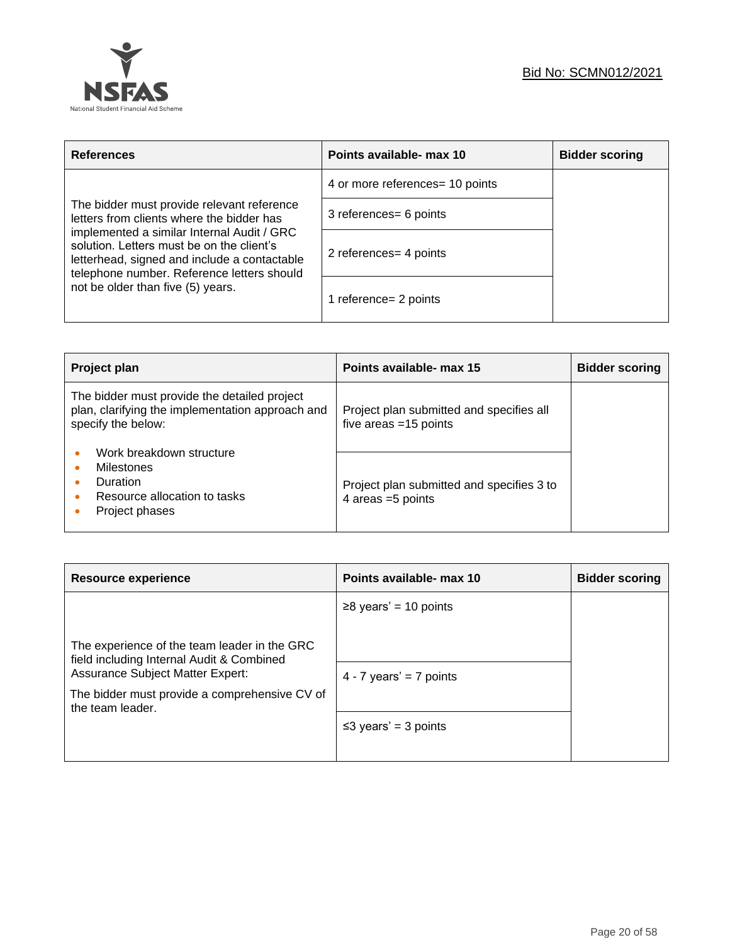

| <b>References</b>                                                                                                                                                                     | Points available- max 10        | <b>Bidder scoring</b> |
|---------------------------------------------------------------------------------------------------------------------------------------------------------------------------------------|---------------------------------|-----------------------|
|                                                                                                                                                                                       | 4 or more references= 10 points |                       |
| The bidder must provide relevant reference<br>letters from clients where the bidder has                                                                                               | 3 references = 6 points         |                       |
| implemented a similar Internal Audit / GRC<br>solution. Letters must be on the client's<br>letterhead, signed and include a contactable<br>telephone number. Reference letters should | 2 references = 4 points         |                       |
| not be older than five (5) years.                                                                                                                                                     | 1 reference= 2 points           |                       |

| Project plan                                                                                                           | Points available- max 15                                            | <b>Bidder scoring</b> |
|------------------------------------------------------------------------------------------------------------------------|---------------------------------------------------------------------|-----------------------|
| The bidder must provide the detailed project<br>plan, clarifying the implementation approach and<br>specify the below: | Project plan submitted and specifies all<br>five areas $=15$ points |                       |
| Work breakdown structure<br>Milestones<br>Duration<br>Resource allocation to tasks<br>Project phases                   | Project plan submitted and specifies 3 to<br>4 areas = 5 points     |                       |

| Resource experience                                                                                                                                                                                | Points available- max 10   | <b>Bidder scoring</b> |
|----------------------------------------------------------------------------------------------------------------------------------------------------------------------------------------------------|----------------------------|-----------------------|
|                                                                                                                                                                                                    | $≥8$ years' = 10 points    |                       |
| The experience of the team leader in the GRC<br>field including Internal Audit & Combined<br>Assurance Subject Matter Expert:<br>The bidder must provide a comprehensive CV of<br>the team leader. | 4 - 7 years' = 7 points    |                       |
|                                                                                                                                                                                                    |                            |                       |
|                                                                                                                                                                                                    | $\leq$ 3 years' = 3 points |                       |
|                                                                                                                                                                                                    |                            |                       |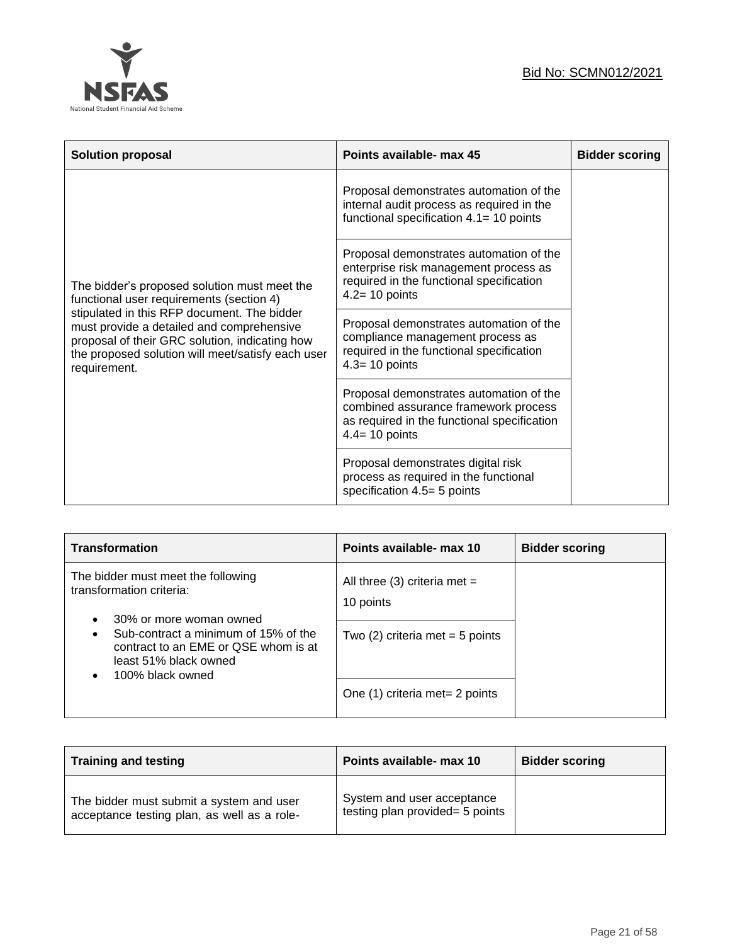



| <b>Solution proposal</b>                                                                                                                                                                                        | Points available- max 45                                                                                                                            | <b>Bidder scoring</b> |
|-----------------------------------------------------------------------------------------------------------------------------------------------------------------------------------------------------------------|-----------------------------------------------------------------------------------------------------------------------------------------------------|-----------------------|
|                                                                                                                                                                                                                 | Proposal demonstrates automation of the<br>internal audit process as required in the<br>functional specification $4.1 = 10$ points                  |                       |
| The bidder's proposed solution must meet the<br>functional user requirements (section 4)                                                                                                                        | Proposal demonstrates automation of the<br>enterprise risk management process as<br>required in the functional specification<br>$4.2 = 10$ points   |                       |
| stipulated in this RFP document. The bidder<br>must provide a detailed and comprehensive<br>proposal of their GRC solution, indicating how<br>the proposed solution will meet/satisfy each user<br>requirement. | Proposal demonstrates automation of the<br>compliance management process as<br>required in the functional specification<br>$4.3 = 10$ points        |                       |
|                                                                                                                                                                                                                 | Proposal demonstrates automation of the<br>combined assurance framework process<br>as required in the functional specification<br>$4.4 = 10$ points |                       |
|                                                                                                                                                                                                                 | Proposal demonstrates digital risk<br>process as required in the functional<br>specification 4.5= 5 points                                          |                       |

| <b>Transformation</b>                                                                                                                                                                                                  | Points available- max 10                                                       | <b>Bidder scoring</b> |
|------------------------------------------------------------------------------------------------------------------------------------------------------------------------------------------------------------------------|--------------------------------------------------------------------------------|-----------------------|
| The bidder must meet the following<br>transformation criteria:<br>30% or more woman owned<br>Sub-contract a minimum of 15% of the<br>contract to an EME or QSE whom is at<br>least 51% black owned<br>100% black owned | All three (3) criteria met =<br>10 points<br>Two $(2)$ criteria met = 5 points |                       |
|                                                                                                                                                                                                                        | One (1) criteria met= 2 points                                                 |                       |

| <b>Training and testing</b>                                                             | Points available- max 10                                      | <b>Bidder scoring</b> |
|-----------------------------------------------------------------------------------------|---------------------------------------------------------------|-----------------------|
| The bidder must submit a system and user<br>acceptance testing plan, as well as a role- | System and user acceptance<br>testing plan provided= 5 points |                       |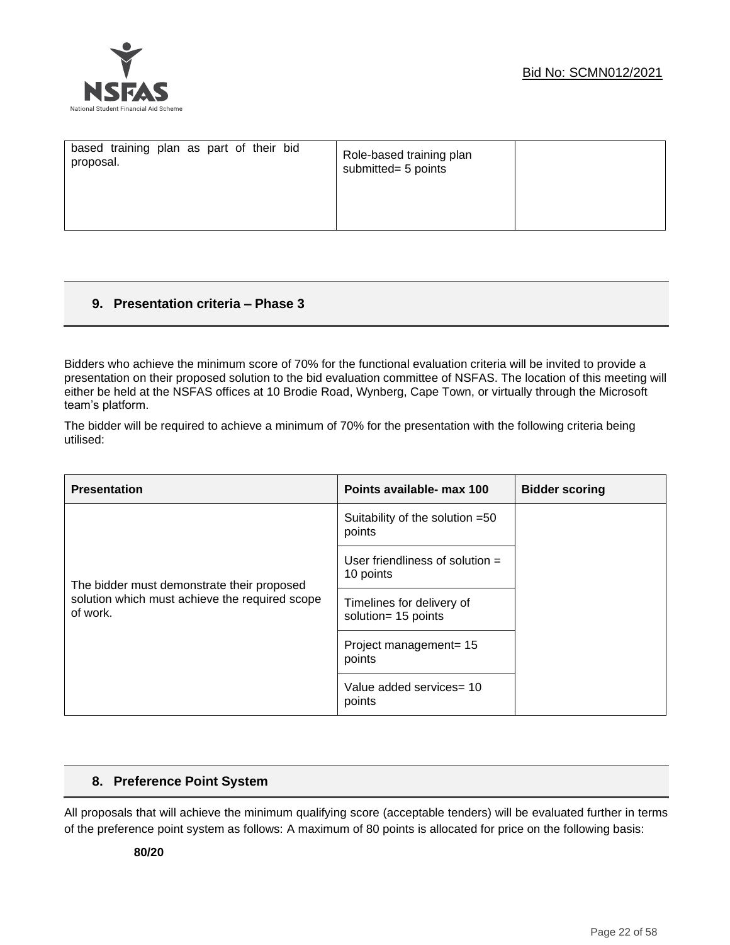

| based training plan as part of their bid<br>proposal. | Role-based training plan<br>submitted= 5 points |  |
|-------------------------------------------------------|-------------------------------------------------|--|
|                                                       |                                                 |  |

## **9. Presentation criteria – Phase 3**

Bidders who achieve the minimum score of 70% for the functional evaluation criteria will be invited to provide a presentation on their proposed solution to the bid evaluation committee of NSFAS. The location of this meeting will either be held at the NSFAS offices at 10 Brodie Road, Wynberg, Cape Town, or virtually through the Microsoft team's platform.

The bidder will be required to achieve a minimum of 70% for the presentation with the following criteria being utilised:

| <b>Presentation</b>                                        | Points available- max 100                        | <b>Bidder scoring</b> |
|------------------------------------------------------------|--------------------------------------------------|-----------------------|
|                                                            | Suitability of the solution =50<br>points        |                       |
| The bidder must demonstrate their proposed                 | User friendliness of solution $=$<br>10 points   |                       |
| solution which must achieve the required scope<br>of work. | Timelines for delivery of<br>solution= 15 points |                       |
|                                                            | Project management= 15<br>points                 |                       |
|                                                            | Value added services= 10<br>points               |                       |

## **8. Preference Point System**

All proposals that will achieve the minimum qualifying score (acceptable tenders) will be evaluated further in terms of the preference point system as follows: A maximum of 80 points is allocated for price on the following basis: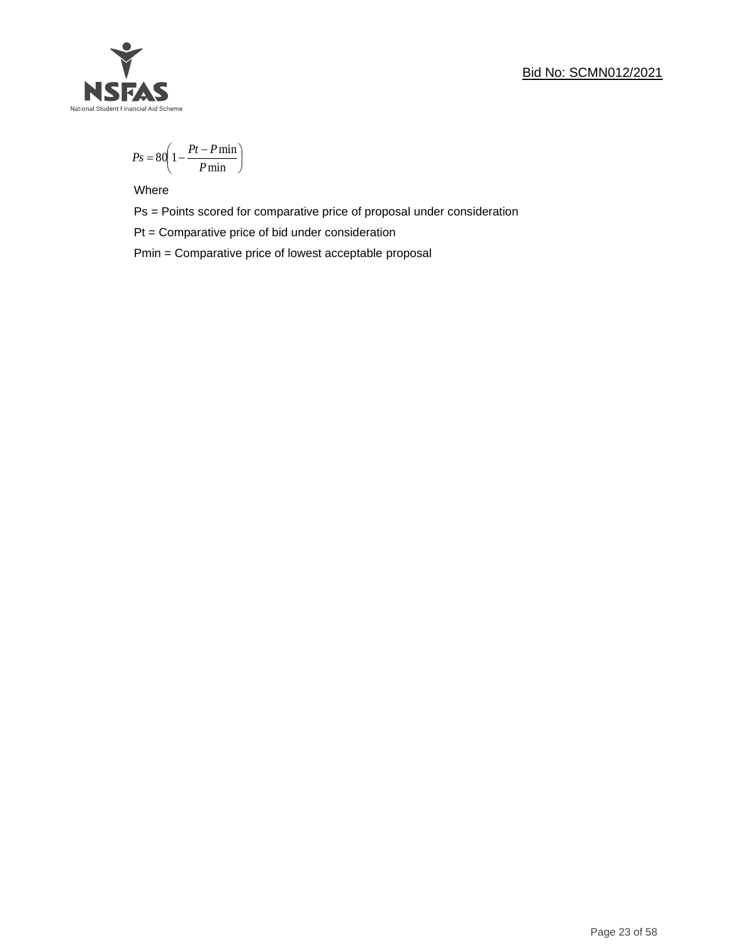## Bid No: SCMN012/2021



$$
Ps = 80 \left( 1 - \frac{Pt - P \min}{P \min} \right)
$$

Where

Ps = Points scored for comparative price of proposal under consideration

Pt = Comparative price of bid under consideration

Pmin = Comparative price of lowest acceptable proposal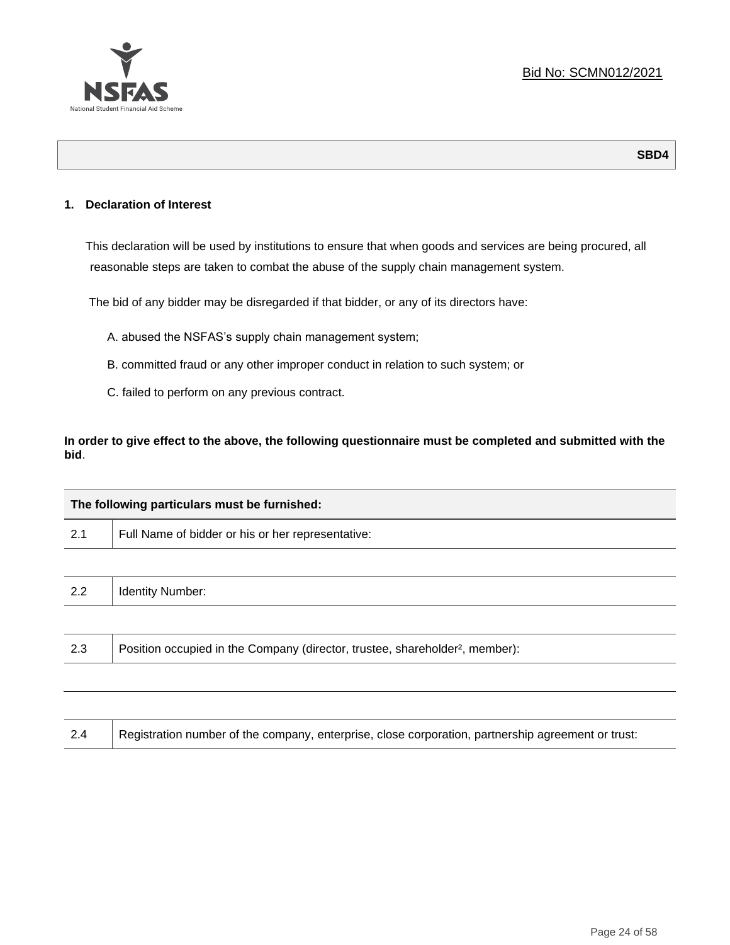

## **1. Declaration of Interest**

This declaration will be used by institutions to ensure that when goods and services are being procured, all reasonable steps are taken to combat the abuse of the supply chain management system.

The bid of any bidder may be disregarded if that bidder, or any of its directors have:

- A. abused the NSFAS's supply chain management system;
- B. committed fraud or any other improper conduct in relation to such system; or
- C. failed to perform on any previous contract.

**In order to give effect to the above, the following questionnaire must be completed and submitted with the bid**.

| The following particulars must be furnished: |                                                                                          |  |  |  |
|----------------------------------------------|------------------------------------------------------------------------------------------|--|--|--|
| 2.1                                          | Full Name of bidder or his or her representative:                                        |  |  |  |
|                                              |                                                                                          |  |  |  |
| 2.2                                          | <b>Identity Number:</b>                                                                  |  |  |  |
|                                              |                                                                                          |  |  |  |
| 2.3                                          | Position occupied in the Company (director, trustee, shareholder <sup>2</sup> , member): |  |  |  |
|                                              |                                                                                          |  |  |  |

| Registration number of the company, enterprise, close corporation, partnership agreement or trust:<br>2.4 |
|-----------------------------------------------------------------------------------------------------------|
|-----------------------------------------------------------------------------------------------------------|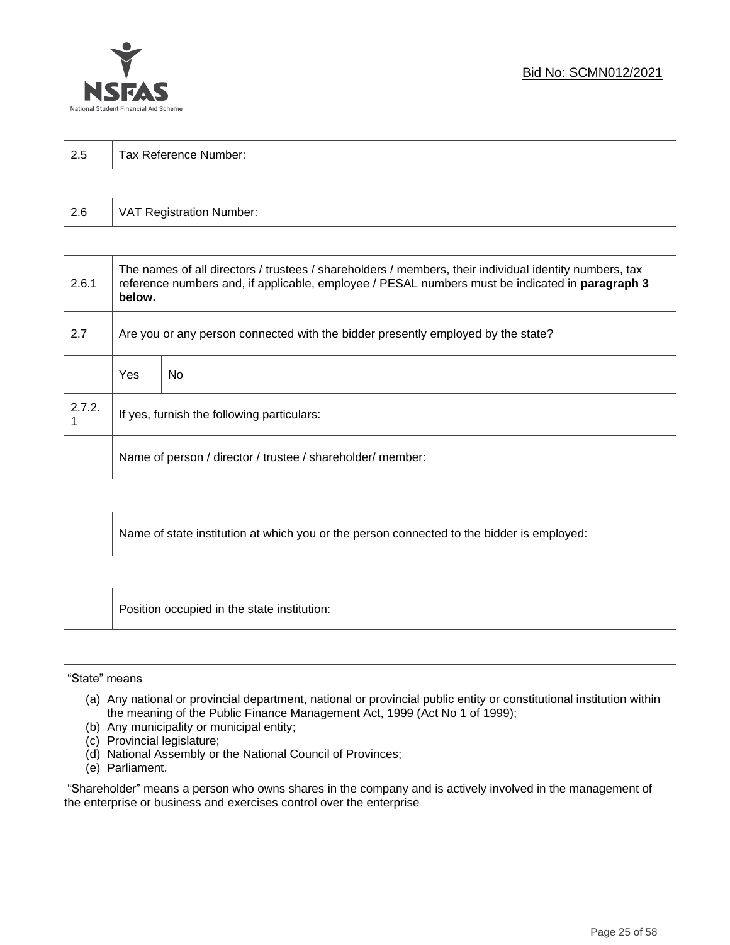

| 2.5 | Tax Reference Number: |  |  |  |  |
|-----|-----------------------|--|--|--|--|
|     |                       |  |  |  |  |

| 2.6 | VAT Registration Number: |
|-----|--------------------------|
|-----|--------------------------|

| 2.6.1  | The names of all directors / trustees / shareholders / members, their individual identity numbers, tax<br>reference numbers and, if applicable, employee / PESAL numbers must be indicated in paragraph 3<br>below. |     |  |  |  |
|--------|---------------------------------------------------------------------------------------------------------------------------------------------------------------------------------------------------------------------|-----|--|--|--|
| 2.7    | Are you or any person connected with the bidder presently employed by the state?                                                                                                                                    |     |  |  |  |
|        | Yes                                                                                                                                                                                                                 | No. |  |  |  |
| 2.7.2. | If yes, furnish the following particulars:                                                                                                                                                                          |     |  |  |  |
|        | Name of person / director / trustee / shareholder/ member:                                                                                                                                                          |     |  |  |  |

| Name of state institution at which you or the person connected to the bidder is employed: |
|-------------------------------------------------------------------------------------------|
|                                                                                           |

Position occupied in the state institution:

#### "State" means

┱

- (a) Any national or provincial department, national or provincial public entity or constitutional institution within the meaning of the Public Finance Management Act, 1999 (Act No 1 of 1999);
- (b) Any municipality or municipal entity;
- (c) Provincial legislature;
- (d) National Assembly or the National Council of Provinces;
- (e) Parliament.

"Shareholder" means a person who owns shares in the company and is actively involved in the management of the enterprise or business and exercises control over the enterprise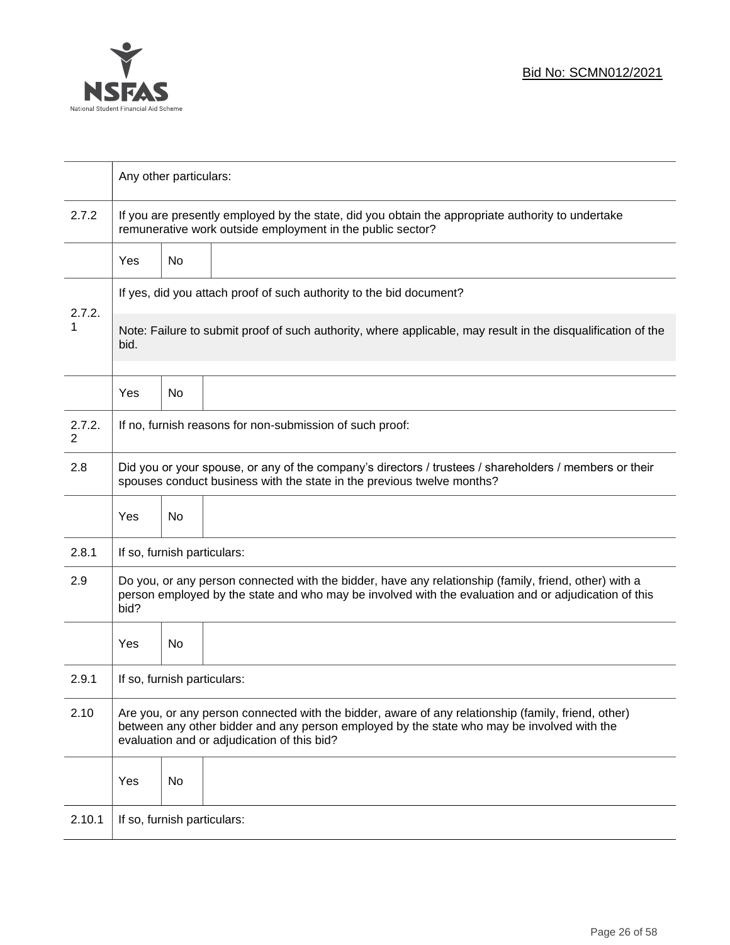

|             |                                                                                                                                                                                                                                                  | Any other particulars:                                                                                                                                          |                                                                     |  |  |  |
|-------------|--------------------------------------------------------------------------------------------------------------------------------------------------------------------------------------------------------------------------------------------------|-----------------------------------------------------------------------------------------------------------------------------------------------------------------|---------------------------------------------------------------------|--|--|--|
| 2.7.2       |                                                                                                                                                                                                                                                  | If you are presently employed by the state, did you obtain the appropriate authority to undertake<br>remunerative work outside employment in the public sector? |                                                                     |  |  |  |
|             | Yes                                                                                                                                                                                                                                              | No                                                                                                                                                              |                                                                     |  |  |  |
|             |                                                                                                                                                                                                                                                  |                                                                                                                                                                 | If yes, did you attach proof of such authority to the bid document? |  |  |  |
| 2.7.2.<br>1 | Note: Failure to submit proof of such authority, where applicable, may result in the disqualification of the<br>bid.                                                                                                                             |                                                                                                                                                                 |                                                                     |  |  |  |
|             | Yes                                                                                                                                                                                                                                              | No.                                                                                                                                                             |                                                                     |  |  |  |
| 2.7.2.<br>2 |                                                                                                                                                                                                                                                  |                                                                                                                                                                 | If no, furnish reasons for non-submission of such proof:            |  |  |  |
| 2.8         | Did you or your spouse, or any of the company's directors / trustees / shareholders / members or their<br>spouses conduct business with the state in the previous twelve months?                                                                 |                                                                                                                                                                 |                                                                     |  |  |  |
|             | Yes                                                                                                                                                                                                                                              | No                                                                                                                                                              |                                                                     |  |  |  |
| 2.8.1       | If so, furnish particulars:                                                                                                                                                                                                                      |                                                                                                                                                                 |                                                                     |  |  |  |
| 2.9         | Do you, or any person connected with the bidder, have any relationship (family, friend, other) with a<br>person employed by the state and who may be involved with the evaluation and or adjudication of this<br>bid?                            |                                                                                                                                                                 |                                                                     |  |  |  |
|             | Yes                                                                                                                                                                                                                                              | No.                                                                                                                                                             |                                                                     |  |  |  |
| 2.9.1       | If so, furnish particulars:                                                                                                                                                                                                                      |                                                                                                                                                                 |                                                                     |  |  |  |
| 2.10        | Are you, or any person connected with the bidder, aware of any relationship (family, friend, other)<br>between any other bidder and any person employed by the state who may be involved with the<br>evaluation and or adjudication of this bid? |                                                                                                                                                                 |                                                                     |  |  |  |
|             | Yes                                                                                                                                                                                                                                              | No                                                                                                                                                              |                                                                     |  |  |  |
| 2.10.1      | If so, furnish particulars:                                                                                                                                                                                                                      |                                                                                                                                                                 |                                                                     |  |  |  |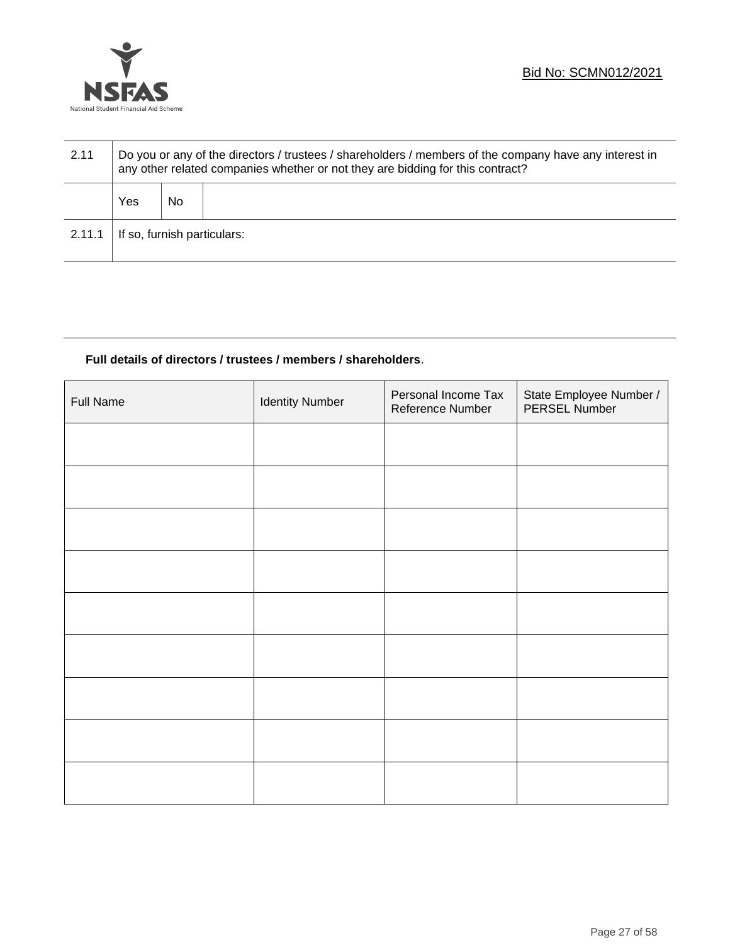

| 2.11   | Do you or any of the directors / trustees / shareholders / members of the company have any interest in<br>any other related companies whether or not they are bidding for this contract? |    |  |  |  |
|--------|------------------------------------------------------------------------------------------------------------------------------------------------------------------------------------------|----|--|--|--|
|        | Yes                                                                                                                                                                                      | No |  |  |  |
| 2.11.1 | If so, furnish particulars:                                                                                                                                                              |    |  |  |  |

## **Full details of directors / trustees / members / shareholders**.

| <b>Full Name</b> | <b>Identity Number</b> | Personal Income Tax<br>Reference Number | State Employee Number /<br>PERSEL Number |
|------------------|------------------------|-----------------------------------------|------------------------------------------|
|                  |                        |                                         |                                          |
|                  |                        |                                         |                                          |
|                  |                        |                                         |                                          |
|                  |                        |                                         |                                          |
|                  |                        |                                         |                                          |
|                  |                        |                                         |                                          |
|                  |                        |                                         |                                          |
|                  |                        |                                         |                                          |
|                  |                        |                                         |                                          |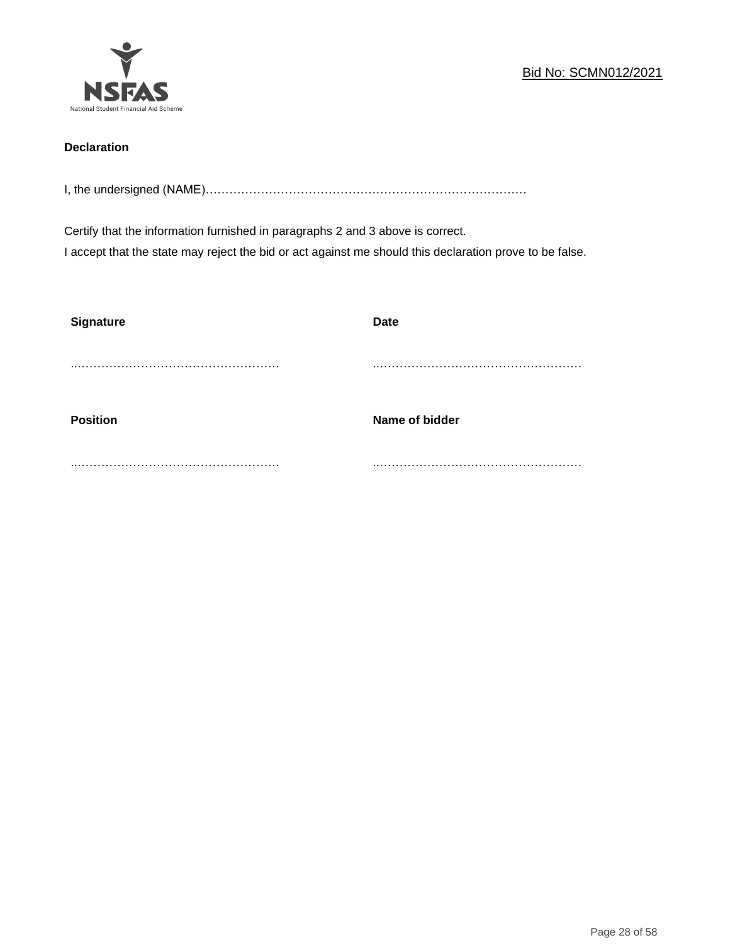

## **Declaration**

I, the undersigned (NAME)………………………………………………………………………

Certify that the information furnished in paragraphs 2 and 3 above is correct. I accept that the state may reject the bid or act against me should this declaration prove to be false.

| <b>Signature</b> | <b>Date</b>    |
|------------------|----------------|
|                  |                |
| <b>Position</b>  | Name of bidder |
|                  |                |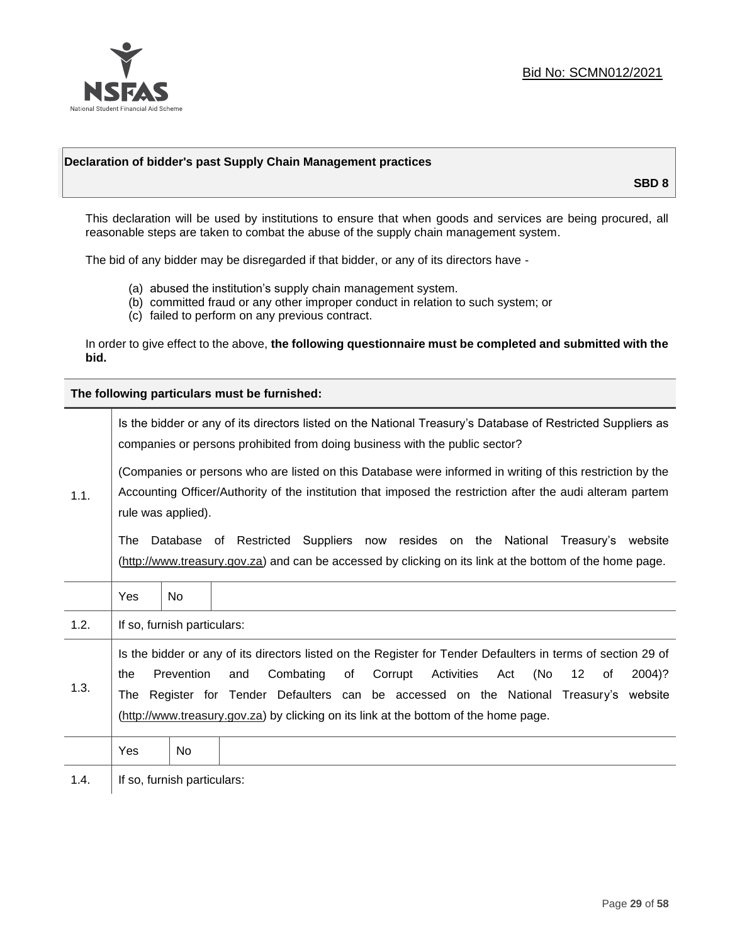

## **Declaration of bidder's past Supply Chain Management practices**

**SBD 8**

This declaration will be used by institutions to ensure that when goods and services are being procured, all reasonable steps are taken to combat the abuse of the supply chain management system.

The bid of any bidder may be disregarded if that bidder, or any of its directors have -

- (a) abused the institution's supply chain management system.
- (b) committed fraud or any other improper conduct in relation to such system; or
- (c) failed to perform on any previous contract.

In order to give effect to the above, **the following questionnaire must be completed and submitted with the bid.**

**The following particulars must be furnished:**

| 1.1. | Is the bidder or any of its directors listed on the National Treasury's Database of Restricted Suppliers as<br>companies or persons prohibited from doing business with the public sector?                                                                                                                                                                                                                   |                             |                                                                                                                                                                                                |  |  |
|------|--------------------------------------------------------------------------------------------------------------------------------------------------------------------------------------------------------------------------------------------------------------------------------------------------------------------------------------------------------------------------------------------------------------|-----------------------------|------------------------------------------------------------------------------------------------------------------------------------------------------------------------------------------------|--|--|
|      | (Companies or persons who are listed on this Database were informed in writing of this restriction by the<br>Accounting Officer/Authority of the institution that imposed the restriction after the audi alteram partem<br>rule was applied).                                                                                                                                                                |                             |                                                                                                                                                                                                |  |  |
|      | The                                                                                                                                                                                                                                                                                                                                                                                                          |                             | Database of Restricted Suppliers now resides on the National<br>Treasury's website<br>(http://www.treasury.gov.za) and can be accessed by clicking on its link at the bottom of the home page. |  |  |
|      | Yes                                                                                                                                                                                                                                                                                                                                                                                                          | No.                         |                                                                                                                                                                                                |  |  |
| 1.2. |                                                                                                                                                                                                                                                                                                                                                                                                              | If so, furnish particulars: |                                                                                                                                                                                                |  |  |
| 1.3. | Is the bidder or any of its directors listed on the Register for Tender Defaulters in terms of section 29 of<br>Prevention<br>Combating<br>Corrupt<br>Activities<br>(No<br>12<br>and<br>of<br>Act<br>2004)?<br>the<br>of<br>Register for Tender Defaulters can be accessed on the National Treasury's website<br>The<br>(http://www.treasury.gov.za) by clicking on its link at the bottom of the home page. |                             |                                                                                                                                                                                                |  |  |
|      | Yes                                                                                                                                                                                                                                                                                                                                                                                                          | No                          |                                                                                                                                                                                                |  |  |
| 1.4. | If so, furnish particulars:                                                                                                                                                                                                                                                                                                                                                                                  |                             |                                                                                                                                                                                                |  |  |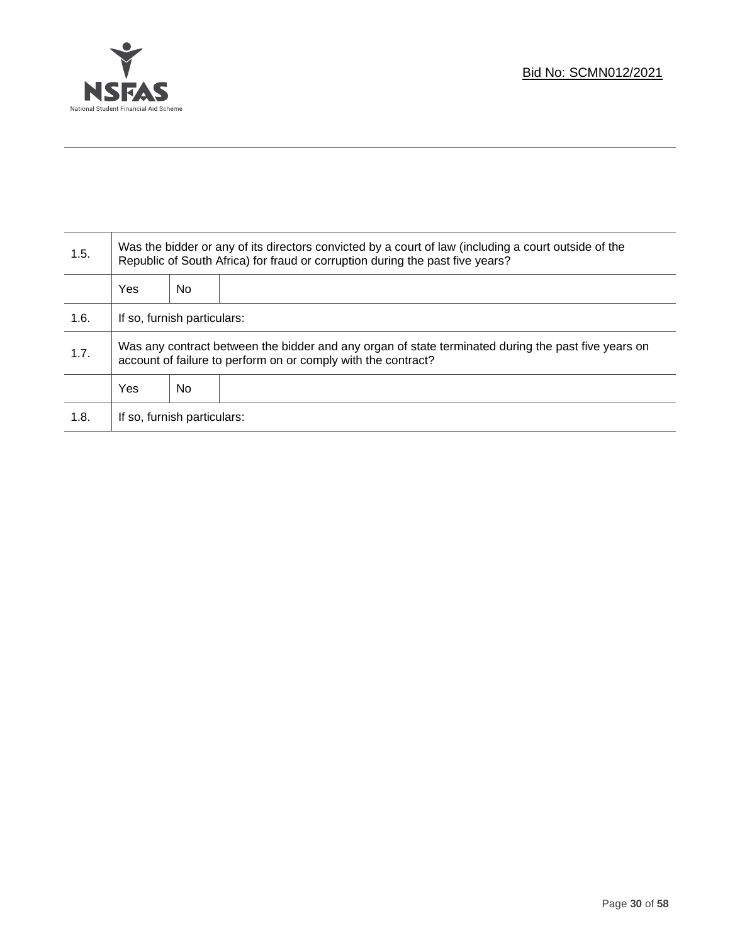

T

| 1.5. | Was the bidder or any of its directors convicted by a court of law (including a court outside of the<br>Republic of South Africa) for fraud or corruption during the past five years? |    |  |  |
|------|---------------------------------------------------------------------------------------------------------------------------------------------------------------------------------------|----|--|--|
|      | <b>Yes</b>                                                                                                                                                                            | No |  |  |
| 1.6. | If so, furnish particulars:                                                                                                                                                           |    |  |  |
| 1.7. | Was any contract between the bidder and any organ of state terminated during the past five years on<br>account of failure to perform on or comply with the contract?                  |    |  |  |
|      | <b>Yes</b>                                                                                                                                                                            | No |  |  |
| 1.8. | If so, furnish particulars:                                                                                                                                                           |    |  |  |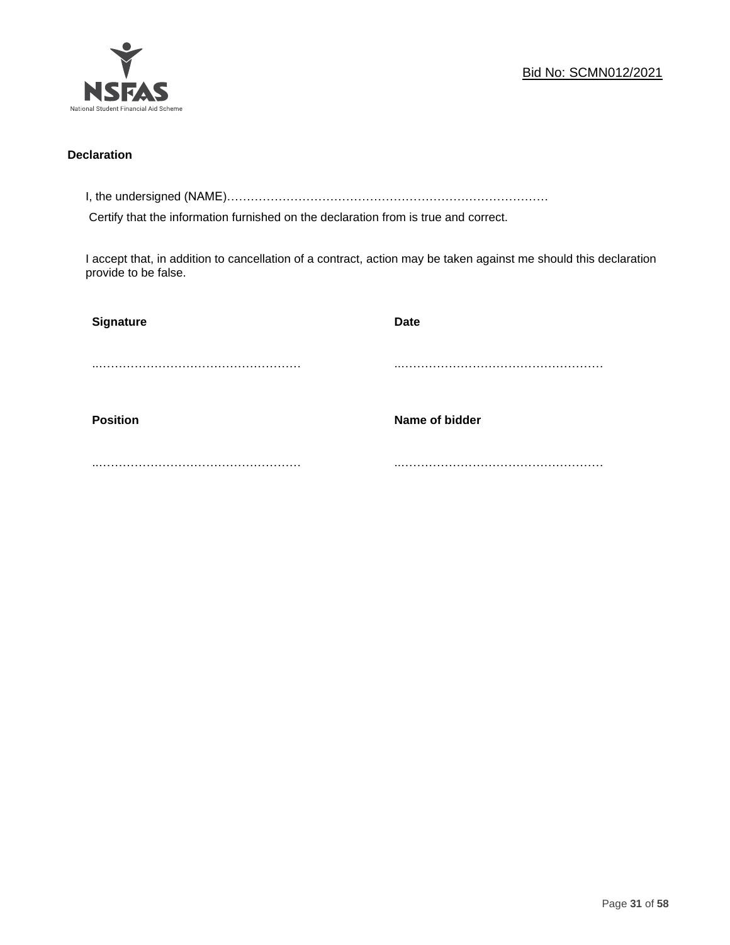

## **Declaration**

I, the undersigned (NAME)………………………………………………………………………

Certify that the information furnished on the declaration from is true and correct.

I accept that, in addition to cancellation of a contract, action may be taken against me should this declaration provide to be false.

| Signature       | <b>Date</b>    |
|-----------------|----------------|
|                 |                |
|                 |                |
| <b>Position</b> | Name of bidder |
|                 |                |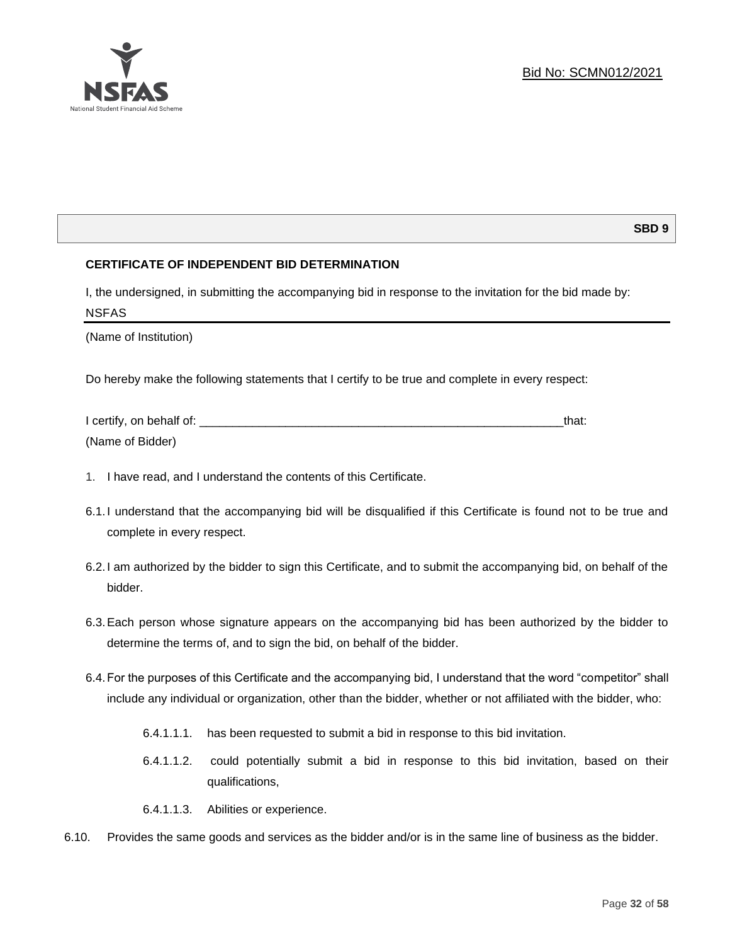### **SBD 9**

## **CERTIFICATE OF INDEPENDENT BID DETERMINATION**

I, the undersigned, in submitting the accompanying bid in response to the invitation for the bid made by: NSFAS

(Name of Institution)

National Student Financial Aid Scheme

Do hereby make the following statements that I certify to be true and complete in every respect:

| I certify, on behalf of: |  |
|--------------------------|--|
| (Name of Bidder)         |  |

- 1. I have read, and I understand the contents of this Certificate.
- 6.1.I understand that the accompanying bid will be disqualified if this Certificate is found not to be true and complete in every respect.
- 6.2.I am authorized by the bidder to sign this Certificate, and to submit the accompanying bid, on behalf of the bidder.
- 6.3.Each person whose signature appears on the accompanying bid has been authorized by the bidder to determine the terms of, and to sign the bid, on behalf of the bidder.
- 6.4.For the purposes of this Certificate and the accompanying bid, I understand that the word "competitor" shall include any individual or organization, other than the bidder, whether or not affiliated with the bidder, who:
	- 6.4.1.1.1. has been requested to submit a bid in response to this bid invitation.
	- 6.4.1.1.2. could potentially submit a bid in response to this bid invitation, based on their qualifications,
	- 6.4.1.1.3. Abilities or experience.
- 6.10. Provides the same goods and services as the bidder and/or is in the same line of business as the bidder.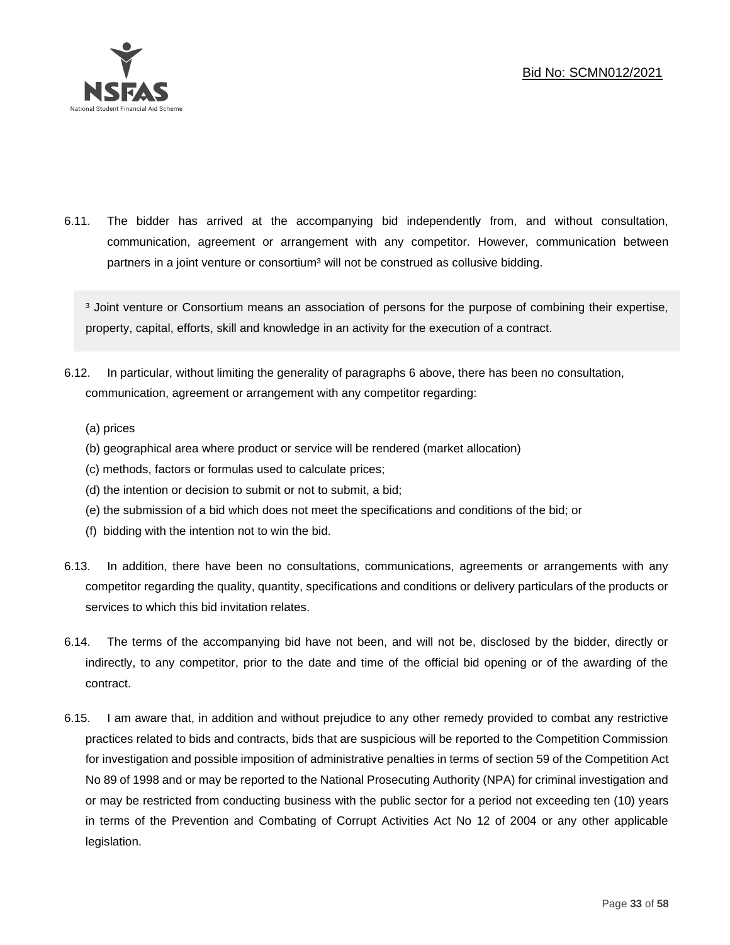

6.11. The bidder has arrived at the accompanying bid independently from, and without consultation, communication, agreement or arrangement with any competitor. However, communication between partners in a joint venture or consortium<sup>3</sup> will not be construed as collusive bidding.

<sup>3</sup> Joint venture or Consortium means an association of persons for the purpose of combining their expertise, property, capital, efforts, skill and knowledge in an activity for the execution of a contract.

- 6.12. In particular, without limiting the generality of paragraphs 6 above, there has been no consultation, communication, agreement or arrangement with any competitor regarding:
	- (a) prices
	- (b) geographical area where product or service will be rendered (market allocation)
	- (c) methods, factors or formulas used to calculate prices;
	- (d) the intention or decision to submit or not to submit, a bid;
	- (e) the submission of a bid which does not meet the specifications and conditions of the bid; or
	- (f) bidding with the intention not to win the bid.
- 6.13. In addition, there have been no consultations, communications, agreements or arrangements with any competitor regarding the quality, quantity, specifications and conditions or delivery particulars of the products or services to which this bid invitation relates.
- 6.14. The terms of the accompanying bid have not been, and will not be, disclosed by the bidder, directly or indirectly, to any competitor, prior to the date and time of the official bid opening or of the awarding of the contract.
- 6.15. I am aware that, in addition and without prejudice to any other remedy provided to combat any restrictive practices related to bids and contracts, bids that are suspicious will be reported to the Competition Commission for investigation and possible imposition of administrative penalties in terms of section 59 of the Competition Act No 89 of 1998 and or may be reported to the National Prosecuting Authority (NPA) for criminal investigation and or may be restricted from conducting business with the public sector for a period not exceeding ten (10) years in terms of the Prevention and Combating of Corrupt Activities Act No 12 of 2004 or any other applicable legislation.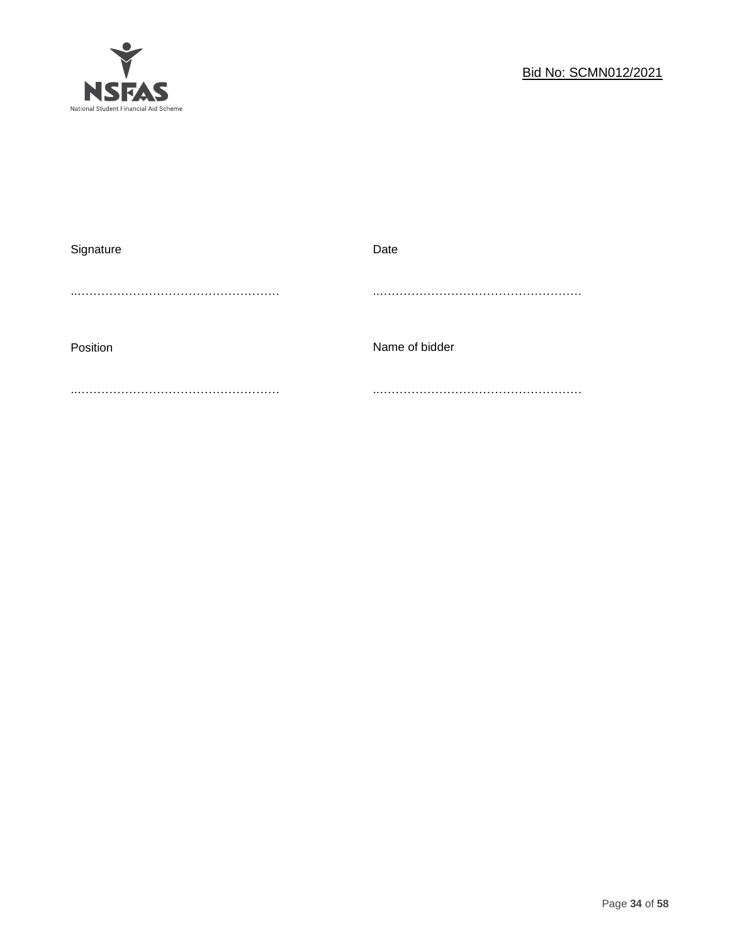

| Signature | Date           |
|-----------|----------------|
|           |                |
|           |                |
|           |                |
|           |                |
| Position  | Name of bidder |
|           |                |
|           |                |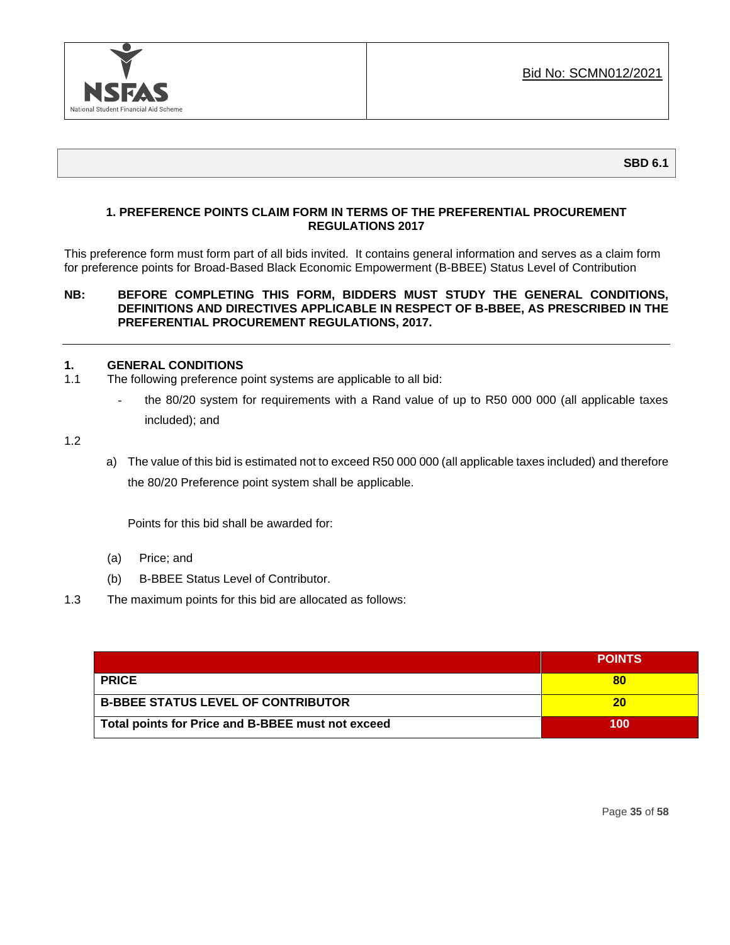

## **1. PREFERENCE POINTS CLAIM FORM IN TERMS OF THE PREFERENTIAL PROCUREMENT REGULATIONS 2017**

This preference form must form part of all bids invited. It contains general information and serves as a claim form for preference points for Broad-Based Black Economic Empowerment (B-BBEE) Status Level of Contribution

## **NB: BEFORE COMPLETING THIS FORM, BIDDERS MUST STUDY THE GENERAL CONDITIONS, DEFINITIONS AND DIRECTIVES APPLICABLE IN RESPECT OF B-BBEE, AS PRESCRIBED IN THE PREFERENTIAL PROCUREMENT REGULATIONS, 2017.**

## **1. GENERAL CONDITIONS**

- 1.1 The following preference point systems are applicable to all bid:
	- the 80/20 system for requirements with a Rand value of up to R50 000 000 (all applicable taxes included); and

1.2

a) The value of this bid is estimated not to exceed R50 000 000 (all applicable taxes included) and therefore the 80/20 Preference point system shall be applicable.

Points for this bid shall be awarded for:

- (a) Price; and
- (b) B-BBEE Status Level of Contributor.
- 1.3 The maximum points for this bid are allocated as follows:

|                                                   | <b>POINTS</b> |
|---------------------------------------------------|---------------|
| <b>PRICE</b>                                      |               |
| <b>B-BBEE STATUS LEVEL OF CONTRIBUTOR</b>         | 20            |
| Total points for Price and B-BBEE must not exceed | 100           |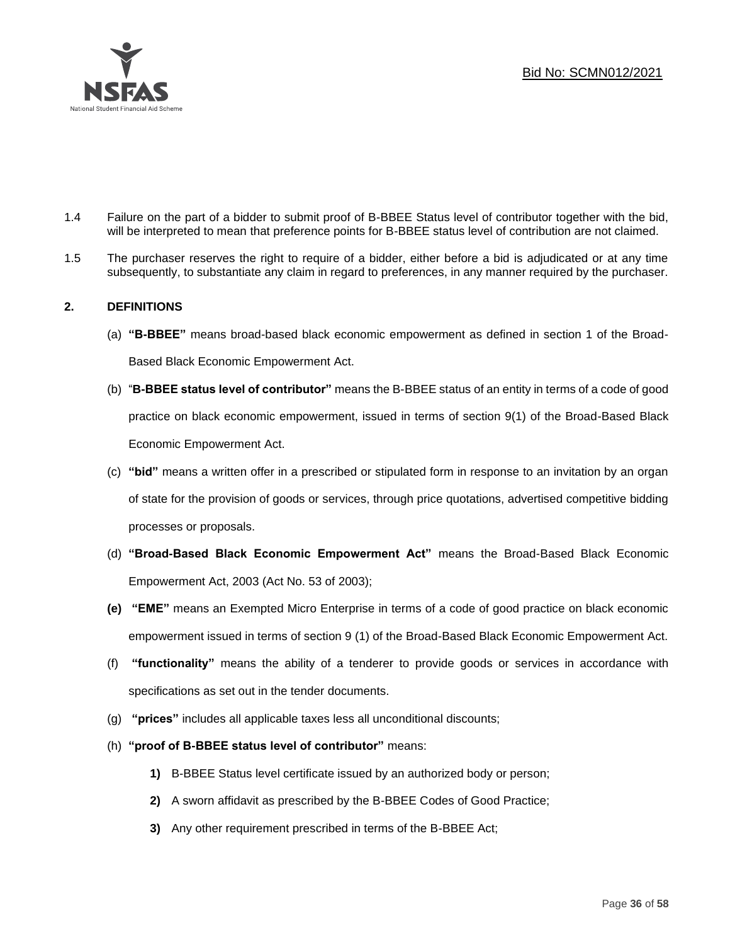

- 1.4 Failure on the part of a bidder to submit proof of B-BBEE Status level of contributor together with the bid, will be interpreted to mean that preference points for B-BBEE status level of contribution are not claimed.
- 1.5 The purchaser reserves the right to require of a bidder, either before a bid is adjudicated or at any time subsequently, to substantiate any claim in regard to preferences, in any manner required by the purchaser.

## **2. DEFINITIONS**

- (a) **"B-BBEE"** means broad-based black economic empowerment as defined in section 1 of the Broad-Based Black Economic Empowerment Act.
- (b) "**B-BBEE status level of contributor"** means the B-BBEE status of an entity in terms of a code of good practice on black economic empowerment, issued in terms of section 9(1) of the Broad-Based Black Economic Empowerment Act.
- (c) **"bid"** means a written offer in a prescribed or stipulated form in response to an invitation by an organ of state for the provision of goods or services, through price quotations, advertised competitive bidding processes or proposals.
- (d) **"Broad-Based Black Economic Empowerment Act"** means the Broad-Based Black Economic Empowerment Act, 2003 (Act No. 53 of 2003);
- **(e) "EME"** means an Exempted Micro Enterprise in terms of a code of good practice on black economic empowerment issued in terms of section 9 (1) of the Broad-Based Black Economic Empowerment Act.
- (f) **"functionality"** means the ability of a tenderer to provide goods or services in accordance with specifications as set out in the tender documents.
- (g) **"prices"** includes all applicable taxes less all unconditional discounts;
- (h) **"proof of B-BBEE status level of contributor"** means:
	- **1)** B-BBEE Status level certificate issued by an authorized body or person;
	- **2)** A sworn affidavit as prescribed by the B-BBEE Codes of Good Practice;
	- **3)** Any other requirement prescribed in terms of the B-BBEE Act;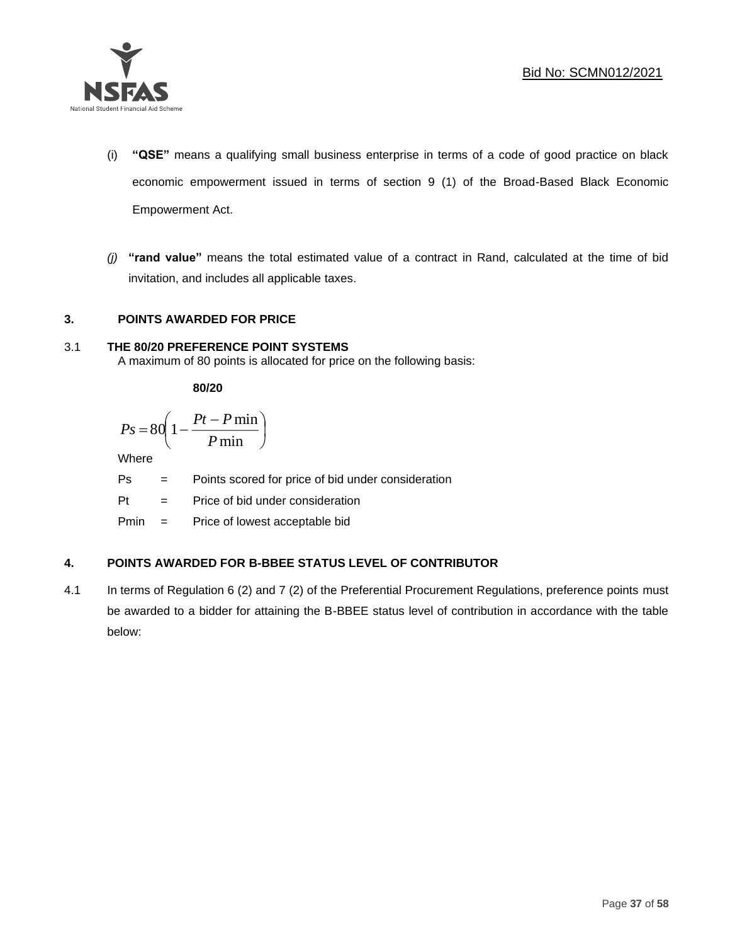

- (i) **"QSE"** means a qualifying small business enterprise in terms of a code of good practice on black economic empowerment issued in terms of section 9 (1) of the Broad-Based Black Economic Empowerment Act.
- *(j)* **"rand value"** means the total estimated value of a contract in Rand, calculated at the time of bid invitation, and includes all applicable taxes.

## **3. POINTS AWARDED FOR PRICE**

## 3.1 **THE 80/20 PREFERENCE POINT SYSTEMS**

A maximum of 80 points is allocated for price on the following basis:

**80/20**

$$
Ps = 80 \left( 1 - \frac{Pt - P \min}{P \min} \right)
$$

Where

Ps = Points scored for price of bid under consideration

l

Pt = Price of bid under consideration

Pmin = Price of lowest acceptable bid

## **4. POINTS AWARDED FOR B-BBEE STATUS LEVEL OF CONTRIBUTOR**

4.1 In terms of Regulation 6 (2) and 7 (2) of the Preferential Procurement Regulations, preference points must be awarded to a bidder for attaining the B-BBEE status level of contribution in accordance with the table below: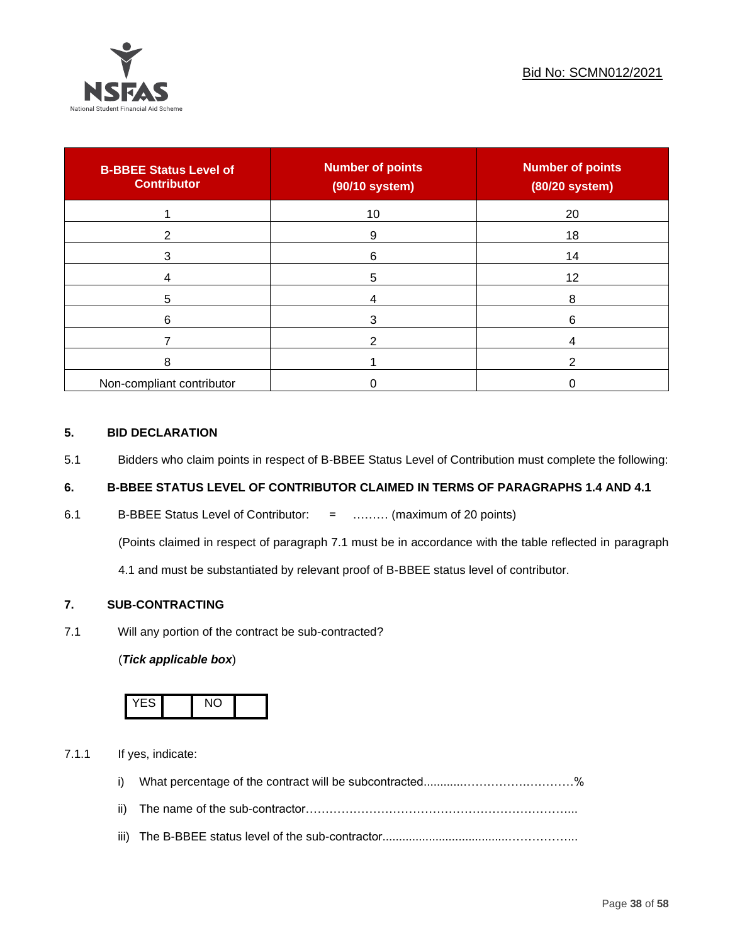

| <b>B-BBEE Status Level of</b><br><b>Contributor</b> | <b>Number of points</b><br>(90/10 system) | <b>Number of points</b><br>(80/20 system) |
|-----------------------------------------------------|-------------------------------------------|-------------------------------------------|
|                                                     | 10                                        | 20                                        |
| 2                                                   | 9                                         | 18                                        |
| 3                                                   | 6                                         | 14                                        |
|                                                     | 5                                         | 12                                        |
| 5                                                   |                                           | 8                                         |
| 6                                                   |                                           | 6                                         |
|                                                     |                                           |                                           |
| 8                                                   |                                           |                                           |
| Non-compliant contributor                           |                                           |                                           |

## **5. BID DECLARATION**

5.1 Bidders who claim points in respect of B-BBEE Status Level of Contribution must complete the following:

## **6. B-BBEE STATUS LEVEL OF CONTRIBUTOR CLAIMED IN TERMS OF PARAGRAPHS 1.4 AND 4.1**

6.1 B-BBEE Status Level of Contributor: = ……… (maximum of 20 points)

(Points claimed in respect of paragraph 7.1 must be in accordance with the table reflected in paragraph

4.1 and must be substantiated by relevant proof of B-BBEE status level of contributor.

## **7. SUB-CONTRACTING**

7.1 Will any portion of the contract be sub-contracted?

## (*Tick applicable box*)



7.1.1 If yes, indicate:

- i) What percentage of the contract will be subcontracted............…………….…………%
- ii) The name of the sub-contractor…………………………………………………………...
- iii) The B-BBEE status level of the sub-contractor......................................……………...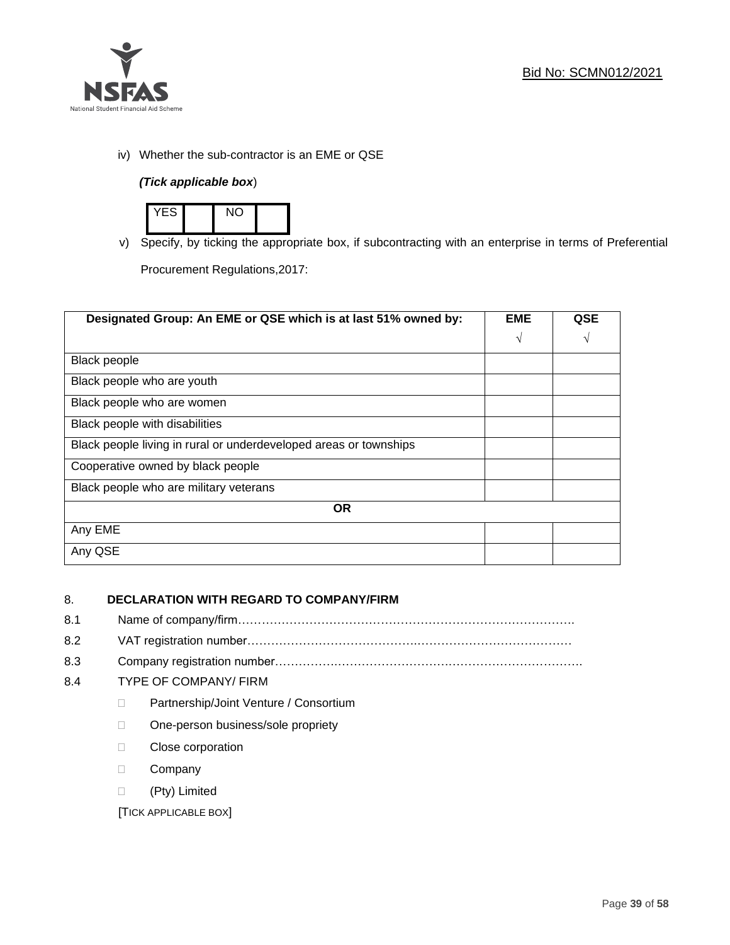

iv) Whether the sub-contractor is an EME or QSE

## *(Tick applicable box*)



v) Specify, by ticking the appropriate box, if subcontracting with an enterprise in terms of Preferential

Procurement Regulations,2017:

| Designated Group: An EME or QSE which is at last 51% owned by:    | <b>EME</b> | <b>QSE</b> |
|-------------------------------------------------------------------|------------|------------|
|                                                                   | $\sqrt{ }$ | V          |
| <b>Black people</b>                                               |            |            |
| Black people who are youth                                        |            |            |
| Black people who are women                                        |            |            |
| Black people with disabilities                                    |            |            |
| Black people living in rural or underdeveloped areas or townships |            |            |
| Cooperative owned by black people                                 |            |            |
| Black people who are military veterans                            |            |            |
| <b>OR</b>                                                         |            |            |
| Any EME                                                           |            |            |
| Any QSE                                                           |            |            |

## 8. **DECLARATION WITH REGARD TO COMPANY/FIRM**

- 8.1 Name of company/firm………………………………………………………………………….
- 8.2 VAT registration number…………………………………….…………………………………
- 8.3 Company registration number…………….……………………….…………………………….

## 8.4 TYPE OF COMPANY/ FIRM

- D Partnership/Joint Venture / Consortium
- □ One-person business/sole propriety
- **Close corporation**
- D Company
- (Pty) Limited

[TICK APPLICABLE BOX]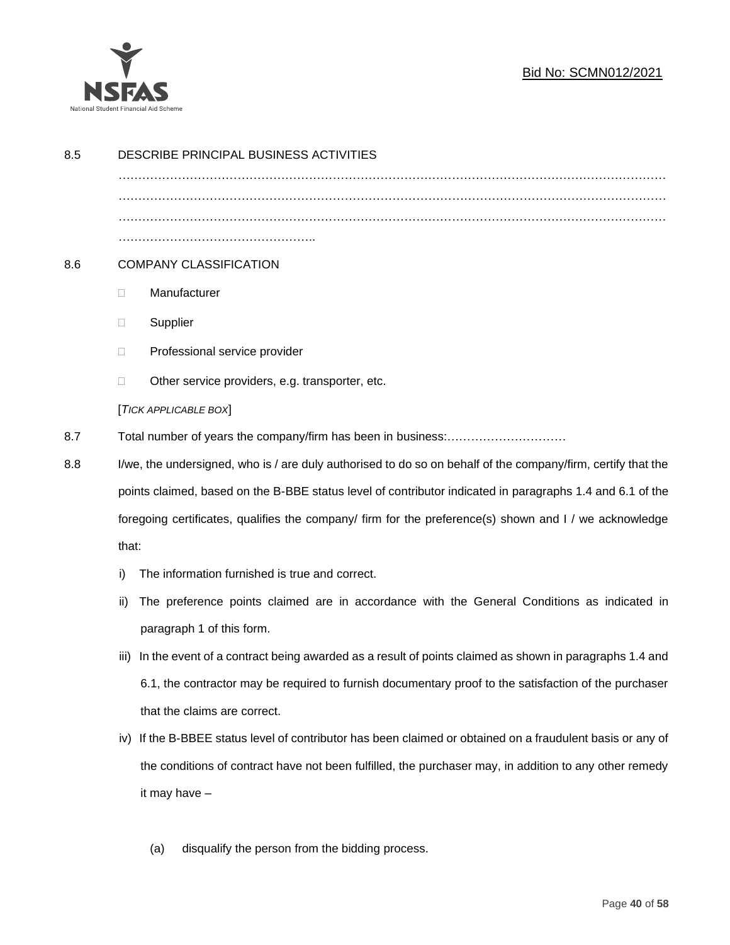

## Bid No: SCMN012/2021

| 8.5 | DESCRIBE PRINCIPAL BUSINESS ACTIVITIES                                                                                                                                                                              |                                                                                                        |  |
|-----|---------------------------------------------------------------------------------------------------------------------------------------------------------------------------------------------------------------------|--------------------------------------------------------------------------------------------------------|--|
|     |                                                                                                                                                                                                                     |                                                                                                        |  |
|     |                                                                                                                                                                                                                     |                                                                                                        |  |
|     |                                                                                                                                                                                                                     |                                                                                                        |  |
| 8.6 | <b>COMPANY CLASSIFICATION</b>                                                                                                                                                                                       |                                                                                                        |  |
|     | $\Box$                                                                                                                                                                                                              | Manufacturer                                                                                           |  |
|     | $\Box$                                                                                                                                                                                                              | Supplier                                                                                               |  |
|     | $\Box$                                                                                                                                                                                                              | Professional service provider                                                                          |  |
|     | □                                                                                                                                                                                                                   | Other service providers, e.g. transporter, etc.                                                        |  |
|     |                                                                                                                                                                                                                     | [TICK APPLICABLE BOX]                                                                                  |  |
| 8.7 |                                                                                                                                                                                                                     |                                                                                                        |  |
| 8.8 | I/we, the undersigned, who is / are duly authorised to do so on behalf of the company/firm, certify that the                                                                                                        |                                                                                                        |  |
|     | points claimed, based on the B-BBE status level of contributor indicated in paragraphs 1.4 and 6.1 of the<br>foregoing certificates, qualifies the company/ firm for the preference(s) shown and I / we acknowledge |                                                                                                        |  |
|     |                                                                                                                                                                                                                     |                                                                                                        |  |
|     | that:                                                                                                                                                                                                               |                                                                                                        |  |
|     | i)                                                                                                                                                                                                                  | The information furnished is true and correct.                                                         |  |
|     | ii)                                                                                                                                                                                                                 | The preference points claimed are in accordance with the General Conditions as indicated in            |  |
|     |                                                                                                                                                                                                                     | paragraph 1 of this form.                                                                              |  |
|     | iii)                                                                                                                                                                                                                | In the event of a contract being awarded as a result of points claimed as shown in paragraphs 1.4 and  |  |
|     |                                                                                                                                                                                                                     | 6.1, the contractor may be required to furnish documentary proof to the satisfaction of the purchaser  |  |
|     |                                                                                                                                                                                                                     | that the claims are correct.                                                                           |  |
|     | iv)                                                                                                                                                                                                                 | If the B-BBEE status level of contributor has been claimed or obtained on a fraudulent basis or any of |  |
|     | the conditions of contract have not been fulfilled, the purchaser may, in addition to any other remedy<br>it may have -                                                                                             |                                                                                                        |  |
|     |                                                                                                                                                                                                                     |                                                                                                        |  |
|     |                                                                                                                                                                                                                     |                                                                                                        |  |
|     |                                                                                                                                                                                                                     | disqualify the person from the bidding process.<br>(a)                                                 |  |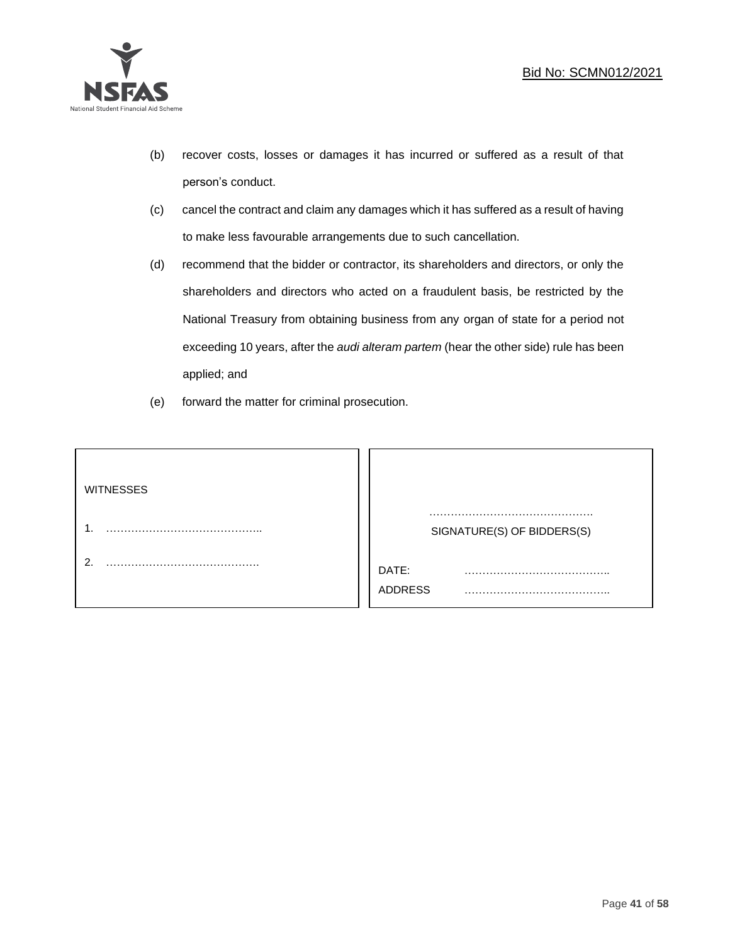

- (b) recover costs, losses or damages it has incurred or suffered as a result of that person's conduct.
- (c) cancel the contract and claim any damages which it has suffered as a result of having to make less favourable arrangements due to such cancellation.
- (d) recommend that the bidder or contractor, its shareholders and directors, or only the shareholders and directors who acted on a fraudulent basis, be restricted by the National Treasury from obtaining business from any organ of state for a period not exceeding 10 years, after the *audi alteram partem* (hear the other side) rule has been applied; and
- (e) forward the matter for criminal prosecution.

| <b>WITNESSES</b> |                            |
|------------------|----------------------------|
|                  | SIGNATURE(S) OF BIDDERS(S) |
|                  | DATE:<br>.<br>.<br>ADDRESS |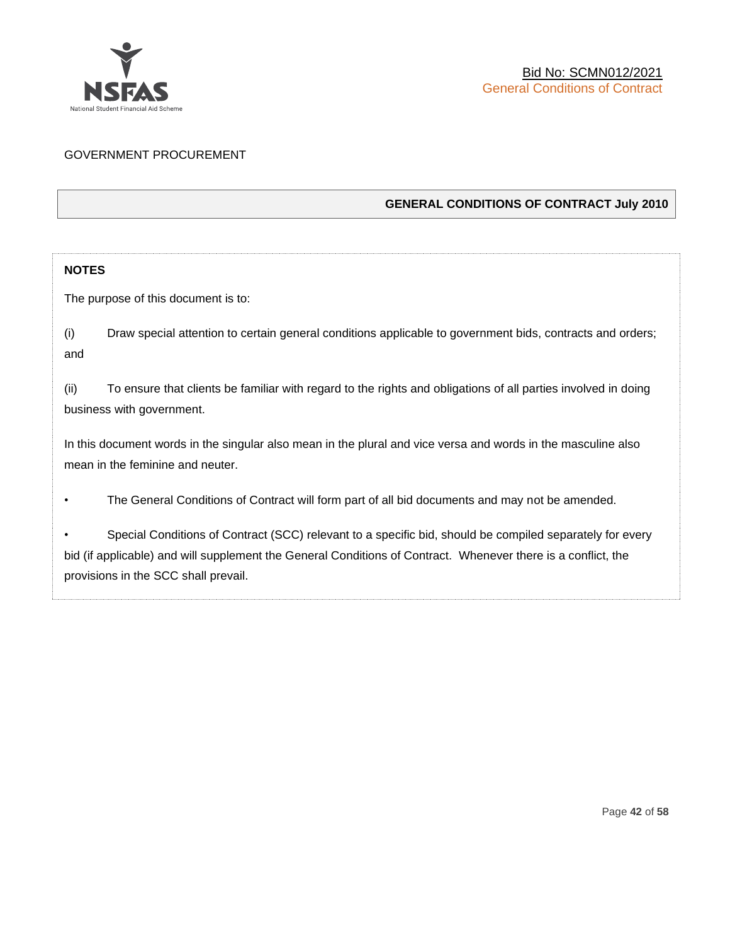

## GOVERNMENT PROCUREMENT

## **GENERAL CONDITIONS OF CONTRACT July 2010**

## **NOTES**

The purpose of this document is to:

(i) Draw special attention to certain general conditions applicable to government bids, contracts and orders; and

(ii) To ensure that clients be familiar with regard to the rights and obligations of all parties involved in doing business with government.

In this document words in the singular also mean in the plural and vice versa and words in the masculine also mean in the feminine and neuter.

• The General Conditions of Contract will form part of all bid documents and may not be amended.

Special Conditions of Contract (SCC) relevant to a specific bid, should be compiled separately for every bid (if applicable) and will supplement the General Conditions of Contract. Whenever there is a conflict, the provisions in the SCC shall prevail.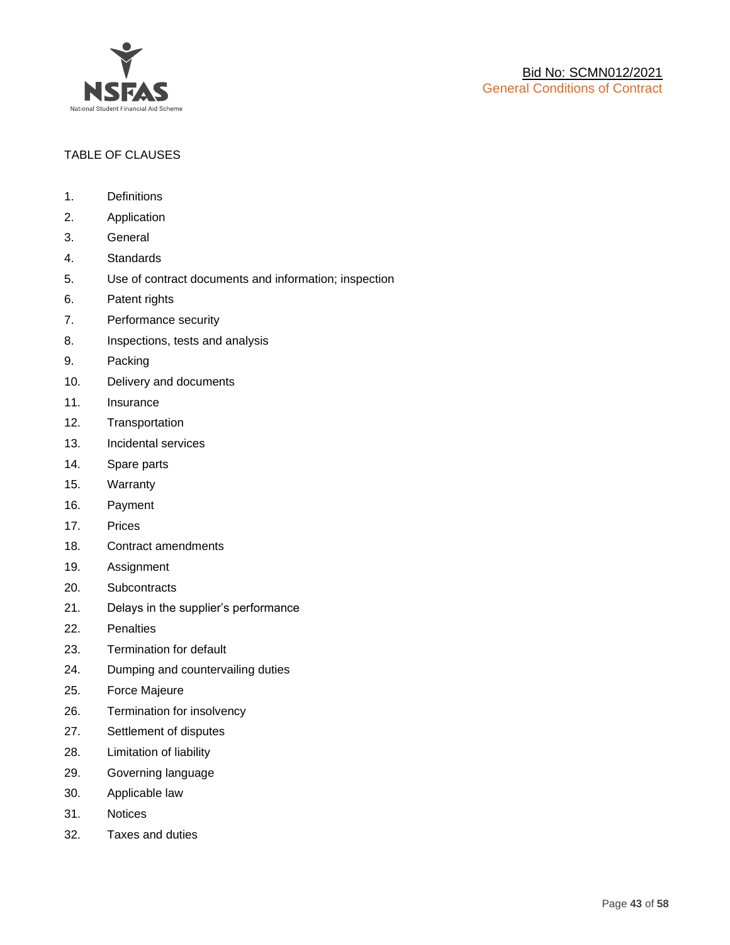

## TABLE OF CLAUSES

- 1. Definitions
- 2. Application
- 3. General
- 4. Standards
- 5. Use of contract documents and information; inspection
- 6. Patent rights
- 7. Performance security
- 8. Inspections, tests and analysis
- 9. Packing
- 10. Delivery and documents
- 11. Insurance
- 12. Transportation
- 13. Incidental services
- 14. Spare parts
- 15. Warranty
- 16. Payment
- 17. Prices
- 18. Contract amendments
- 19. Assignment
- 20. Subcontracts
- 21. Delays in the supplier's performance
- 22. Penalties
- 23. Termination for default
- 24. Dumping and countervailing duties
- 25. Force Majeure
- 26. Termination for insolvency
- 27. Settlement of disputes
- 28. Limitation of liability
- 29. Governing language
- 30. Applicable law
- 31. Notices
- 32. Taxes and duties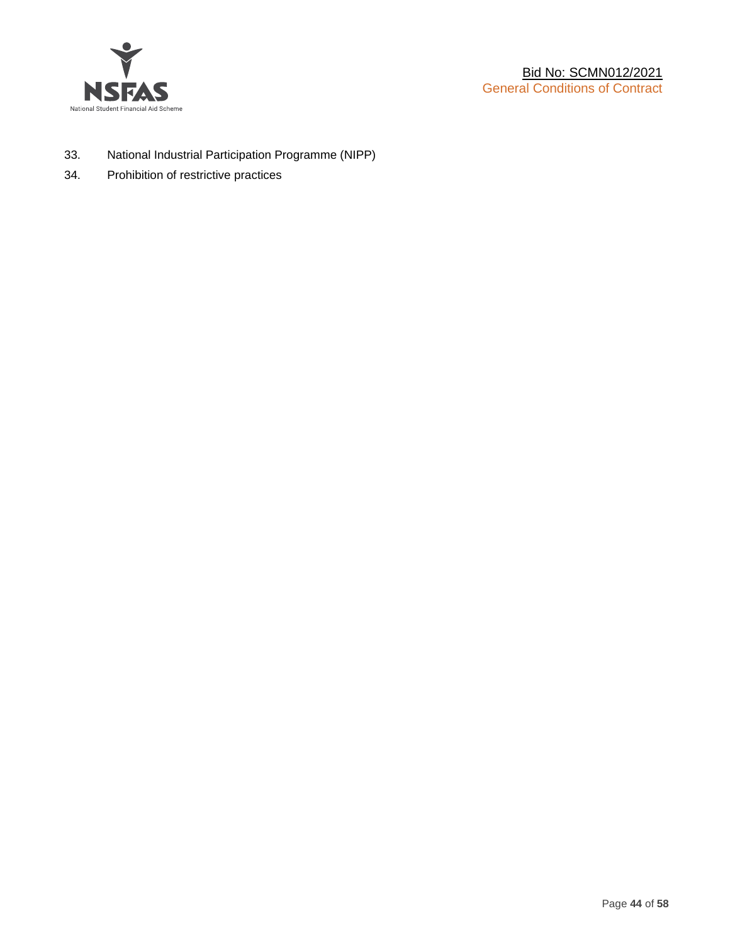

- 33. National Industrial Participation Programme (NIPP)
- 34. Prohibition of restrictive practices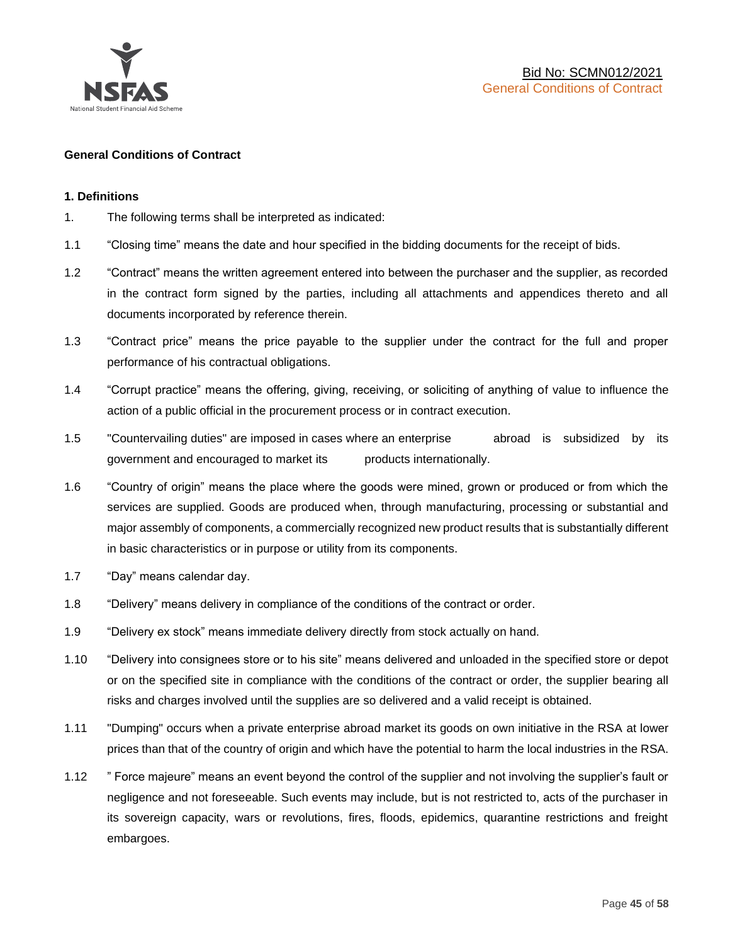

### **General Conditions of Contract**

### **1. Definitions**

- 1. The following terms shall be interpreted as indicated:
- 1.1 "Closing time" means the date and hour specified in the bidding documents for the receipt of bids.
- 1.2 "Contract" means the written agreement entered into between the purchaser and the supplier, as recorded in the contract form signed by the parties, including all attachments and appendices thereto and all documents incorporated by reference therein.
- 1.3 "Contract price" means the price payable to the supplier under the contract for the full and proper performance of his contractual obligations.
- 1.4 "Corrupt practice" means the offering, giving, receiving, or soliciting of anything of value to influence the action of a public official in the procurement process or in contract execution.
- 1.5 "Countervailing duties" are imposed in cases where an enterprise abroad is subsidized by its government and encouraged to market its products internationally.
- 1.6 "Country of origin" means the place where the goods were mined, grown or produced or from which the services are supplied. Goods are produced when, through manufacturing, processing or substantial and major assembly of components, a commercially recognized new product results that is substantially different in basic characteristics or in purpose or utility from its components.
- 1.7 "Day" means calendar day.
- 1.8 "Delivery" means delivery in compliance of the conditions of the contract or order.
- 1.9 "Delivery ex stock" means immediate delivery directly from stock actually on hand.
- 1.10 "Delivery into consignees store or to his site" means delivered and unloaded in the specified store or depot or on the specified site in compliance with the conditions of the contract or order, the supplier bearing all risks and charges involved until the supplies are so delivered and a valid receipt is obtained.
- 1.11 "Dumping" occurs when a private enterprise abroad market its goods on own initiative in the RSA at lower prices than that of the country of origin and which have the potential to harm the local industries in the RSA.
- 1.12 " Force majeure" means an event beyond the control of the supplier and not involving the supplier's fault or negligence and not foreseeable. Such events may include, but is not restricted to, acts of the purchaser in its sovereign capacity, wars or revolutions, fires, floods, epidemics, quarantine restrictions and freight embargoes.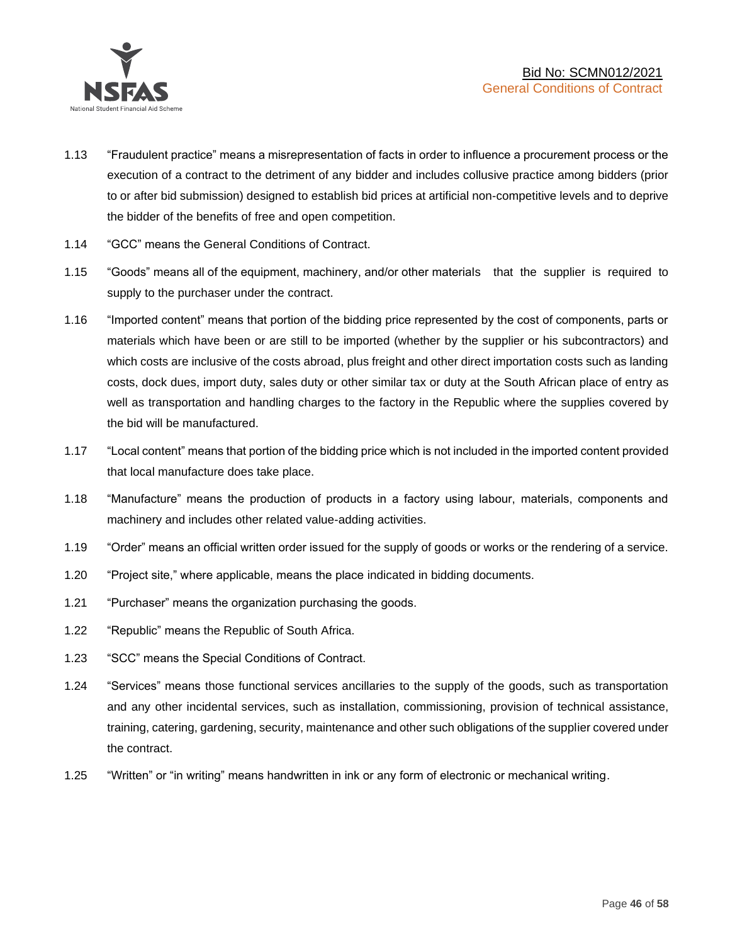

- 1.13 "Fraudulent practice" means a misrepresentation of facts in order to influence a procurement process or the execution of a contract to the detriment of any bidder and includes collusive practice among bidders (prior to or after bid submission) designed to establish bid prices at artificial non-competitive levels and to deprive the bidder of the benefits of free and open competition.
- 1.14 "GCC" means the General Conditions of Contract.
- 1.15 "Goods" means all of the equipment, machinery, and/or other materials that the supplier is required to supply to the purchaser under the contract.
- 1.16 "Imported content" means that portion of the bidding price represented by the cost of components, parts or materials which have been or are still to be imported (whether by the supplier or his subcontractors) and which costs are inclusive of the costs abroad, plus freight and other direct importation costs such as landing costs, dock dues, import duty, sales duty or other similar tax or duty at the South African place of entry as well as transportation and handling charges to the factory in the Republic where the supplies covered by the bid will be manufactured.
- 1.17 "Local content" means that portion of the bidding price which is not included in the imported content provided that local manufacture does take place.
- 1.18 "Manufacture" means the production of products in a factory using labour, materials, components and machinery and includes other related value-adding activities.
- 1.19 "Order" means an official written order issued for the supply of goods or works or the rendering of a service.
- 1.20 "Project site," where applicable, means the place indicated in bidding documents.
- 1.21 "Purchaser" means the organization purchasing the goods.
- 1.22 "Republic" means the Republic of South Africa.
- 1.23 "SCC" means the Special Conditions of Contract.
- 1.24 "Services" means those functional services ancillaries to the supply of the goods, such as transportation and any other incidental services, such as installation, commissioning, provision of technical assistance, training, catering, gardening, security, maintenance and other such obligations of the supplier covered under the contract.
- 1.25 "Written" or "in writing" means handwritten in ink or any form of electronic or mechanical writing.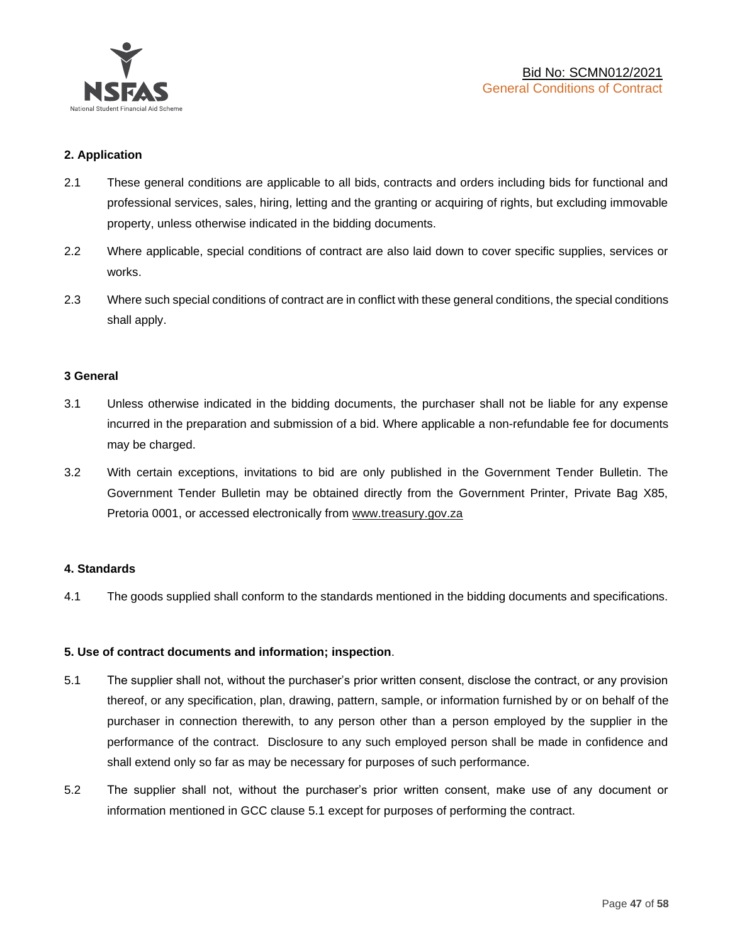

## **2. Application**

- 2.1 These general conditions are applicable to all bids, contracts and orders including bids for functional and professional services, sales, hiring, letting and the granting or acquiring of rights, but excluding immovable property, unless otherwise indicated in the bidding documents.
- 2.2 Where applicable, special conditions of contract are also laid down to cover specific supplies, services or works.
- 2.3 Where such special conditions of contract are in conflict with these general conditions, the special conditions shall apply.

#### **3 General**

- 3.1 Unless otherwise indicated in the bidding documents, the purchaser shall not be liable for any expense incurred in the preparation and submission of a bid. Where applicable a non-refundable fee for documents may be charged.
- 3.2 With certain exceptions, invitations to bid are only published in the Government Tender Bulletin. The Government Tender Bulletin may be obtained directly from the Government Printer, Private Bag X85, Pretoria 0001, or accessed electronically from [www.treasury.gov.za](http://www.treasury.gov.za/)

#### **4. Standards**

4.1 The goods supplied shall conform to the standards mentioned in the bidding documents and specifications.

#### **5. Use of contract documents and information; inspection**.

- 5.1 The supplier shall not, without the purchaser's prior written consent, disclose the contract, or any provision thereof, or any specification, plan, drawing, pattern, sample, or information furnished by or on behalf of the purchaser in connection therewith, to any person other than a person employed by the supplier in the performance of the contract. Disclosure to any such employed person shall be made in confidence and shall extend only so far as may be necessary for purposes of such performance.
- 5.2 The supplier shall not, without the purchaser's prior written consent, make use of any document or information mentioned in GCC clause 5.1 except for purposes of performing the contract.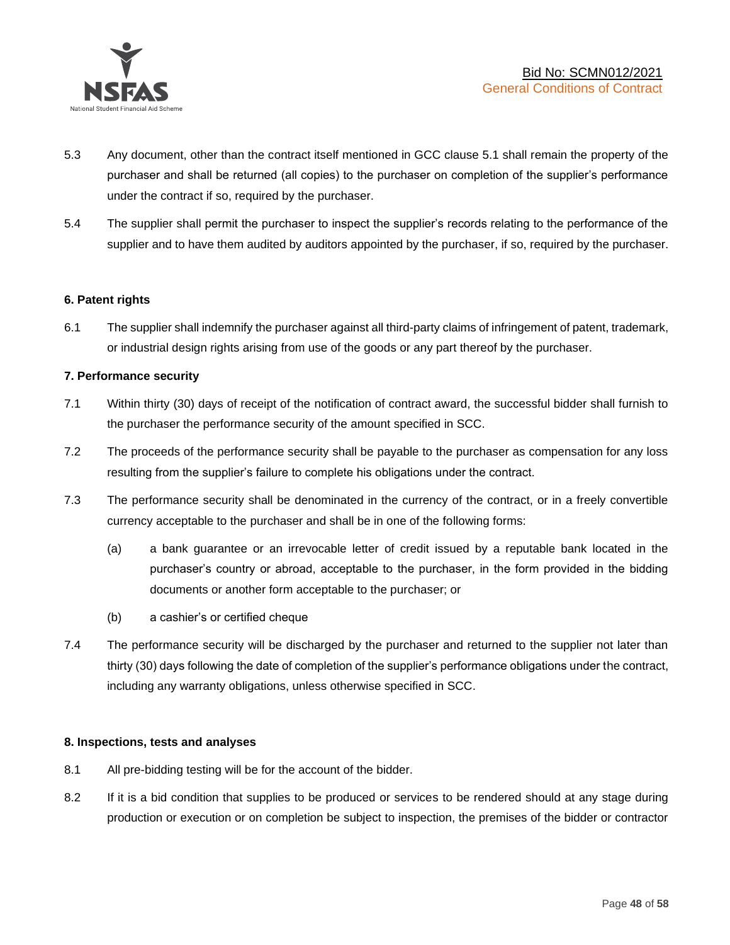

- 5.3 Any document, other than the contract itself mentioned in GCC clause 5.1 shall remain the property of the purchaser and shall be returned (all copies) to the purchaser on completion of the supplier's performance under the contract if so, required by the purchaser.
- 5.4 The supplier shall permit the purchaser to inspect the supplier's records relating to the performance of the supplier and to have them audited by auditors appointed by the purchaser, if so, required by the purchaser.

#### **6. Patent rights**

6.1 The supplier shall indemnify the purchaser against all third-party claims of infringement of patent, trademark, or industrial design rights arising from use of the goods or any part thereof by the purchaser.

## **7. Performance security**

- 7.1 Within thirty (30) days of receipt of the notification of contract award, the successful bidder shall furnish to the purchaser the performance security of the amount specified in SCC.
- 7.2 The proceeds of the performance security shall be payable to the purchaser as compensation for any loss resulting from the supplier's failure to complete his obligations under the contract.
- 7.3 The performance security shall be denominated in the currency of the contract, or in a freely convertible currency acceptable to the purchaser and shall be in one of the following forms:
	- (a) a bank guarantee or an irrevocable letter of credit issued by a reputable bank located in the purchaser's country or abroad, acceptable to the purchaser, in the form provided in the bidding documents or another form acceptable to the purchaser; or
	- (b) a cashier's or certified cheque
- 7.4 The performance security will be discharged by the purchaser and returned to the supplier not later than thirty (30) days following the date of completion of the supplier's performance obligations under the contract, including any warranty obligations, unless otherwise specified in SCC.

#### **8. Inspections, tests and analyses**

- 8.1 All pre-bidding testing will be for the account of the bidder.
- 8.2 If it is a bid condition that supplies to be produced or services to be rendered should at any stage during production or execution or on completion be subject to inspection, the premises of the bidder or contractor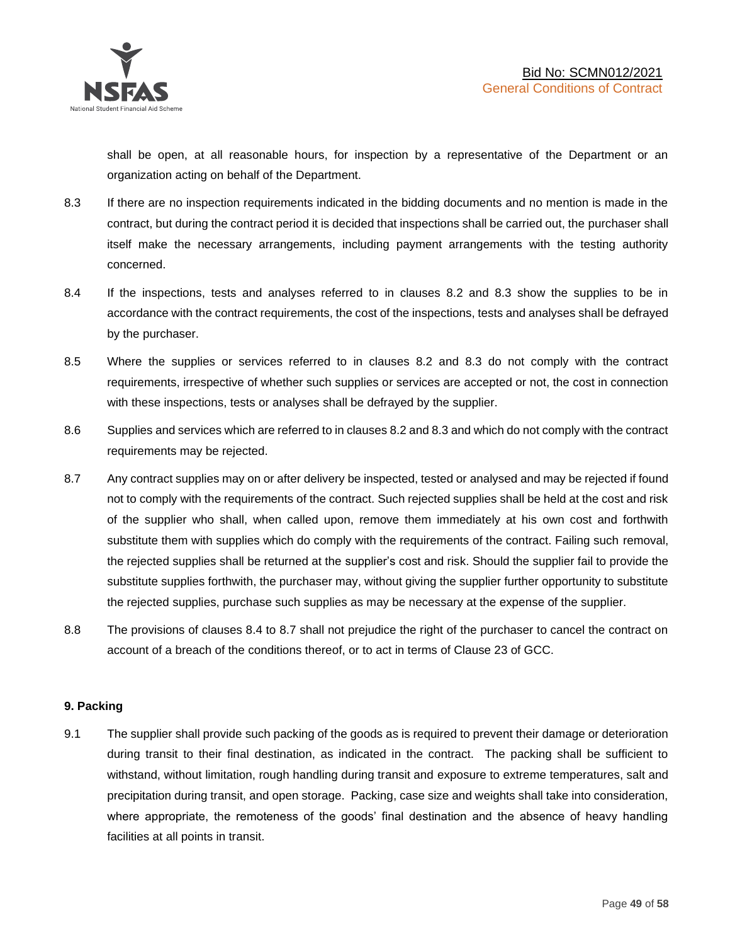shall be open, at all reasonable hours, for inspection by a representative of the Department or an organization acting on behalf of the Department.

- 8.3 If there are no inspection requirements indicated in the bidding documents and no mention is made in the contract, but during the contract period it is decided that inspections shall be carried out, the purchaser shall itself make the necessary arrangements, including payment arrangements with the testing authority concerned.
- 8.4 If the inspections, tests and analyses referred to in clauses 8.2 and 8.3 show the supplies to be in accordance with the contract requirements, the cost of the inspections, tests and analyses shall be defrayed by the purchaser.
- 8.5 Where the supplies or services referred to in clauses 8.2 and 8.3 do not comply with the contract requirements, irrespective of whether such supplies or services are accepted or not, the cost in connection with these inspections, tests or analyses shall be defrayed by the supplier.
- 8.6 Supplies and services which are referred to in clauses 8.2 and 8.3 and which do not comply with the contract requirements may be rejected.
- 8.7 Any contract supplies may on or after delivery be inspected, tested or analysed and may be rejected if found not to comply with the requirements of the contract. Such rejected supplies shall be held at the cost and risk of the supplier who shall, when called upon, remove them immediately at his own cost and forthwith substitute them with supplies which do comply with the requirements of the contract. Failing such removal, the rejected supplies shall be returned at the supplier's cost and risk. Should the supplier fail to provide the substitute supplies forthwith, the purchaser may, without giving the supplier further opportunity to substitute the rejected supplies, purchase such supplies as may be necessary at the expense of the supplier.
- 8.8 The provisions of clauses 8.4 to 8.7 shall not prejudice the right of the purchaser to cancel the contract on account of a breach of the conditions thereof, or to act in terms of Clause 23 of GCC.

## **9. Packing**

9.1 The supplier shall provide such packing of the goods as is required to prevent their damage or deterioration during transit to their final destination, as indicated in the contract. The packing shall be sufficient to withstand, without limitation, rough handling during transit and exposure to extreme temperatures, salt and precipitation during transit, and open storage. Packing, case size and weights shall take into consideration, where appropriate, the remoteness of the goods' final destination and the absence of heavy handling facilities at all points in transit.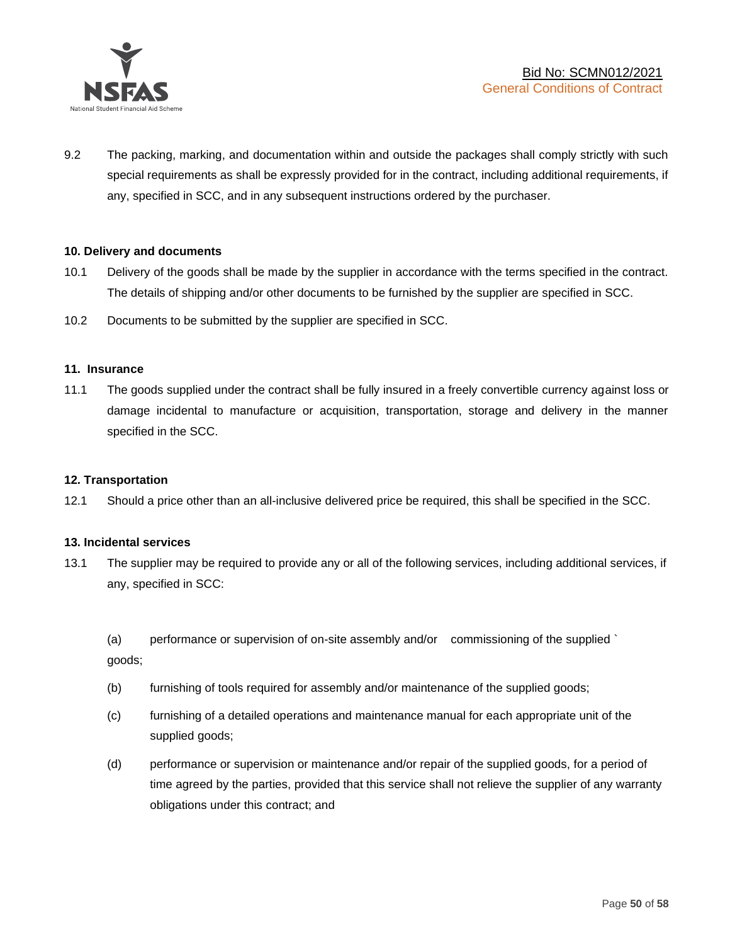

9.2 The packing, marking, and documentation within and outside the packages shall comply strictly with such special requirements as shall be expressly provided for in the contract, including additional requirements, if any, specified in SCC, and in any subsequent instructions ordered by the purchaser.

#### **10. Delivery and documents**

- 10.1 Delivery of the goods shall be made by the supplier in accordance with the terms specified in the contract. The details of shipping and/or other documents to be furnished by the supplier are specified in SCC.
- 10.2 Documents to be submitted by the supplier are specified in SCC.

#### **11. Insurance**

11.1 The goods supplied under the contract shall be fully insured in a freely convertible currency against loss or damage incidental to manufacture or acquisition, transportation, storage and delivery in the manner specified in the SCC.

#### **12. Transportation**

12.1 Should a price other than an all-inclusive delivered price be required, this shall be specified in the SCC.

#### **13. Incidental services**

13.1 The supplier may be required to provide any or all of the following services, including additional services, if any, specified in SCC:

(a) performance or supervision of on-site assembly and/or commissioning of the supplied ` goods;

- (b) furnishing of tools required for assembly and/or maintenance of the supplied goods;
- (c) furnishing of a detailed operations and maintenance manual for each appropriate unit of the supplied goods;
- (d) performance or supervision or maintenance and/or repair of the supplied goods, for a period of time agreed by the parties, provided that this service shall not relieve the supplier of any warranty obligations under this contract; and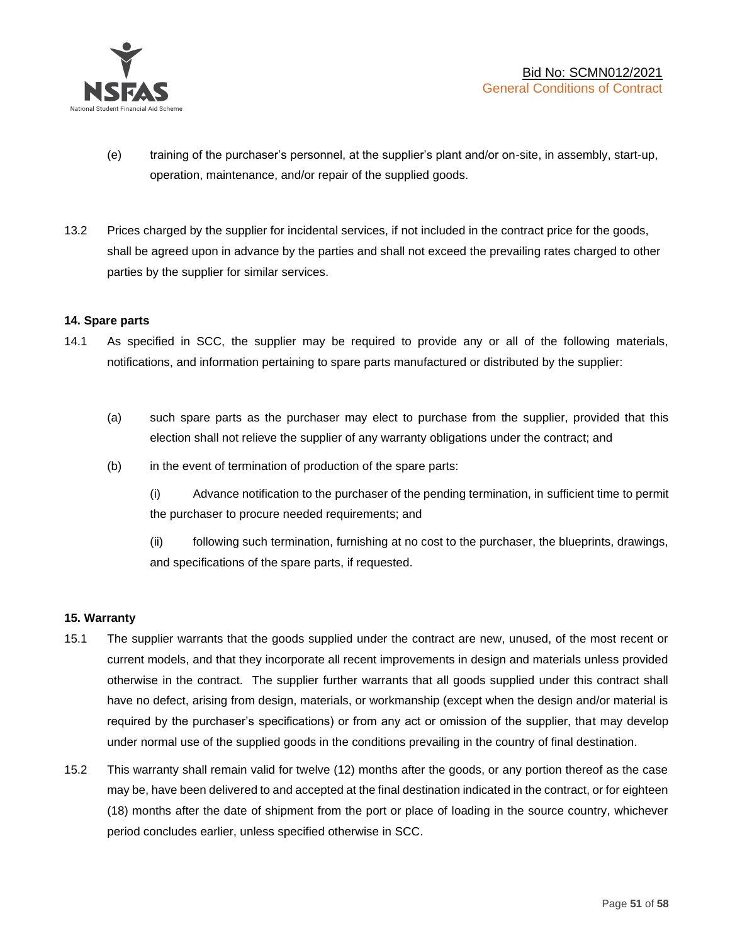

- (e) training of the purchaser's personnel, at the supplier's plant and/or on-site, in assembly, start-up, operation, maintenance, and/or repair of the supplied goods.
- 13.2 Prices charged by the supplier for incidental services, if not included in the contract price for the goods, shall be agreed upon in advance by the parties and shall not exceed the prevailing rates charged to other parties by the supplier for similar services.

## **14. Spare parts**

- 14.1 As specified in SCC, the supplier may be required to provide any or all of the following materials, notifications, and information pertaining to spare parts manufactured or distributed by the supplier:
	- (a) such spare parts as the purchaser may elect to purchase from the supplier, provided that this election shall not relieve the supplier of any warranty obligations under the contract; and
	- (b) in the event of termination of production of the spare parts:

(i) Advance notification to the purchaser of the pending termination, in sufficient time to permit the purchaser to procure needed requirements; and

(ii) following such termination, furnishing at no cost to the purchaser, the blueprints, drawings, and specifications of the spare parts, if requested.

#### **15. Warranty**

- 15.1 The supplier warrants that the goods supplied under the contract are new, unused, of the most recent or current models, and that they incorporate all recent improvements in design and materials unless provided otherwise in the contract. The supplier further warrants that all goods supplied under this contract shall have no defect, arising from design, materials, or workmanship (except when the design and/or material is required by the purchaser's specifications) or from any act or omission of the supplier, that may develop under normal use of the supplied goods in the conditions prevailing in the country of final destination.
- 15.2 This warranty shall remain valid for twelve (12) months after the goods, or any portion thereof as the case may be, have been delivered to and accepted at the final destination indicated in the contract, or for eighteen (18) months after the date of shipment from the port or place of loading in the source country, whichever period concludes earlier, unless specified otherwise in SCC.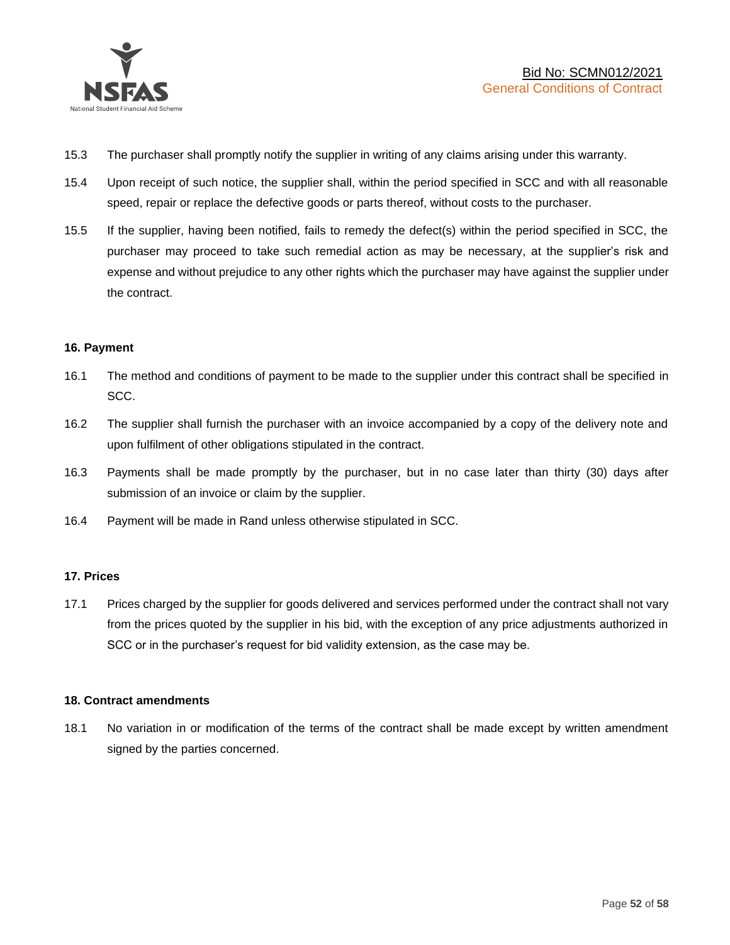

- 15.3 The purchaser shall promptly notify the supplier in writing of any claims arising under this warranty.
- 15.4 Upon receipt of such notice, the supplier shall, within the period specified in SCC and with all reasonable speed, repair or replace the defective goods or parts thereof, without costs to the purchaser.
- 15.5 If the supplier, having been notified, fails to remedy the defect(s) within the period specified in SCC, the purchaser may proceed to take such remedial action as may be necessary, at the supplier's risk and expense and without prejudice to any other rights which the purchaser may have against the supplier under the contract.

## **16. Payment**

- 16.1 The method and conditions of payment to be made to the supplier under this contract shall be specified in SCC.
- 16.2 The supplier shall furnish the purchaser with an invoice accompanied by a copy of the delivery note and upon fulfilment of other obligations stipulated in the contract.
- 16.3 Payments shall be made promptly by the purchaser, but in no case later than thirty (30) days after submission of an invoice or claim by the supplier.
- 16.4 Payment will be made in Rand unless otherwise stipulated in SCC.

#### **17. Prices**

17.1 Prices charged by the supplier for goods delivered and services performed under the contract shall not vary from the prices quoted by the supplier in his bid, with the exception of any price adjustments authorized in SCC or in the purchaser's request for bid validity extension, as the case may be.

#### **18. Contract amendments**

18.1 No variation in or modification of the terms of the contract shall be made except by written amendment signed by the parties concerned.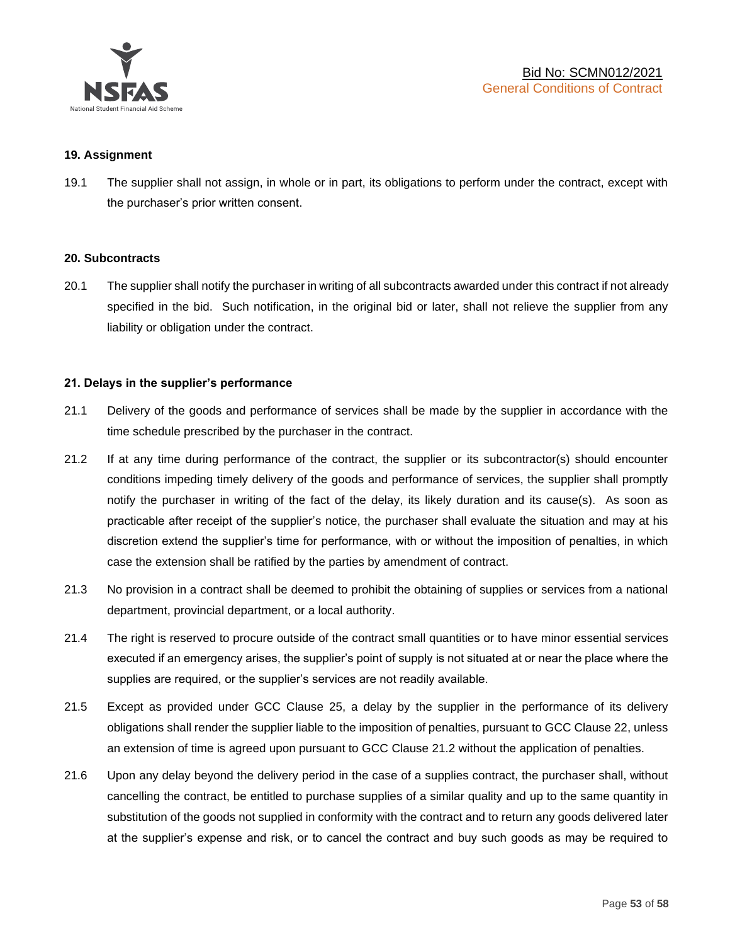

#### **19. Assignment**

19.1 The supplier shall not assign, in whole or in part, its obligations to perform under the contract, except with the purchaser's prior written consent.

#### **20. Subcontracts**

20.1 The supplier shall notify the purchaser in writing of all subcontracts awarded under this contract if not already specified in the bid. Such notification, in the original bid or later, shall not relieve the supplier from any liability or obligation under the contract.

#### **21. Delays in the supplier's performance**

- 21.1 Delivery of the goods and performance of services shall be made by the supplier in accordance with the time schedule prescribed by the purchaser in the contract.
- 21.2 If at any time during performance of the contract, the supplier or its subcontractor(s) should encounter conditions impeding timely delivery of the goods and performance of services, the supplier shall promptly notify the purchaser in writing of the fact of the delay, its likely duration and its cause(s). As soon as practicable after receipt of the supplier's notice, the purchaser shall evaluate the situation and may at his discretion extend the supplier's time for performance, with or without the imposition of penalties, in which case the extension shall be ratified by the parties by amendment of contract.
- 21.3 No provision in a contract shall be deemed to prohibit the obtaining of supplies or services from a national department, provincial department, or a local authority.
- 21.4 The right is reserved to procure outside of the contract small quantities or to have minor essential services executed if an emergency arises, the supplier's point of supply is not situated at or near the place where the supplies are required, or the supplier's services are not readily available.
- 21.5 Except as provided under GCC Clause 25, a delay by the supplier in the performance of its delivery obligations shall render the supplier liable to the imposition of penalties, pursuant to GCC Clause 22, unless an extension of time is agreed upon pursuant to GCC Clause 21.2 without the application of penalties.
- 21.6 Upon any delay beyond the delivery period in the case of a supplies contract, the purchaser shall, without cancelling the contract, be entitled to purchase supplies of a similar quality and up to the same quantity in substitution of the goods not supplied in conformity with the contract and to return any goods delivered later at the supplier's expense and risk, or to cancel the contract and buy such goods as may be required to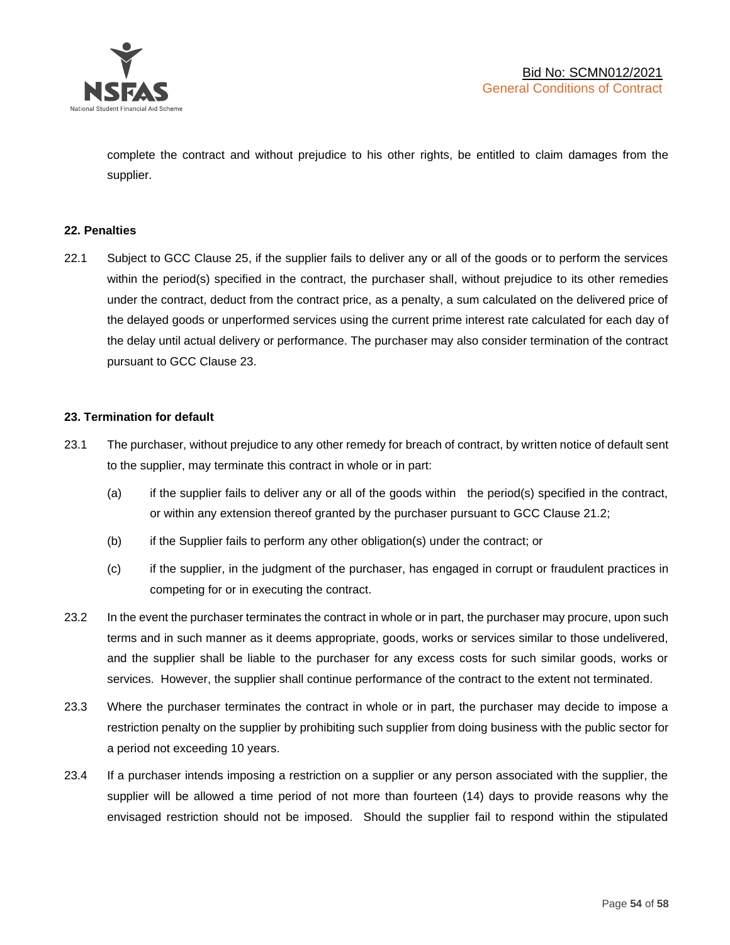

complete the contract and without prejudice to his other rights, be entitled to claim damages from the supplier.

### **22. Penalties**

22.1 Subject to GCC Clause 25, if the supplier fails to deliver any or all of the goods or to perform the services within the period(s) specified in the contract, the purchaser shall, without prejudice to its other remedies under the contract, deduct from the contract price, as a penalty, a sum calculated on the delivered price of the delayed goods or unperformed services using the current prime interest rate calculated for each day of the delay until actual delivery or performance. The purchaser may also consider termination of the contract pursuant to GCC Clause 23.

## **23. Termination for default**

- 23.1 The purchaser, without prejudice to any other remedy for breach of contract, by written notice of default sent to the supplier, may terminate this contract in whole or in part:
	- (a) if the supplier fails to deliver any or all of the goods within the period(s) specified in the contract, or within any extension thereof granted by the purchaser pursuant to GCC Clause 21.2;
	- (b) if the Supplier fails to perform any other obligation(s) under the contract; or
	- (c) if the supplier, in the judgment of the purchaser, has engaged in corrupt or fraudulent practices in competing for or in executing the contract.
- 23.2 In the event the purchaser terminates the contract in whole or in part, the purchaser may procure, upon such terms and in such manner as it deems appropriate, goods, works or services similar to those undelivered, and the supplier shall be liable to the purchaser for any excess costs for such similar goods, works or services. However, the supplier shall continue performance of the contract to the extent not terminated.
- 23.3 Where the purchaser terminates the contract in whole or in part, the purchaser may decide to impose a restriction penalty on the supplier by prohibiting such supplier from doing business with the public sector for a period not exceeding 10 years.
- 23.4 If a purchaser intends imposing a restriction on a supplier or any person associated with the supplier, the supplier will be allowed a time period of not more than fourteen (14) days to provide reasons why the envisaged restriction should not be imposed. Should the supplier fail to respond within the stipulated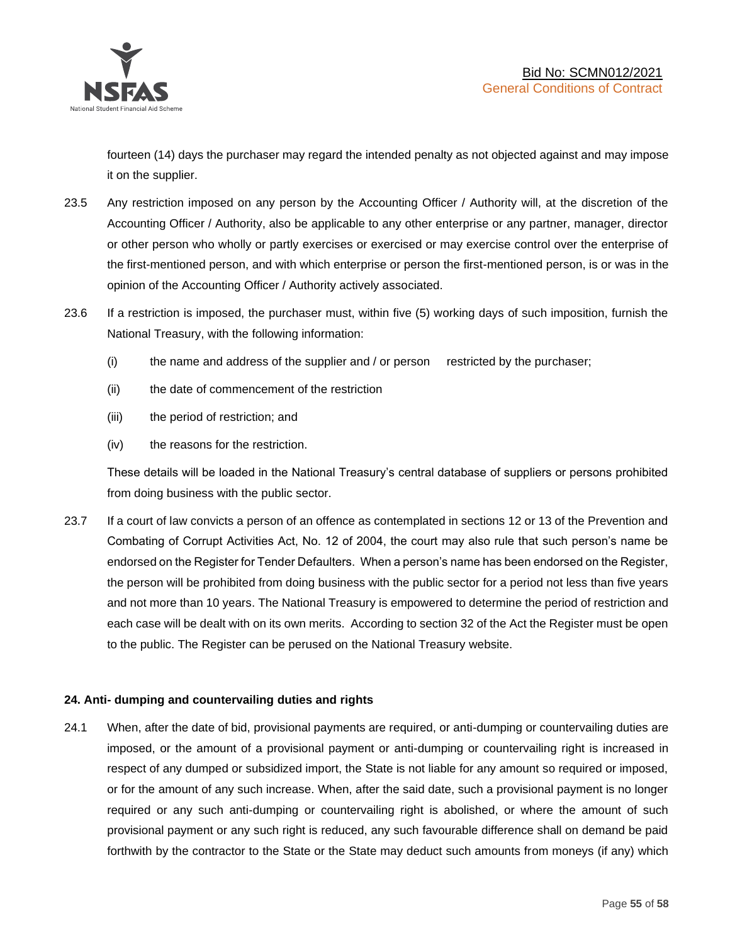

fourteen (14) days the purchaser may regard the intended penalty as not objected against and may impose it on the supplier.

- 23.5 Any restriction imposed on any person by the Accounting Officer / Authority will, at the discretion of the Accounting Officer / Authority, also be applicable to any other enterprise or any partner, manager, director or other person who wholly or partly exercises or exercised or may exercise control over the enterprise of the first-mentioned person, and with which enterprise or person the first-mentioned person, is or was in the opinion of the Accounting Officer / Authority actively associated.
- 23.6 If a restriction is imposed, the purchaser must, within five (5) working days of such imposition, furnish the National Treasury, with the following information:
	- (i) the name and address of the supplier and / or person restricted by the purchaser;
	- (ii) the date of commencement of the restriction
	- (iii) the period of restriction; and
	- (iv) the reasons for the restriction.

These details will be loaded in the National Treasury's central database of suppliers or persons prohibited from doing business with the public sector.

23.7 If a court of law convicts a person of an offence as contemplated in sections 12 or 13 of the Prevention and Combating of Corrupt Activities Act, No. 12 of 2004, the court may also rule that such person's name be endorsed on the Register for Tender Defaulters. When a person's name has been endorsed on the Register, the person will be prohibited from doing business with the public sector for a period not less than five years and not more than 10 years. The National Treasury is empowered to determine the period of restriction and each case will be dealt with on its own merits. According to section 32 of the Act the Register must be open to the public. The Register can be perused on the National Treasury website.

## **24. Anti- dumping and countervailing duties and rights**

24.1 When, after the date of bid, provisional payments are required, or anti-dumping or countervailing duties are imposed, or the amount of a provisional payment or anti-dumping or countervailing right is increased in respect of any dumped or subsidized import, the State is not liable for any amount so required or imposed, or for the amount of any such increase. When, after the said date, such a provisional payment is no longer required or any such anti-dumping or countervailing right is abolished, or where the amount of such provisional payment or any such right is reduced, any such favourable difference shall on demand be paid forthwith by the contractor to the State or the State may deduct such amounts from moneys (if any) which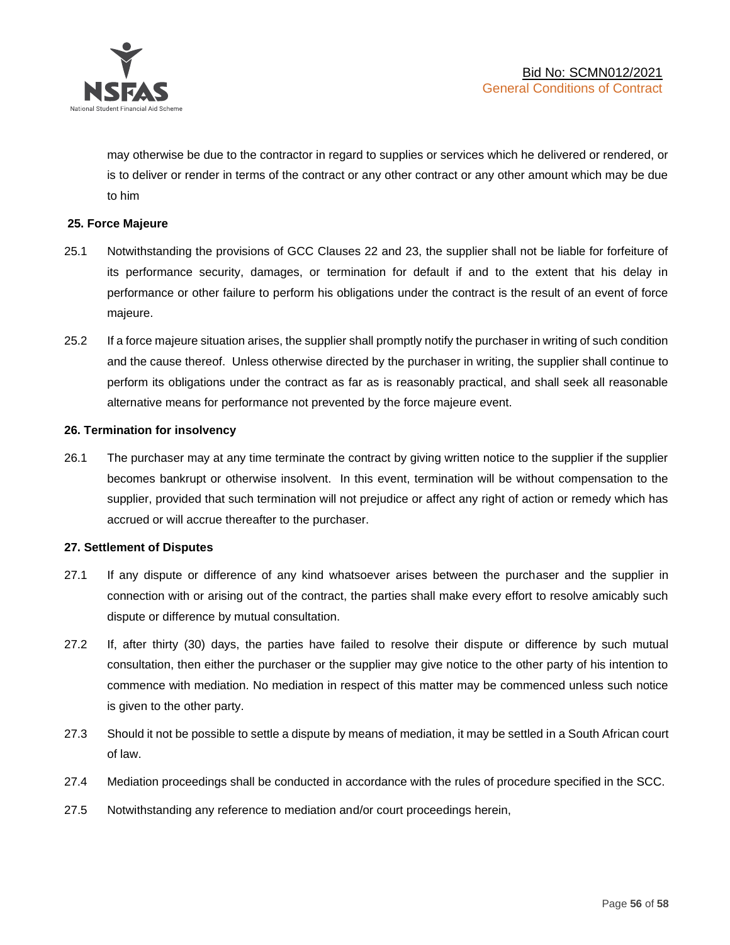

may otherwise be due to the contractor in regard to supplies or services which he delivered or rendered, or is to deliver or render in terms of the contract or any other contract or any other amount which may be due to him

### **25. Force Majeure**

- 25.1 Notwithstanding the provisions of GCC Clauses 22 and 23, the supplier shall not be liable for forfeiture of its performance security, damages, or termination for default if and to the extent that his delay in performance or other failure to perform his obligations under the contract is the result of an event of force majeure.
- 25.2 If a force majeure situation arises, the supplier shall promptly notify the purchaser in writing of such condition and the cause thereof. Unless otherwise directed by the purchaser in writing, the supplier shall continue to perform its obligations under the contract as far as is reasonably practical, and shall seek all reasonable alternative means for performance not prevented by the force majeure event.

#### **26. Termination for insolvency**

26.1 The purchaser may at any time terminate the contract by giving written notice to the supplier if the supplier becomes bankrupt or otherwise insolvent. In this event, termination will be without compensation to the supplier, provided that such termination will not prejudice or affect any right of action or remedy which has accrued or will accrue thereafter to the purchaser.

#### **27. Settlement of Disputes**

- 27.1 If any dispute or difference of any kind whatsoever arises between the purchaser and the supplier in connection with or arising out of the contract, the parties shall make every effort to resolve amicably such dispute or difference by mutual consultation.
- 27.2 If, after thirty (30) days, the parties have failed to resolve their dispute or difference by such mutual consultation, then either the purchaser or the supplier may give notice to the other party of his intention to commence with mediation. No mediation in respect of this matter may be commenced unless such notice is given to the other party.
- 27.3 Should it not be possible to settle a dispute by means of mediation, it may be settled in a South African court of law.
- 27.4 Mediation proceedings shall be conducted in accordance with the rules of procedure specified in the SCC.
- 27.5 Notwithstanding any reference to mediation and/or court proceedings herein,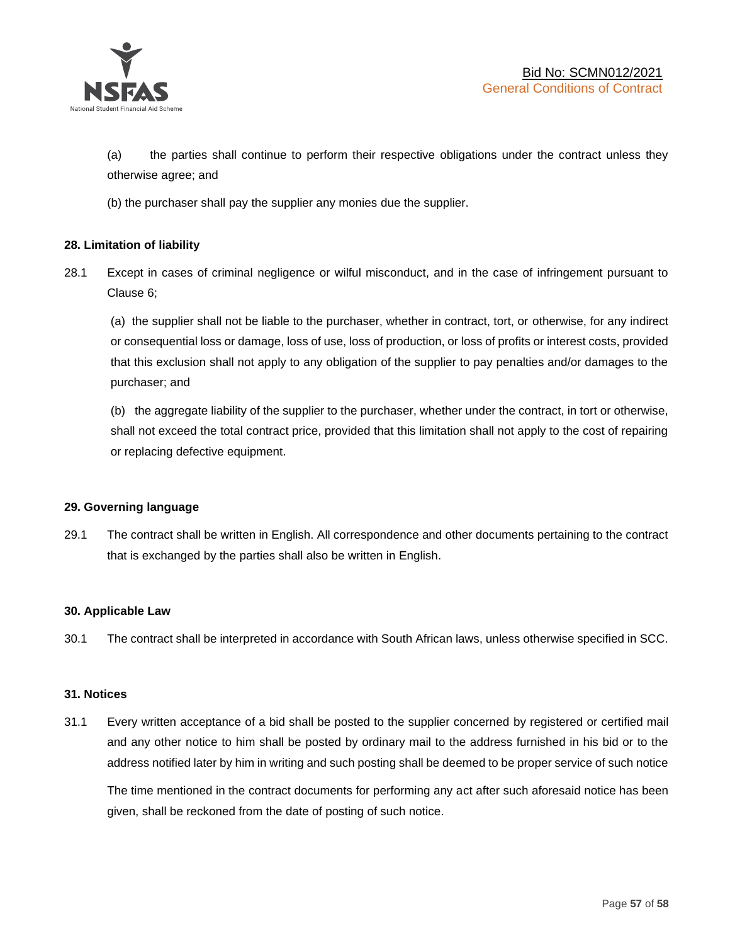

(a) the parties shall continue to perform their respective obligations under the contract unless they otherwise agree; and

(b) the purchaser shall pay the supplier any monies due the supplier.

## **28. Limitation of liability**

28.1 Except in cases of criminal negligence or wilful misconduct, and in the case of infringement pursuant to Clause 6;

(a) the supplier shall not be liable to the purchaser, whether in contract, tort, or otherwise, for any indirect or consequential loss or damage, loss of use, loss of production, or loss of profits or interest costs, provided that this exclusion shall not apply to any obligation of the supplier to pay penalties and/or damages to the purchaser; and

(b) the aggregate liability of the supplier to the purchaser, whether under the contract, in tort or otherwise, shall not exceed the total contract price, provided that this limitation shall not apply to the cost of repairing or replacing defective equipment.

#### **29. Governing language**

29.1 The contract shall be written in English. All correspondence and other documents pertaining to the contract that is exchanged by the parties shall also be written in English.

#### **30. Applicable Law**

30.1 The contract shall be interpreted in accordance with South African laws, unless otherwise specified in SCC.

#### **31. Notices**

31.1 Every written acceptance of a bid shall be posted to the supplier concerned by registered or certified mail and any other notice to him shall be posted by ordinary mail to the address furnished in his bid or to the address notified later by him in writing and such posting shall be deemed to be proper service of such notice

The time mentioned in the contract documents for performing any act after such aforesaid notice has been given, shall be reckoned from the date of posting of such notice.